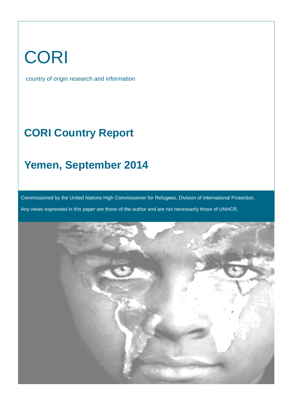# CORI

country of origin research and information

## **CORI Country Report**

### **Yemen, September 2014**

Commissioned by the United Nations High Commissioner for Refugees, Division of International Protection.

Any views expressed in this paper are those of the author and are not necessarily those of UNHCR.

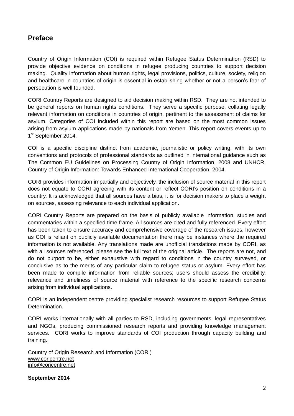#### <span id="page-1-0"></span>**Preface**

Country of Origin Information (COI) is required within Refugee Status Determination (RSD) to provide objective evidence on conditions in refugee producing countries to support decision making. Quality information about human rights, legal provisions, politics, culture, society, religion and healthcare in countries of origin is essential in establishing whether or not a person's fear of persecution is well founded.

CORI Country Reports are designed to aid decision making within RSD. They are not intended to be general reports on human rights conditions. They serve a specific purpose, collating legally relevant information on conditions in countries of origin, pertinent to the assessment of claims for asylum. Categories of COI included within this report are based on the most common issues arising from asylum applications made by nationals from Yemen. This report covers events up to 1<sup>st</sup> September 2014.

COI is a specific discipline distinct from academic, journalistic or policy writing, with its own conventions and protocols of professional standards as outlined in international guidance such as The Common EU Guidelines on Processing Country of Origin Information, 2008 and UNHCR, Country of Origin Information: Towards Enhanced International Cooperation, 2004.

CORI provides information impartially and objectively, the inclusion of source material in this report does not equate to CORI agreeing with its content or reflect CORI's position on conditions in a country. It is acknowledged that all sources have a bias, it is for decision makers to place a weight on sources, assessing relevance to each individual application.

CORI Country Reports are prepared on the basis of publicly available information, studies and commentaries within a specified time frame. All sources are cited and fully referenced. Every effort has been taken to ensure accuracy and comprehensive coverage of the research issues, however as COI is reliant on publicly available documentation there may be instances where the required information is not available. Any translations made are unofficial translations made by CORI, as with all sources referenced, please see the full text of the original article. The reports are not, and do not purport to be, either exhaustive with regard to conditions in the country surveyed, or conclusive as to the merits of any particular claim to refugee status or asylum. Every effort has been made to compile information from reliable sources; users should assess the credibility, relevance and timeliness of source material with reference to the specific research concerns arising from individual applications.

CORI is an independent centre providing specialist research resources to support Refugee Status Determination.

CORI works internationally with all parties to RSD, including governments, legal representatives and NGOs, producing commissioned research reports and providing knowledge management services. CORI works to improve standards of COI production through capacity building and training.

Country of Origin Research and Information (CORI) [www.coricentre.net](http://www.coricentre.net/) [info@coricentre.net](mailto:info@coricentre.net)

**September 2014**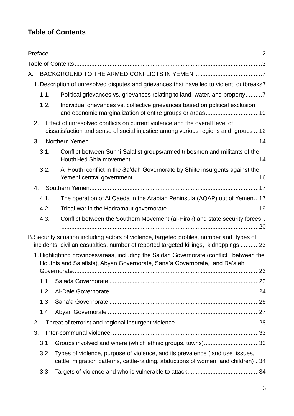### <span id="page-2-0"></span>**Table of Contents**

| А. |      |      |                                                                                                                                                                                    |  |
|----|------|------|------------------------------------------------------------------------------------------------------------------------------------------------------------------------------------|--|
|    |      |      | 1. Description of unresolved disputes and grievances that have led to violent outbreaks7                                                                                           |  |
|    |      | 1.1. | Political grievances vs. grievances relating to land, water, and property7                                                                                                         |  |
|    |      | 1.2. | Individual grievances vs. collective grievances based on political exclusion<br>and economic marginalization of entire groups or areas10                                           |  |
| 2. |      |      | Effect of unresolved conflicts on current violence and the overall level of<br>dissatisfaction and sense of social injustice among various regions and groups 12                   |  |
| 3. |      |      |                                                                                                                                                                                    |  |
|    | 3.1. |      | Conflict between Sunni Salafist groups/armed tribesmen and militants of the                                                                                                        |  |
|    | 3.2. |      | Al Houthi conflict in the Sa'dah Governorate by Shiite insurgents against the                                                                                                      |  |
|    | 4.   |      |                                                                                                                                                                                    |  |
|    | 4.1. |      | The operation of AI Qaeda in the Arabian Peninsula (AQAP) out of Yemen17                                                                                                           |  |
|    | 4.2. |      |                                                                                                                                                                                    |  |
|    | 4.3. |      | Conflict between the Southern Movement (al-Hirak) and state security forces                                                                                                        |  |
|    |      |      | B. Security situation including actors of violence, targeted profiles, number and types of<br>incidents, civilian casualties, number of reported targeted killings, kidnappings 23 |  |
|    |      |      | 1. Highlighting provinces/areas, including the Sa'dah Governorate (conflict between the<br>Houthis and Salafists), Abyan Governorate, Sana'a Governorate, and Da'aleh              |  |
|    |      |      |                                                                                                                                                                                    |  |
|    | 1.1  |      |                                                                                                                                                                                    |  |
|    | 1.2  |      |                                                                                                                                                                                    |  |
|    | 1.3  |      |                                                                                                                                                                                    |  |
|    | 1.4  |      |                                                                                                                                                                                    |  |
| 2. |      |      |                                                                                                                                                                                    |  |
| 3. |      |      |                                                                                                                                                                                    |  |
|    | 3.1  |      | Groups involved and where (which ethnic groups, towns)33                                                                                                                           |  |
|    | 3.2  |      | Types of violence, purpose of violence, and its prevalence (land use issues,<br>cattle, migration patterns, cattle-raiding, abductions of women and children) 34                   |  |
|    | 3.3  |      |                                                                                                                                                                                    |  |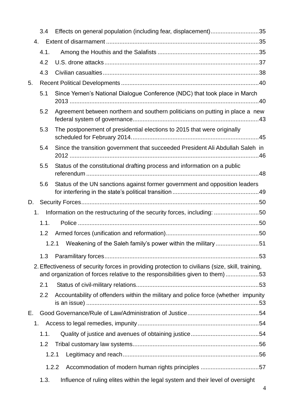|    | 3.4   | Effects on general population (including fear, displacement)35                                                                                                                   |
|----|-------|----------------------------------------------------------------------------------------------------------------------------------------------------------------------------------|
| 4. |       |                                                                                                                                                                                  |
|    | 4.1.  |                                                                                                                                                                                  |
|    | 4.2   |                                                                                                                                                                                  |
|    | 4.3   |                                                                                                                                                                                  |
| 5. |       |                                                                                                                                                                                  |
|    | 5.1   | Since Yemen's National Dialogue Conference (NDC) that took place in March                                                                                                        |
|    | 5.2   | Agreement between northern and southern politicians on putting in place a new                                                                                                    |
|    | 5.3   | The postponement of presidential elections to 2015 that were originally                                                                                                          |
|    | 5.4   | Since the transition government that succeeded President Ali Abdullah Saleh in                                                                                                   |
|    | 5.5   | Status of the constitutional drafting process and information on a public                                                                                                        |
|    | 5.6   | Status of the UN sanctions against former government and opposition leaders                                                                                                      |
| D. |       |                                                                                                                                                                                  |
| 1. |       | Information on the restructuring of the security forces, including: 50                                                                                                           |
|    | 1.1.  |                                                                                                                                                                                  |
|    | 1.2   |                                                                                                                                                                                  |
|    |       | Weakening of the Saleh family's power within the military51<br>1.2.1                                                                                                             |
|    | 1.3   |                                                                                                                                                                                  |
|    |       | 2. Effectiveness of security forces in providing protection to civilians (size, skill, training,<br>and organization of forces relative to the responsibilities given to them)53 |
|    | 2.1   |                                                                                                                                                                                  |
|    | 2.2   | Accountability of offenders within the military and police force (whether impunity                                                                                               |
| Е. |       |                                                                                                                                                                                  |
| 1. |       |                                                                                                                                                                                  |
|    | 1.1.  |                                                                                                                                                                                  |
|    | 1.2   |                                                                                                                                                                                  |
|    | 1.2.1 |                                                                                                                                                                                  |
|    |       | 1.2.2                                                                                                                                                                            |
|    | 1.3.  | Influence of ruling elites within the legal system and their level of oversight                                                                                                  |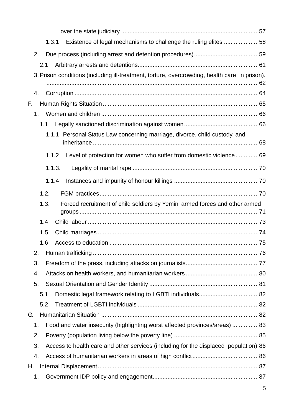|    | 1.3.1  | Existence of legal mechanisms to challenge the ruling elites 58                               |  |
|----|--------|-----------------------------------------------------------------------------------------------|--|
| 2. |        |                                                                                               |  |
|    | 2.1    |                                                                                               |  |
|    |        | 3. Prison conditions (including ill-treatment, torture, overcrowding, health care in prison). |  |
|    |        |                                                                                               |  |
| 4. |        |                                                                                               |  |
| F. |        |                                                                                               |  |
| 1. |        |                                                                                               |  |
|    | 1.1    |                                                                                               |  |
|    |        | 1.1.1 Personal Status Law concerning marriage, divorce, child custody, and                    |  |
|    | 1.1.2  | Level of protection for women who suffer from domestic violence69                             |  |
|    | 1.1.3. |                                                                                               |  |
|    | 1.1.4  |                                                                                               |  |
|    | 1.2.   |                                                                                               |  |
|    | 1.3.   | Forced recruitment of child soldiers by Yemini armed forces and other armed                   |  |
|    |        |                                                                                               |  |
|    | 1.4    |                                                                                               |  |
|    | 1.5    |                                                                                               |  |
|    | 1.6    |                                                                                               |  |
| 2. |        |                                                                                               |  |
| 3. |        |                                                                                               |  |
| 4. |        |                                                                                               |  |
| 5. |        |                                                                                               |  |
|    | 5.1    |                                                                                               |  |
|    | 5.2    |                                                                                               |  |
| G. |        |                                                                                               |  |
| 1. |        | Food and water insecurity (highlighting worst affected provinces/areas) 83                    |  |
| 2. |        |                                                                                               |  |
| 3. |        | Access to health care and other services (including for the displaced population) 86          |  |
| 4. |        |                                                                                               |  |
| Н. |        |                                                                                               |  |
| 1. |        |                                                                                               |  |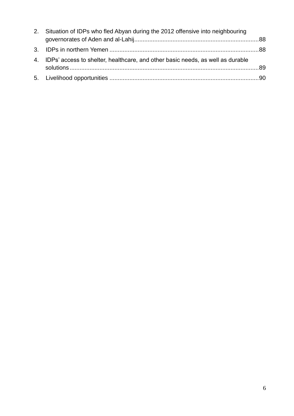| 2. Situation of IDPs who fled Abyan during the 2012 offensive into neighbouring   |  |  |
|-----------------------------------------------------------------------------------|--|--|
|                                                                                   |  |  |
|                                                                                   |  |  |
| 4. IDPs' access to shelter, healthcare, and other basic needs, as well as durable |  |  |
|                                                                                   |  |  |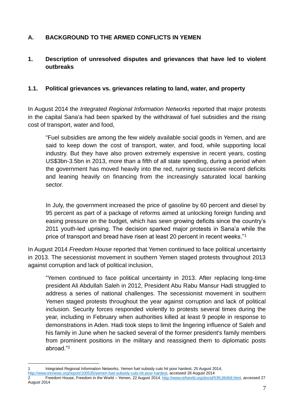#### <span id="page-6-0"></span>**A. BACKGROUND TO THE ARMED CONFLICTS IN YEMEN**

#### <span id="page-6-1"></span>**1. Description of unresolved disputes and grievances that have led to violent outbreaks**

#### <span id="page-6-2"></span>**1.1. Political grievances vs. grievances relating to land, water, and property**

In August 2014 the *Integrated Regional Information Networks* reported that major protests in the capital Sana'a had been sparked by the withdrawal of fuel subsidies and the rising cost of transport, water and food,

"Fuel subsidies are among the few widely available social goods in Yemen, and are said to keep down the cost of transport, water, and food, while supporting local industry. But they have also proven extremely expensive in recent years, costing US\$3bn-3.5bn in 2013, more than a fifth of all state spending, during a period when the government has moved heavily into the red, running successive record deficits and leaning heavily on financing from the increasingly saturated local banking sector.

In July, the government increased the price of gasoline by 60 percent and diesel by 95 percent as part of a package of reforms aimed at unlocking foreign funding and easing pressure on the budget, which has seen growing deficits since the country's 2011 youth-led uprising. The decision sparked major protests in Sana'a while the price of transport and bread have risen at least 20 percent in recent weeks."<sup>1</sup>

In August 2014 *Freedom House* reported that Yemen continued to face political uncertainty in 2013. The secessionist movement in southern Yemen staged protests throughout 2013 against corruption and lack of political inclusion,

"Yemen continued to face political uncertainty in 2013. After replacing long-time president Ali Abdullah Saleh in 2012, President Abu Rabu Mansur Hadi struggled to address a series of national challenges. The secessionist movement in southern Yemen staged protests throughout the year against corruption and lack of political inclusion. Security forces responded violently to protests several times during the year, including in February when authorities killed at least 9 people in response to demonstrations in Aden. Hadi took steps to limit the lingering influence of Saleh and his family in June when he sacked several of the former president's family members from prominent positions in the military and reassigned them to diplomatic posts abroad."<sup>2</sup>

<sup>1</sup> 1 Integrated Regional Information Networks, Yemen fuel subsidy cuts hit poor hardest, 25 August 2014,

[http://www.irinnews.org/report/100535/yemen-fuel-subsidy-cuts-hit-poor-hardest,](http://www.irinnews.org/report/100535/yemen-fuel-subsidy-cuts-hit-poor-hardest) accessed 26 August 2014

<sup>2</sup> Freedom House, Freedom in the World – Yemen, 22 August 2014[, http://www.refworld.org/docid/53fc364b9.html,](http://www.refworld.org/docid/53fc364b9.html) accessed 27 August 2014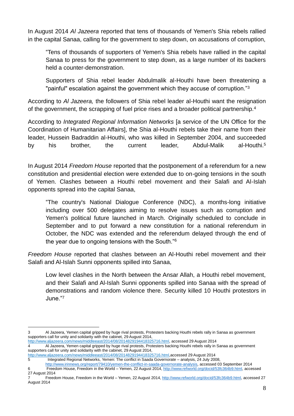In August 2014 *Al Jazeera* reported that tens of thousands of Yemen's Shia rebels rallied in the capital Sanaa, calling for the government to step down, on accusations of corruption,

"Tens of thousands of supporters of Yemen's Shia rebels have rallied in the capital Sanaa to press for the government to step down, as a large number of its backers held a counter-demonstration.

Supporters of Shia rebel leader Abdulmalik al-Houthi have been threatening a "painful" escalation against the government which they accuse of corruption."<sup>3</sup>

According to *Al Jazeera,* the followers of Shia rebel leader al-Houthi want the resignation of the government, the scrapping of fuel price rises and a broader political partnership.<sup>4</sup>

According to *Integrated Regional Information Networks* [a service of the UN Office for the Coordination of Humanitarian Affairs], the Shia al-Houthi rebels take their name from their leader, Hussein Badraddin al-Houthi, who was killed in September 2004, and succeeded by his brother, the current leader, Abdul-Malik al-Houthi.<sup>5</sup>

In August 2014 *Freedom House* reported that the postponement of a referendum for a new constitution and presidential election were extended due to on-going tensions in the south of Yemen. Clashes between a Houthi rebel movement and their Salafi and Al-Islah opponents spread into the capital Sanaa,

"The country's National Dialogue Conference (NDC), a months-long initiative including over 500 delegates aiming to resolve issues such as corruption and Yemen's political future launched in March. Originally scheduled to conclude in September and to put forward a new constitution for a national referendum in October, the NDC was extended and the referendum delayed through the end of the year due to ongoing tensions with the South."<sup>6</sup>

*Freedom House* reported that clashes between an Al-Houthi rebel movement and their Salafi and Al-Islah Sunni opponents spilled into Sanaa,

Low level clashes in the North between the Ansar Allah, a Houthi rebel movement, and their Salafi and Al-Islah Sunni opponents spilled into Sanaa with the spread of demonstrations and random violence there. Security killed 10 Houthi protestors in June."<sup>7</sup>

[http://www.aljazeera.com/news/middleeast/2014/08/2014829194418325716.html,](http://www.aljazeera.com/news/middleeast/2014/08/2014829194418325716.html) accessed 29 August 2014

[http://www.aljazeera.com/news/middleeast/2014/08/2014829194418325716.html,a](http://www.aljazeera.com/news/middleeast/2014/08/2014829194418325716.html)ccessed 29 August 2014<br>5 Integrated Regional Networks, Yemen: The conflict in Saada Governorate – analysis, 24 July 20

<sup>1</sup> 3 Al Jazeera, Yemen capital gripped by huge rival protests, Protesters backing Houthi rebels rally in Sanaa as government supporters call for unity and solidarity with the cabinet, 29 August 2014,

<sup>4</sup> Al Jazeera, Yemen capital gripped by huge rival protests, Protesters backing Houthi rebels rally in Sanaa as government supporters call for unity and solidarity with the cabinet, 29 August 2014,

Integrated Regional Networks, Yemen: The conflict in Saada Governorate – analysis, 24 July 2008, [http://www.irinnews.org/report/79410/yemen-the-conflict-in-saada-governorate-analysis,](http://www.irinnews.org/report/79410/yemen-the-conflict-in-saada-governorate-analysis) accessed 03 September 2014

<sup>6</sup> Freedom House, Freedom in the World – Yemen, 22 August 2014, [http://www.refworld.org/docid/53fc364b9.html,](http://www.refworld.org/docid/53fc364b9.html) accessed 27 August 2014

<sup>7</sup> Freedom House, Freedom in the World – Yemen, 22 August 2014[, http://www.refworld.org/docid/53fc364b9.html,](http://www.refworld.org/docid/53fc364b9.html) accessed 27 August 2014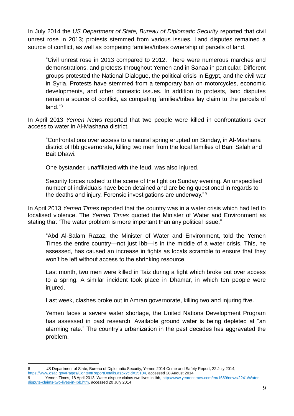In July 2014 the *US Department of State, Bureau of Diplomatic Security* reported that civil unrest rose in 2013; protests stemmed from various issues. Land disputes remained a source of conflict, as well as competing families/tribes ownership of parcels of land,

"Civil unrest rose in 2013 compared to 2012. There were numerous marches and demonstrations, and protests throughout Yemen and in Sanaa in particular. Different groups protested the National Dialogue, the political crisis in Egypt, and the civil war in Syria. Protests have stemmed from a temporary ban on motorcycles, economic developments, and other domestic issues. In addition to protests, land disputes remain a source of conflict, as competing families/tribes lay claim to the parcels of land<sup>"8</sup>

In April 2013 *Yemen News* reported that two people were killed in confrontations over access to water in Al-Mashana district,

"Confrontations over access to a natural spring erupted on Sunday, in Al-Mashana district of Ibb governorate, killing two men from the local families of Bani Salah and Bait Dhawi.

One bystander, unaffiliated with the feud, was also injured.

Security forces rushed to the scene of the fight on Sunday evening. An unspecified number of individuals have been detained and are being questioned in regards to the deaths and injury. Forensic investigations are underway."<sup>9</sup>

In April 2013 *Yemen Times* reported that the country was in a water crisis which had led to localised violence. The *Yemen Times* quoted the Minister of Water and Environment as stating that "The water problem is more important than any political issue,"

"Abd Al-Salam Razaz, the Minister of Water and Environment, told the Yemen Times the entire country—not just Ibb—is in the middle of a water crisis. This, he assessed, has caused an increase in fights as locals scramble to ensure that they won't be left without access to the shrinking resource.

Last month, two men were killed in Taiz during a fight which broke out over access to a spring. A similar incident took place in Dhamar, in which ten people were injured.

Last week, clashes broke out in Amran governorate, killing two and injuring five.

Yemen faces a severe water shortage, the United Nations Development Program has assessed in past research. Available ground water is being depleted at "an alarming rate." The country's urbanization in the past decades has aggravated the problem.

<sup>1</sup> 8 US Department of State, Bureau of Diplomatic Security, Yemen 2014 Crime and Safety Report, 22 July 2014, [https://www.osac.gov/Pages/ContentReportDetails.aspx?cid=15104,](https://www.osac.gov/Pages/ContentReportDetails.aspx?cid=15104) accessed 28 August 2014

<sup>9</sup> Yemen Times, 18 April 2013, Water dispute claims two lives in Ibb, [http://www.yementimes.com/en/1669/news/2241/Water](http://www.yementimes.com/en/1669/news/2241/Water-dispute-claims-two-lives-in-Ibb.htm)[dispute-claims-two-lives-in-Ibb.htm,](http://www.yementimes.com/en/1669/news/2241/Water-dispute-claims-two-lives-in-Ibb.htm) accessed 20 July 2014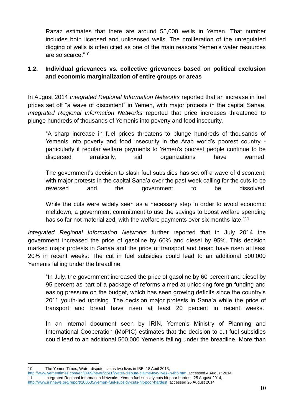Razaz estimates that there are around 55,000 wells in Yemen. That number includes both licensed and unlicensed wells. The proliferation of the unregulated digging of wells is often cited as one of the main reasons Yemen's water resources are so scarce."<sup>10</sup>

#### <span id="page-9-0"></span>**1.2. Individual grievances vs. collective grievances based on political exclusion and economic marginalization of entire groups or areas**

In August 2014 *Integrated Regional Information Networks* reported that an increase in fuel prices set off "a wave of discontent" in Yemen, with major protests in the capital Sanaa. *Integrated Regional Information Networks* reported that price increases threatened to plunge hundreds of thousands of Yemenis into poverty and food insecurity,

"A sharp increase in fuel prices threatens to plunge hundreds of thousands of Yemenis into poverty and food insecurity in the Arab world's poorest country particularly if regular welfare payments to Yemen's poorest people continue to be dispersed erratically, aid organizations have warned.

The government's decision to slash fuel subsidies has set off a wave of discontent, with major protests in the capital Sana'a over the past week calling for the cuts to be reversed and the government to be dissolved.

While the cuts were widely seen as a necessary step in order to avoid economic meltdown, a government commitment to use the savings to boost welfare spending has so far not materialized, with the welfare payments over six months late."<sup>11</sup>

*Integrated Regional Information Networks* further reported that in July 2014 the government increased the price of gasoline by 60% and diesel by 95%. This decision marked major protests in Sanaa and the price of transport and bread have risen at least 20% in recent weeks. The cut in fuel subsidies could lead to an additional 500,000 Yemenis falling under the breadline,

"In July, the government increased the price of gasoline by 60 percent and diesel by 95 percent as part of a package of reforms aimed at unlocking foreign funding and easing pressure on the budget, which has seen growing deficits since the country's 2011 youth-led uprising. The decision major protests in Sana'a while the price of transport and bread have risen at least 20 percent in recent weeks.

In an internal document seen by IRIN, Yemen's Ministry of Planning and International Cooperation (MoPIC) estimates that the decision to cut fuel subsidies could lead to an additional 500,000 Yemenis falling under the breadline. More than

<sup>1</sup> 10 The Yemen Times, Water dispute claims two lives in IBB, 18 April 2013,

[http://www.yementimes.com/en/1669/news/2241/Water-dispute-claims-two-lives-in-Ibb.htm,](http://www.yementimes.com/en/1669/news/2241/Water-dispute-claims-two-lives-in-Ibb.htm) accessed 4 August 2014 11 Integrated Regional Information Networks, Yemen fuel subsidy cuts hit poor hardest, 25 August 2014, [http://www.irinnews.org/report/100535/yemen-fuel-subsidy-cuts-hit-poor-hardest,](http://www.irinnews.org/report/100535/yemen-fuel-subsidy-cuts-hit-poor-hardest) accessed 26 August 2014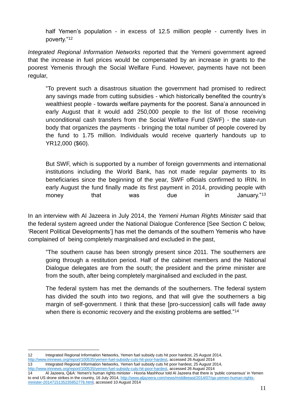half Yemen's population - in excess of 12.5 million people - currently lives in poverty."<sup>12</sup>

*Integrated Regional Information Networks* reported that the Yemeni government agreed that the increase in fuel prices would be compensated by an increase in grants to the poorest Yemenis through the Social Welfare Fund. However, payments have not been regular,

"To prevent such a disastrous situation the government had promised to redirect any savings made from cutting subsidies - which historically benefited the country's wealthiest people - towards welfare payments for the poorest. Sana'a announced in early August that it would add 250,000 people to the list of those receiving unconditional cash transfers from the Social Welfare Fund (SWF) - the state-run body that organizes the payments - bringing the total number of people covered by the fund to 1.75 million. Individuals would receive quarterly handouts up to YR12,000 (\$60).

But SWF, which is supported by a number of foreign governments and international institutions including the World Bank, has not made regular payments to its beneficiaries since the beginning of the year, SWF officials confirmed to IRIN. In early August the fund finally made its first payment in 2014, providing people with money that was due in January."<sup>13</sup>

In an interview with Al Jazeera in July 2014, the *Yemeni Human Rights Minister* said that the federal system agreed under the National Dialogue Conference [See Section C below, 'Recent Political Developments'] has met the demands of the southern Yemenis who have complained of being completely marginalised and excluded in the past,

"The southern cause has been strongly present since 2011. The southerners are going through a restitution period. Half of the cabinet members and the National Dialogue delegates are from the south; the president and the prime minister are from the south, after being completely marginalised and excluded in the past.

The federal system has met the demands of the southerners. The federal system has divided the south into two regions, and that will give the southerners a big margin of self-government. I think that these [pro-succession] calls will fade away when there is economic recovery and the existing problems are settled."<sup>14</sup>

<sup>1</sup> 12 Integrated Regional Information Networks, Yemen fuel subsidy cuts hit poor hardest, 25 August 2014, [http://www.irinnews.org/report/100535/yemen-fuel-subsidy-cuts-hit-poor-hardest,](http://www.irinnews.org/report/100535/yemen-fuel-subsidy-cuts-hit-poor-hardest) accessed 26 August 2014

<sup>13</sup> Integrated Regional Information Networks, Yemen fuel subsidy cuts hit poor hardest, 25 August 2014, [http://www.irinnews.org/report/100535/yemen-fuel-subsidy-cuts-hit-poor-hardest,](http://www.irinnews.org/report/100535/yemen-fuel-subsidy-cuts-hit-poor-hardest) accessed 26 August 2014

<sup>14</sup> Al Jazeera, Q&A: Yemen's human rights minister - Hooria Mashhour told Al Jazeera that there is 'public consensus' in Yemen to end US drone strikes in the country, 16 July 2014, [http://www.aljazeera.com/news/middleeast/2014/07/qa-yemen-human-rights](http://www.aljazeera.com/news/middleeast/2014/07/qa-yemen-human-rights-minister-2014715135235852776.html)[minister-2014715135235852776.html,](http://www.aljazeera.com/news/middleeast/2014/07/qa-yemen-human-rights-minister-2014715135235852776.html) accessed 10 August 2014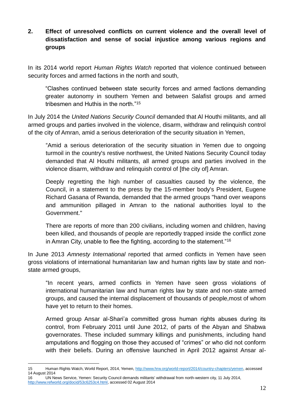#### <span id="page-11-0"></span>**2. Effect of unresolved conflicts on current violence and the overall level of dissatisfaction and sense of social injustice among various regions and groups**

In its 2014 world report *Human Rights Watch* reported that violence continued between security forces and armed factions in the north and south,

"Clashes continued between state security forces and armed factions demanding greater autonomy in southern Yemen and between Salafist groups and armed tribesmen and Huthis in the north."<sup>15</sup>

In July 2014 the *United Nations Security Council* demanded that Al Houthi militants, and all armed groups and parties involved in the violence, disarm, withdraw and relinquish control of the city of Amran, amid a serious deterioration of the security situation in Yemen,

"Amid a serious deterioration of the security situation in Yemen due to ongoing turmoil in the country's restive northwest, the United Nations Security Council today demanded that Al Houthi militants, all armed groups and parties involved in the violence disarm, withdraw and relinquish control of [the city of] Amran.

Deeply regretting the high number of casualties caused by the violence, the Council, in a statement to the press by the 15-member body's President, Eugene Richard Gasana of Rwanda, demanded that the armed groups "hand over weapons and ammunition pillaged in Amran to the national authorities loyal to the Government."

There are reports of more than 200 civilians, including women and children, having been killed, and thousands of people are reportedly trapped inside the conflict zone in Amran City, unable to flee the fighting, according to the statement."<sup>16</sup>

In June 2013 *Amnesty International* reported that armed conflicts in Yemen have seen gross violations of international humanitarian law and human rights law by state and nonstate armed groups,

"In recent years, armed conflicts in Yemen have seen gross violations of international humanitarian law and human rights law by state and non-state armed groups, and caused the internal displacement of thousands of people,most of whom have yet to return to their homes.

Armed group Ansar al-Shari'a committed gross human rights abuses during its control, from February 2011 until June 2012, of parts of the Abyan and Shabwa governorates. These included summary killings and punishments, including hand amputations and flogging on those they accused of "crimes" or who did not conform with their beliefs. During an offensive launched in April 2012 against Ansar al-

1

<sup>15</sup> Human Rights Watch, World Report, 2014, Yemen[, http://www.hrw.org/world-report/2014/country-chapters/yemen,](http://www.hrw.org/world-report/2014/country-chapters/yemen) accessed 14 August 2014

<sup>16</sup> UN News Service, Yemen: Security Council demands militants' withdrawal from north-western city, 11 July 2014, [http://www.refworld.org/docid/53c6253c4.html,](http://www.refworld.org/docid/53c6253c4.html) accessed 02 August 2014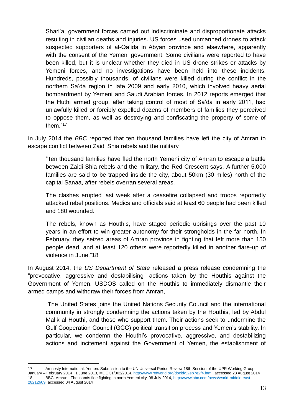Shari'a, government forces carried out indiscriminate and disproportionate attacks resulting in civilian deaths and injuries. US forces used unmanned drones to attack suspected supporters of al-Qa'ida in Abyan province and elsewhere, apparently with the consent of the Yemeni government. Some civilians were reported to have been killed, but it is unclear whether they died in US drone strikes or attacks by Yemeni forces, and no investigations have been held into these incidents. Hundreds, possibly thousands, of civilians were killed during the conflict in the northern Sa'da region in late 2009 and early 2010, which involved heavy aerial bombardment by Yemeni and Saudi Arabian forces. In 2012 reports emerged that the Huthi armed group, after taking control of most of Sa'da in early 2011, had unlawfully killed or forcibly expelled dozens of members of families they perceived to oppose them, as well as destroying and confiscating the property of some of them."<sup>17</sup>

In July 2014 the *BBC* reported that ten thousand families have left the city of Amran to escape conflict between Zaidi Shia rebels and the military,

"Ten thousand families have fled the north Yemeni city of Amran to escape a battle between Zaidi Shia rebels and the military, the Red Crescent says. A further 5,000 families are said to be trapped inside the city, about 50km (30 miles) north of the capital Sanaa, after rebels overran several areas.

The clashes erupted last week after a ceasefire collapsed and troops reportedly attacked rebel positions. Medics and officials said at least 60 people had been killed and 180 wounded.

The rebels, known as Houthis, have staged periodic uprisings over the past 10 years in an effort to win greater autonomy for their strongholds in the far north. In February, they seized areas of Amran province in fighting that left more than 150 people dead, and at least 120 others were reportedly killed in another flare-up of violence in June."18

In August 2014, the *US Department of State* released a press release condemning the "provocative, aggressive and destabilising" actions taken by the Houthis against the Government of Yemen. USDOS called on the Houthis to immediately dismantle their armed camps and withdraw their forces from Amran,

"The United States joins the United Nations Security Council and the international community in strongly condemning the actions taken by the Houthis, led by Abdul Malik al Houthi, and those who support them. Their actions seek to undermine the Gulf Cooperation Council (GCC) political transition process and Yemen's stability. In particular, we condemn the Houthi's provocative, aggressive, and destabilizing actions and incitement against the Government of Yemen, the establishment of

1

<sup>17</sup> Amnesty International, Yemen: Submission to the UN Universal Period Review 18th Session of the UPR Working Group, January – February 2014 , 1 June 2013, MDE 31/002/2014, [http://www.refworld.org/docid/52eb7e2f4.html,](http://www.refworld.org/docid/52eb7e2f4.html) accessed 28 August 2014 18 BBC, Amran : Thousands flee fighting in north Yemeni city, 08 July 2014, [http://www.bbc.com/news/world-middle-east-](http://www.bbc.com/news/world-middle-east-28212609)[28212609,](http://www.bbc.com/news/world-middle-east-28212609) accessed 04 August 2014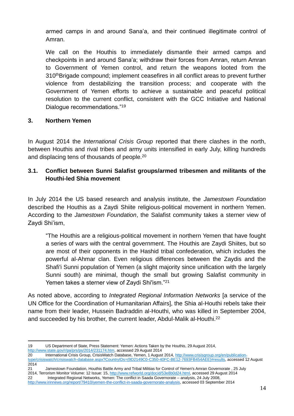armed camps in and around Sana'a, and their continued illegitimate control of Amran.

We call on the Houthis to immediately dismantle their armed camps and checkpoints in and around Sana'a; withdraw their forces from Amran, return Amran to Government of Yemen control, and return the weapons looted from the 310thBrigade compound; implement ceasefires in all conflict areas to prevent further violence from destabilizing the transition process; and cooperate with the Government of Yemen efforts to achieve a sustainable and peaceful political resolution to the current conflict, consistent with the GCC Initiative and National Dialogue recommendations."<sup>19</sup>

#### <span id="page-13-0"></span>**3. Northern Yemen**

In August 2014 the *International Crisis Group* reported that there clashes in the north, between Houthis and rival tribes and army units intensified in early July, killing hundreds and displacing tens of thousands of people.<sup>20</sup>

#### <span id="page-13-1"></span>**3.1. Conflict between Sunni Salafist groups/armed tribesmen and militants of the Houthi-led Shia movement**

In July 2014 the US based research and analysis institute, the *Jamestown Foundation* described the Houthis as a Zaydi Shiite religious-political movement in northern Yemen. According to the *Jamestown Foundation*, the Salafist community takes a sterner view of Zaydi Shi'ism,

"The Houthis are a religious-political movement in northern Yemen that have fought a series of wars with the central government. The Houthis are Zaydi Shiites, but so are most of their opponents in the Hashid tribal confederation, which includes the powerful al-Ahmar clan. Even religious differences between the Zaydis and the Shafi'i Sunni population of Yemen (a slight majority since unification with the largely Sunni south) are minimal, though the small but growing Salafist community in Yemen takes a sterner view of Zaydi Shi'ism."<sup>21</sup>

As noted above, according to *Integrated Regional Information Networks* [a service of the UN Office for the Coordination of Humanitarian Affairs], the Shia al-Houthi rebels take their name from their leader, Hussein Badraddin al-Houthi, who was killed in September 2004, and succeeded by his brother, the current leader, Abdul-Malik al-Houthi.<sup>22</sup>

1 19 US Department of State, Press Statement: Yemen: Actions Taken by the Houthis, 29 August 2014, [http://www.state.gov/r/pa/prs/ps/2014/231174.htm,](http://www.state.gov/r/pa/prs/ps/2014/231174.htm) accessed 29 August 2014

21 Jamestown Foundation, Houthis Battle Army and Tribal Militias for Control of Yemen's Amran Governorate , 25 July 2014, Terrorism Monitor Volume: 12 Issue: 15, [http://www.refworld.org/docid/53e8b0d24.html,](http://www.refworld.org/docid/53e8b0d24.html) accessed 29 August 2014 22 Integrated Regional Networks, Yemen: The conflict in Saada Governorate – analysis, 24 July 2008,

<sup>20</sup> International Crisis Group, CrisisWatch Database, Yemen, 1 August 2014, [http://www.crisisgroup.org/en/publication](http://www.crisisgroup.org/en/publication-type/crisiswatch/crisiswatch-database.aspx?CountryIDs)[type/crisiswatch/crisiswatch-database.aspx?CountryIDs=](http://www.crisisgroup.org/en/publication-type/crisiswatch/crisiswatch-database.aspx?CountryIDs){9D2149C0-C350-40FC-BE12-7693FB454AEE}#results, accessed 12 August 2014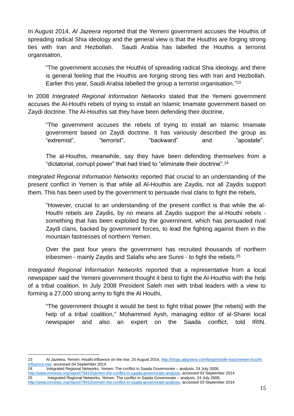In August 2014, *Al Jazeera* reported that the Yemeni government accuses the Houthis of spreading radical Shia ideology and the general view is that the Houthis are forging strong ties with Iran and Hezbollah. Saudi Arabia has labelled the Houthis a terrorist organisation,

"The government accuses the Houthis of spreading radical Shia ideology, and there is general feeling that the Houthis are forging strong ties with Iran and Hezbollah. Earlier this year, Saudi Arabia labelled the group a terrorist organisation."<sup>23</sup>

In 2008 *Integrated Regional Information Networks* stated that the Yemeni government accuses the Al-Houthi rebels of trying to install an Islamic Imamate government based on Zaydi doctrine. The Al-Houthis sat they have been defending their doctrine,

"The government accuses the rebels of trying to install an Islamic Imamate government based on Zaydi doctrine. It has variously described the group as "extremist", "iterrorist", "backward" and "apostate".

The al-Houthis, meanwhile, say they have been defending themselves from a "dictatorial, corrupt power" that had tried to "eliminate their doctrine".<sup>24</sup>

*Integrated Regional Information Networks* reported that crucial to an understanding of the present conflict in Yemen is that while all Al-Houthis are Zaydis, not all Zaydis support them. This has been used by the government to persuade rival clans to fight the rebels,

"However, crucial to an understanding of the present conflict is that while the al-Houthi rebels are Zaydis, by no means all Zaydis support the al-Houthi rebels something that has been exploited by the government, which has persuaded rival Zaydi clans, backed by government forces, to lead the fighting against them in the mountain fastnesses of northern Yemen.

Over the past four years the government has recruited thousands of northern tribesmen - mainly Zaydis and Salafis who are Sunni - to fight the rebels.<sup>25</sup>

*Integrated Regional Information Networks* reported that a representative from a local newspaper said the Yemeni government thought it best to fight the Al-Houthis with the help of a tribal coalition. In July 2008 President Saleh met with tribal leaders with a view to forming a 27,000 strong army to fight the Al Houthi,

"The government thought it would be best to fight tribal power [the rebels] with the help of a tribal coalition," Mohammed Aysh, managing editor of al-Sharei local newspaper and also an expert on the Saada conflict, told IRIN.

<sup>1</sup> 23 Al Jazeera, Yemen: Houthi influence on the rise, 25 August 2014[, http://blogs.aljazeera.com/blog/middle-east/yemen-houthi](http://blogs.aljazeera.com/blog/middle-east/yemen-houthi-influence-rise)[influence-rise,](http://blogs.aljazeera.com/blog/middle-east/yemen-houthi-influence-rise) accessed 04 September 2014

<sup>24</sup> Integrated Regional Networks, Yemen: The conflict in Saada Governorate – analysis, 24 July 2008, [http://www.irinnews.org/report/79410/yemen-the-conflict-in-saada-governorate-analysis,](http://www.irinnews.org/report/79410/yemen-the-conflict-in-saada-governorate-analysis) accessed 03 September 2014 25 Integrated Regional Networks, Yemen: The conflict in Saada Governorate – analysis, 24 July 2008, [http://www.irinnews.org/report/79410/yemen-the-conflict-in-saada-governorate-analysis,](http://www.irinnews.org/report/79410/yemen-the-conflict-in-saada-governorate-analysis) accessed 03 September 2014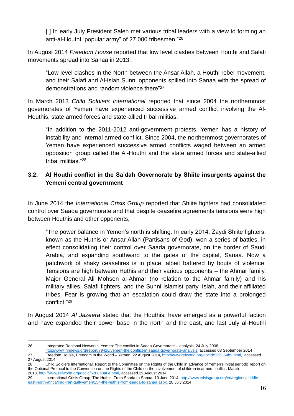[ ] In early July President Saleh met various tribal leaders with a view to forming an anti-al-Houthi "popular army" of 27,000 tribesmen."<sup>26</sup>

In August 2014 *Freedom House* reported that low level clashes between Houthi and Salafi movements spread into Sanaa in 2013,

"Low level clashes in the North between the Ansar Allah, a Houthi rebel movement, and their Salafi and Al-Islah Sunni opponents spilled into Sanaa with the spread of demonstrations and random violence there"<sup>27</sup>

In March 2013 *Child Soldiers International* reported that since 2004 the northernmost governorates of Yemen have experienced successive armed conflict involving the Al-Houthis, state armed forces and state-allied tribal militias,

"In addition to the 2011-2012 anti-government protests, Yemen has a history of instability and internal armed conflict. Since 2004, the northernmost governorates of Yemen have experienced successive armed conflicts waged between an armed opposition group called the Al-Houthi and the state armed forces and state-allied tribal militias."<sup>28</sup>

#### <span id="page-15-0"></span>**3.2. Al Houthi conflict in the Sa'dah Governorate by Shiite insurgents against the Yemeni central government**

In June 2014 the *International Crisis Group* reported that Shiite fighters had consolidated control over Saada governorate and that despite ceasefire agreements tensions were high between Houthis and other opponents,

"The power balance in Yemen's north is shifting. In early 2014, Zaydi Shiite fighters, known as the Huthis or Ansar Allah (Partisans of God), won a series of battles, in effect consolidating their control over Saada governorate, on the border of Saudi Arabia, and expanding southward to the gates of the capital, Sanaa. Now a patchwork of shaky ceasefires is in place, albeit battered by bouts of violence. Tensions are high between Huthis and their various opponents – the Ahmar family, Major General Ali Mohsen al-Ahmar (no relation to the Ahmar family) and his military allies, Salafi fighters, and the Sunni Islamist party, Islah, and their affiliated tribes. Fear is growing that an escalation could draw the state into a prolonged conflict."<sup>29</sup>

In August 2014 *Al Jazeera* stated that the Houthis, have emerged as a powerful faction and have expanded their power base in the north and the east, and last July al-Houthi

<sup>1</sup> 26 Integrated Regional Networks, Yemen: The conflict in Saada Governorate – analysis, 24 July 2008,

[http://www.irinnews.org/report/79410/yemen-the-conflict-in-saada-governorate-analysis,](http://www.irinnews.org/report/79410/yemen-the-conflict-in-saada-governorate-analysis) accessed 03 September 2014 27 Freedom House, Freedom in the World – Yemen, 22 August 2014[, http://www.refworld.org/docid/53fc364b9.html,](http://www.refworld.org/docid/53fc364b9.html) accessed 27 August 2014

<sup>28</sup> Child Soldiers International, Report to the Committee on the Rights of the Child in advance of Yemen's initial periodic report on the Optional Protocol to the Convention on the Rights of the Child on the involvement of children in armed conflict, March 2013, [http://www.refworld.org/docid/5208b8a64.html,](http://www.refworld.org/docid/5208b8a64.html) accessed 29 August 2014

<sup>29</sup> International Crisis Group, The Huthis: From Saada to Sanaa, 10 June 2014, [http://www.crisisgroup.org/en/regions/middle](http://www.crisisgroup.org/en/regions/middle-east-north-africa/iraq-iran-gulf/yemen/154-the-huthis-from-saada-to-sanaa.aspx)[east-north-africa/iraq-iran-gulf/yemen/154-the-huthis-from-saada-to-sanaa.aspx,](http://www.crisisgroup.org/en/regions/middle-east-north-africa/iraq-iran-gulf/yemen/154-the-huthis-from-saada-to-sanaa.aspx) 20 July 2014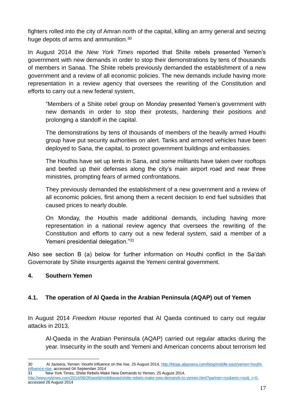fighters rolled into the city of Amran north of the capital, killing an army general and seizing huge depots of arms and ammunition.<sup>30</sup>

In August 2014 the *New York Times* reported that Shiite rebels presented Yemen's government with new demands in order to stop their demonstrations by tens of thousands of members in Sanaa. The Shiite rebels previously demanded the establishment of a new government and a review of all economic policies. The new demands include having more representation in a review agency that oversees the rewriting of the Constitution and efforts to carry out a new federal system,

"Members of a Shiite rebel group on Monday presented Yemen's government with new demands in order to stop their protests, hardening their positions and prolonging a standoff in the capital.

The demonstrations by tens of thousands of members of the heavily armed Houthi group have put security authorities on alert. Tanks and armored vehicles have been deployed to Sana, the capital, to protect government buildings and embassies.

The Houthis have set up tents in Sana, and some militants have taken over rooftops and beefed up their defenses along the city's main airport road and near three ministries, prompting fears of armed confrontations.

They previously demanded the establishment of a new government and a review of all economic policies, first among them a recent decision to end fuel subsidies that caused prices to nearly double.

On Monday, the Houthis made additional demands, including having more representation in a national review agency that oversees the rewriting of the Constitution and efforts to carry out a new federal system, said a member of a Yemeni presidential delegation."<sup>31</sup>

Also see section B (a) below for further information on Houthi conflict in the Sa'dah Governorate by Shiite insurgents against the Yemeni central government.

#### <span id="page-16-0"></span>**4. Southern Yemen**

#### <span id="page-16-1"></span>**4.1. The operation of Al Qaeda in the Arabian Peninsula (AQAP) out of Yemen**

In August 2014 *Freedom House* reported that Al Qaeda continued to carry out regular attacks in 2013,

Al-Qaeda in the Arabian Peninsula (AQAP) carried out regular attacks during the year. Insecurity in the south and Yemeni and American concerns about terrorism led

17

<sup>&</sup>lt;u>.</u> 30 Al Jazeera, Yemen: Houthi influence on the rise, 25 August 2014[, http://blogs.aljazeera.com/blog/middle-east/yemen-houthi](http://blogs.aljazeera.com/blog/middle-east/yemen-houthi-influence-rise)[influence-rise,](http://blogs.aljazeera.com/blog/middle-east/yemen-houthi-influence-rise) accessed 04 September 2014 31 New York Times, Shiite Rebels Make New Demands to Yemen, 25 August 2014,

http://www.nytimes.com/2014/08/26/world/middleeast/shiite-rebels-make-new-demands-to-yemen.html?partner=rss&emc=rss&\_r=0, accessed 26 August 2014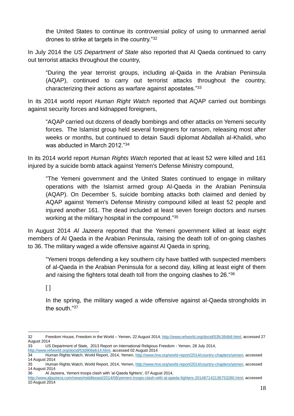the United States to continue its controversial policy of using to unmanned aerial drones to strike at targets in the country."<sup>32</sup>

In July 2014 the *US Department of State* also reported that Al Qaeda continued to carry out terrorist attacks throughout the country,

"During the year terrorist groups, including al-Qaida in the Arabian Peninsula (AQAP), continued to carry out terrorist attacks throughout the country, characterizing their actions as warfare against apostates."<sup>33</sup>

In its 2014 world report *Human Right Watch* reported that AQAP carried out bombings against security forces and kidnapped foreigners,

"AQAP carried out dozens of deadly bombings and other attacks on Yemeni security forces. The Islamist group held several foreigners for ransom, releasing most after weeks or months, but continued to detain Saudi diplomat Abdallah al-Khalidi, who was abducted in March 2012."<sup>34</sup>

In its 2014 world report *Human Rights Watch* reported that at least 52 were killed and 161 injured by a suicide bomb attack against Yemen's Defense Ministry compound,

"The Yemeni government and the United States continued to engage in military operations with the Islamist armed group Al-Qaeda in the Arabian Peninsula (AQAP). On December 5, suicide bombing attacks both claimed and denied by AQAP against Yemen's Defense Ministry compound killed at least 52 people and injured another 161. The dead included at least seven foreign doctors and nurses working at the military hospital in the compound."35

In August 2014 *Al Jazeera* reported that the Yemeni government killed at least eight members of Al Qaeda in the Arabian Peninsula, raising the death toll of on-going clashes to 36. The military waged a wide offensive against Al Qaeda in spring,

"Yemeni troops defending a key southern city have battled with suspected members of al-Qaeda in the Arabian Peninsula for a second day, killing at least eight of them and raising the fighters total death toll from the ongoing clashes to 26."<sup>36</sup>

 $\lceil$ 

<u>.</u>

In the spring, the military waged a wide offensive against al-Qaeda strongholds in the south "37

<sup>32</sup> Freedom House, Freedom in the World – Yemen, 22 August 2014[, http://www.refworld.org/docid/53fc364b9.html,](http://www.refworld.org/docid/53fc364b9.html) accessed 27 August 2014

<sup>33</sup> US Department of State, 2013 Report on International Religious Freedom - Yemen, 28 July 2014, [http://www.refworld.org/docid/53d906eb14.html,](http://www.refworld.org/docid/53d906eb14.html) accessed 02 August 2014

<sup>34</sup> Human Rights Watch, World Report, 2014, Yemen[, http://www.hrw.org/world-report/2014/country-chapters/yemen,](http://www.hrw.org/world-report/2014/country-chapters/yemen) accessed 14 August 2014

<sup>35</sup> Human Rights Watch, World Report, 2014, Yemen[, http://www.hrw.org/world-report/2014/country-chapters/yemen,](http://www.hrw.org/world-report/2014/country-chapters/yemen) accessed 14 August 2014

<sup>36</sup> Al Jazeera, Yemeni troops clash with 'al-Qaeda fighters', 07 August 2014,

[http://www.aljazeera.com/news/middleeast/2014/08/yemeni-troops-clash-with-al-qaeda-fighters-201487142136753280.html,](http://www.aljazeera.com/news/middleeast/2014/08/yemeni-troops-clash-with-al-qaeda-fighters-201487142136753280.html) accessed 10 August 2014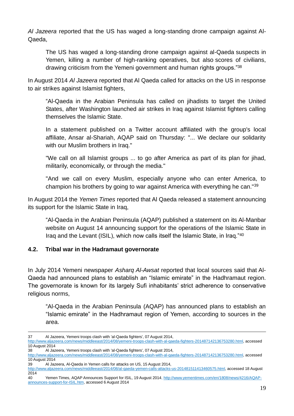*Al Jazeera* reported that the US has waged a long-standing drone campaign against Al-Qaeda,

The US has waged a long-standing drone campaign against al-Qaeda suspects in Yemen, killing a number of high-ranking operatives, but also scores of civilians, drawing criticism from the Yemeni government and human rights groups."<sup>38</sup>

In August 2014 *Al Jazeera* reported that Al Qaeda called for attacks on the US in response to air strikes against Islamist fighters,

"Al-Qaeda in the Arabian Peninsula has called on jihadists to target the United States, after Washington launched air strikes in Iraq against Islamist fighters calling themselves the Islamic State.

In a statement published on a Twitter account affiliated with the group's local affiliate, Ansar al-Shariah, AQAP said on Thursday: "... We declare our solidarity with our Muslim brothers in Iraq."

"We call on all Islamist groups ... to go after America as part of its plan for jihad, militarily, economically, or through the media."

"And we call on every Muslim, especially anyone who can enter America, to champion his brothers by going to war against America with everything he can."<sup>39</sup>

In August 2014 the *Yemen Times* reported that Al Qaeda released a statement announcing its support for the Islamic State in Iraq,

"Al-Qaeda in the Arabian Peninsula (AQAP) published a statement on its Al-Manbar website on August 14 announcing support for the operations of the Islamic State in Iraq and the Levant (ISIL), which now calls itself the Islamic State, in Iraq."<sup>40</sup>

#### <span id="page-18-0"></span>**4.2. Tribal war in the Hadramaut governorate**

In July 2014 Yemeni newspaper *Asharq Al-Awsat* reported that local sources said that Al-Qaeda had announced plans to establish an "Islamic emirate" in the Hadhramaut region. The governorate is known for its largely Sufi inhabitants' strict adherence to conservative religious norms,

"Al-Qaeda in the Arabian Peninsula (AQAP) has announced plans to establish an "Islamic emirate" in the Hadhramaut region of Yemen, according to sources in the area.

<u>.</u>

<sup>37</sup> Al Jazeera, Yemeni troops clash with 'al-Qaeda fighters', 07 August 2014, [http://www.aljazeera.com/news/middleeast/2014/08/yemeni-troops-clash-with-al-qaeda-fighters-201487142136753280.html,](http://www.aljazeera.com/news/middleeast/2014/08/yemeni-troops-clash-with-al-qaeda-fighters-201487142136753280.html) accessed 10 August 2014 38 Al Jazeera, Yemeni troops clash with 'al-Qaeda fighters', 07 August 2014,

[http://www.aljazeera.com/news/middleeast/2014/08/yemeni-troops-clash-with-al-qaeda-fighters-201487142136753280.html,](http://www.aljazeera.com/news/middleeast/2014/08/yemeni-troops-clash-with-al-qaeda-fighters-201487142136753280.html) accessed 10 August 2014

<sup>39</sup> Al Jazeera, Al-Qaeda in Yemen calls for attacks on US, 15 August 2014,

[http://www.aljazeera.com/news/middleeast/2014/08/al-qaeda-yemen-calls-attacks-us-201481511413460575.html,](http://www.aljazeera.com/news/middleeast/2014/08/al-qaeda-yemen-calls-attacks-us-201481511413460575.html) accessed 18 August 2014

<sup>40</sup> Yemen Times, AQAP Announces Support for ISIL, 19 August 2014[, http://www.yementimes.com/en/1808/news/4216/AQAP](http://www.yementimes.com/en/1808/news/4216/AQAP-announces-support-for-ISIL.htm)[announces-support-for-ISIL.htm,](http://www.yementimes.com/en/1808/news/4216/AQAP-announces-support-for-ISIL.htm) accessed 6 August 2014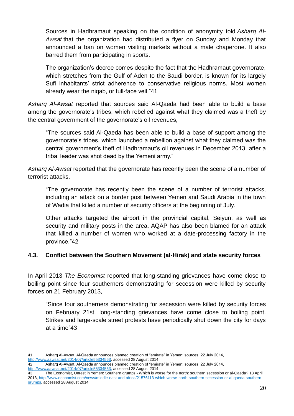Sources in Hadhramaut speaking on the condition of anonymity told *Asharq Al-Awsat* that the organization had distributed a flyer on Sunday and Monday that announced a ban on women visiting markets without a male chaperone. It also barred them from participating in sports.

The organization's decree comes despite the fact that the Hadhramaut governorate, which stretches from the Gulf of Aden to the Saudi border, is known for its largely Sufi inhabitants' strict adherence to conservative religious norms. Most women already wear the niqab, or full-face veil."41

*Asharq Al-Awsat* reported that sources said Al-Qaeda had been able to build a base among the governorate's tribes, which rebelled against what they claimed was a theft by the central government of the governorate's oil revenues,

"The sources said Al-Qaeda has been able to build a base of support among the governorate's tribes, which launched a rebellion against what they claimed was the central government's theft of Hadhramaut's oil revenues in December 2013, after a tribal leader was shot dead by the Yemeni army."

*Asharq Al-Awsat* reported that the governorate has recently been the scene of a number of terrorist attacks,

"The governorate has recently been the scene of a number of terrorist attacks, including an attack on a border post between Yemen and Saudi Arabia in the town of Wadia that killed a number of security officers at the beginning of July.

Other attacks targeted the airport in the provincial capital, Seiyun, as well as security and military posts in the area. AQAP has also been blamed for an attack that killed a number of women who worked at a date-processing factory in the province."42

#### <span id="page-19-0"></span>**4.3. Conflict between the Southern Movement (al-Hirak) and state security forces**

In April 2013 *The Economist* reported that long-standing grievances have come close to boiling point since four southerners demonstrating for secession were killed by security forces on 21 February 2013,

"Since four southerners demonstrating for secession were killed by security forces on February 21st, long-standing grievances have come close to boiling point. Strikes and large-scale street protests have periodically shut down the city for days at a time"43

<sup>1</sup> 41 Asharq Al-Awsat, Al-Qaeda announces planned creation of "emirate" in Yemen: sources, 22 July 2014, [http://www.aawsat.net/2014/07/article55334563,](http://www.aawsat.net/2014/07/article55334563) accessed 28 August 2014

<sup>42</sup> Asharq Al-Awsat, Al-Qaeda announces planned creation of "emirate" in Yemen: sources, 22 July 2014, [http://www.aawsat.net/2014/07/article55334563,](http://www.aawsat.net/2014/07/article55334563) accessed 28 August 2014

<sup>43</sup> The Economist, Unrest in Yemen: Southern grumps - Which is worse for the north: southern secession or al-Qaeda? 13 April 2013, [http://www.economist.com/news/middle-east-and-africa/21576113-which-worse-north-southern-secession-or-al-qaeda-southern](http://www.economist.com/news/middle-east-and-africa/21576113-which-worse-north-southern-secession-or-al-qaeda-southern-grumps)[grumps,](http://www.economist.com/news/middle-east-and-africa/21576113-which-worse-north-southern-secession-or-al-qaeda-southern-grumps) accessed 28 August 2014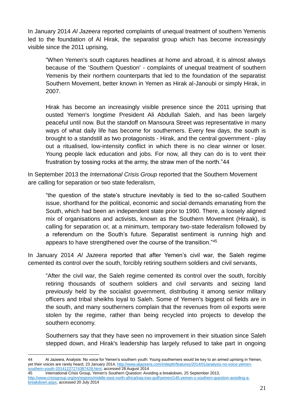In January 2014 *Al Jazeera* reported complaints of unequal treatment of southern Yemenis led to the foundation of Al Hirak, the separatist group which has become increasingly visible since the 2011 uprising,

"When Yemen's south captures headlines at home and abroad, it is almost always because of the 'Southern Question' - complaints of unequal treatment of southern Yemenis by their northern counterparts that led to the foundation of the separatist Southern Movement, better known in Yemen as Hirak al-Janoubi or simply Hirak, in 2007.

Hirak has become an increasingly visible presence since the 2011 uprising that ousted Yemen's longtime President Ali Abdullah Saleh, and has been largely peaceful until now. But the standoff on Mansoura Street was representative in many ways of what daily life has become for southerners. Every few days, the south is brought to a standstill as two protagonists - Hirak, and the central government - play out a ritualised, low-intensity conflict in which there is no clear winner or loser. Young people lack education and jobs. For now, all they can do is to vent their frustration by tossing rocks at the army, the straw men of the north."44

In September 2013 the *International Crisis Group* reported that the Southern Movement are calling for separation or two state federalism,

"the question of the state's structure inevitably is tied to the so-called Southern issue, shorthand for the political, economic and social demands emanating from the South, which had been an independent state prior to 1990. There, a loosely aligned mix of organisations and activists, known as the Southern Movement (Hiraak), is calling for separation or, at a minimum, temporary two-state federalism followed by a referendum on the South's future. Separatist sentiment is running high and appears to have strengthened over the course of the transition."<sup>45</sup>

In January 2014 *Al Jazeera* reported that after Yemen's civil war, the Saleh regime cemented its control over the south, forcibly retiring southern soldiers and civil servants,

"After the civil war, the Saleh regime cemented its control over the south, forcibly retiring thousands of southern soldiers and civil servants and seizing land previously held by the socialist government, distributing it among senior military officers and tribal sheikhs loyal to Saleh. Some of Yemen's biggest oil fields are in the south, and many southerners complain that the revenues from oil exports were stolen by the regime, rather than being recycled into projects to develop the southern economy.

Southerners say that they have seen no improvement in their situation since Saleh stepped down, and Hirak's leadership has largely refused to take part in ongoing

45 International Crisis Group, Yemen's Southern Question: Avoiding a breakdown, 25 September 2013, [http://www.crisisgroup.org/en/regions/middle-east-north-africa/iraq-iran-gulf/yemen/145-yemen-s-southern-question-avoiding-a](http://www.crisisgroup.org/en/regions/middle-east-north-africa/iraq-iran-gulf/yemen/145-yemen-s-southern-question-avoiding-a-breakdown.aspx)[breakdown.aspx,](http://www.crisisgroup.org/en/regions/middle-east-north-africa/iraq-iran-gulf/yemen/145-yemen-s-southern-question-avoiding-a-breakdown.aspx) accessed 20 July 2014

<sup>1</sup> 44 Al Jazeera, Analysis: No voice for Yemen's southern youth: Young southerners would be key to an armed uprising in Yemen, yet their voices are rarely heard, 23 January 2014, [http://www.aljazeera.com/indepth/features/2014/01/analysis-no-voice-yemen](http://www.aljazeera.com/indepth/features/2014/01/analysis-no-voice-yemen-southern-youth-20141227274387428.html)[southern-youth-20141227274387428.html,](http://www.aljazeera.com/indepth/features/2014/01/analysis-no-voice-yemen-southern-youth-20141227274387428.html) accessed 28 August 2014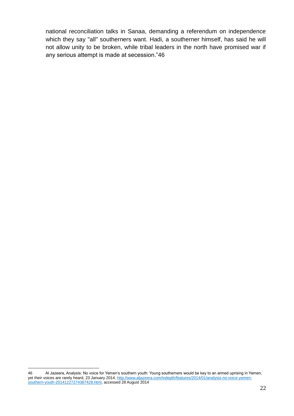national reconciliation talks in Sanaa, demanding a referendum on independence which they say "all" southerners want. Hadi, a southerner himself, has said he will not allow unity to be broken, while tribal leaders in the north have promised war if any serious attempt is made at secession."46

<sup>&</sup>lt;u>.</u> 46 Al Jazeera, Analysis: No voice for Yemen's southern youth: Young southerners would be key to an armed uprising in Yemen, yet their voices are rarely heard, 23 January 2014[, http://www.aljazeera.com/indepth/features/2014/01/analysis-no-voice-yemen](http://www.aljazeera.com/indepth/features/2014/01/analysis-no-voice-yemen-southern-youth-20141227274387428.html)[southern-youth-20141227274387428.html,](http://www.aljazeera.com/indepth/features/2014/01/analysis-no-voice-yemen-southern-youth-20141227274387428.html) accessed 28 August 2014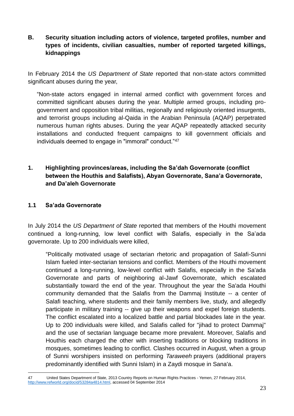<span id="page-22-0"></span>**B. Security situation including actors of violence, targeted profiles, number and types of incidents, civilian casualties, number of reported targeted killings, kidnappings**

In February 2014 the *US Department of State* reported that non-state actors committed significant abuses during the year,

"Non-state actors engaged in internal armed conflict with government forces and committed significant abuses during the year. Multiple armed groups, including progovernment and opposition tribal militias, regionally and religiously oriented insurgents, and terrorist groups including al-Qaida in the Arabian Peninsula (AQAP) perpetrated numerous human rights abuses. During the year AQAP repeatedly attacked security installations and conducted frequent campaigns to kill government officials and individuals deemed to engage in "immoral" conduct."<sup>47</sup>

<span id="page-22-1"></span>**1. Highlighting provinces/areas, including the Sa'dah Governorate (conflict between the Houthis and Salafists), Abyan Governorate, Sana'a Governorate, and Da'aleh Governorate**

#### <span id="page-22-2"></span>**1.1 Sa'ada Governorate**

In July 2014 the *US Department of State* reported that members of the Houthi movement continued a long-running, low level conflict with Salafis, especially in the Sa'ada governorate. Up to 200 individuals were killed,

"Politically motivated usage of sectarian rhetoric and propagation of Salafi-Sunni Islam fueled inter-sectarian tensions and conflict. Members of the Houthi movement continued a long-running, low-level conflict with Salafis, especially in the Sa'ada Governorate and parts of neighboring al-Jawf Governorate, which escalated substantially toward the end of the year. Throughout the year the Sa'ada Houthi community demanded that the Salafis from the Dammaj Institute -- a center of Salafi teaching, where students and their family members live, study, and allegedly participate in military training -- give up their weapons and expel foreign students. The conflict escalated into a localized battle and partial blockades late in the year. Up to 200 individuals were killed, and Salafis called for "jihad to protect Dammaj" and the use of sectarian language became more prevalent. Moreover, Salafis and Houthis each charged the other with inserting traditions or blocking traditions in mosques, sometimes leading to conflict. Clashes occurred in August, when a group of Sunni worshipers insisted on performing *Taraweeh* prayers (additional prayers predominantly identified with Sunni Islam) in a Zaydi mosque in Sana'a.

<sup>1</sup> 47 United States Department of State, 2013 Country Reports on Human Rights Practices - Yemen, 27 February 2014, [http://www.refworld.org/docid/53284a4814.html,](http://www.refworld.org/docid/53284a4814.html) accessed 04 September 2014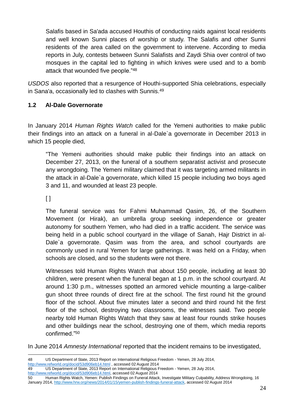Salafis based in Sa'ada accused Houthis of conducting raids against local residents and well known Sunni places of worship or study. The Salafis and other Sunni residents of the area called on the government to intervene. According to media reports in July, contests between Sunni Salafists and Zaydi Shia over control of two mosques in the capital led to fighting in which knives were used and to a bomb attack that wounded five people."<sup>48</sup>

*USDOS* also reported that a resurgence of Houthi-supported Shia celebrations, especially in Sana'a, occasionally led to clashes with Sunnis.<sup>49</sup>

#### <span id="page-23-0"></span>**1.2 Al-Dale Governorate**

In January 2014 *Human Rights Watch* called for the Yemeni authorities to make public their findings into an attack on a funeral in al-Dale`a governorate in December 2013 in which 15 people died,

"The Yemeni authorities should make public their findings into an attack on December 27, 2013, on the funeral of a southern separatist activist and prosecute any wrongdoing. The Yemeni military claimed that it was targeting armed militants in the attack in al-Dale`a governorate, which killed 15 people including two boys aged 3 and 11, and wounded at least 23 people.

 $\lceil \rceil$ 

The funeral service was for Fahmi Muhammad Qasim, 26, of the Southern Movement (or Hirak), an umbrella group seeking independence or greater autonomy for southern Yemen, who had died in a traffic accident. The service was being held in a public school courtyard in the village of Sanah, Hajr District in al-Dale`a governorate. Qasim was from the area, and school courtyards are commonly used in rural Yemen for large gatherings. It was held on a Friday, when schools are closed, and so the students were not there.

Witnesses told Human Rights Watch that about 150 people, including at least 30 children, were present when the funeral began at 1 p.m. in the school courtyard. At around 1:30 p.m., witnesses spotted an armored vehicle mounting a large-caliber gun shoot three rounds of direct fire at the school. The first round hit the ground floor of the school. About five minutes later a second and third round hit the first floor of the school, destroying two classrooms, the witnesses said. Two people nearby told Human Rights Watch that they saw at least four rounds strike houses and other buildings near the school, destroying one of them, which media reports confirmed."<sup>50</sup>

In June 2014 *Amnesty International* reported that the incident remains to be investigated,

<sup>1</sup> 48 US Department of State, 2013 Report on International Religious Freedom - Yemen, 28 July 2014, <http://www.refworld.org/docid/53d906eb14.html> , accessed 02 August 2014

<sup>49</sup> US Department of State, 2013 Report on International Religious Freedom - Yemen, 28 July 2014,

[http://www.refworld.org/docid/53d906eb14.html,](http://www.refworld.org/docid/53d906eb14.html) accessed 02 August 2014

<sup>50</sup> Human Rights Watch, Yemen: Publish Findings on Funeral Attack, Investigate Military Culpability, Address Wrongdoing, 16 January 2014[, http://www.hrw.org/news/2014/01/15/yemen-publish-findings-funeral-attack,](http://www.hrw.org/news/2014/01/15/yemen-publish-findings-funeral-attack) accessed 02 August 2014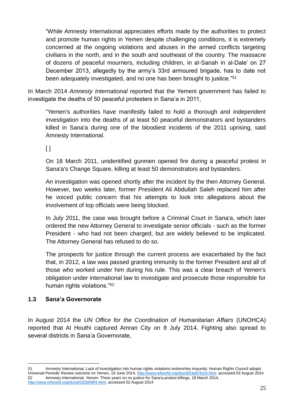"While Amnesty International appreciates efforts made by the authorities to protect and promote human rights in Yemen despite challenging conditions, it is extremely concerned at the ongoing violations and abuses in the armed conflicts targeting civilians in the north, and in the south and southeast of the country. The massacre of dozens of peaceful mourners, including children, in al-Sanah in al-Dale' on 27 December 2013, allegedly by the army's 33rd armoured brigade, has to date not been adequately investigated, and no one has been brought to justice."<sup>51</sup>

In March 2014 *Amnesty International* reported that the Yemeni government has failed to investigate the deaths of 50 peaceful protesters in Sana'a in 2011,

"Yemen's authorities have manifestly failed to hold a thorough and independent investigation into the deaths of at least 50 peaceful demonstrators and bystanders killed in Sana'a during one of the bloodiest incidents of the 2011 uprising, said Amnesty International.

 $\lceil$ 

On 18 March 2011, unidentified gunmen opened fire during a peaceful protest in Sana'a's Change Square, killing at least 50 demonstrators and bystanders.

An investigation was opened shortly after the incident by the then Attorney General. However, two weeks later, former President Ali Abdullah Saleh replaced him after he voiced public concern that his attempts to look into allegations about the involvement of top officials were being blocked.

In July 2011, the case was brought before a Criminal Court in Sana'a, which later ordered the new Attorney General to investigate senior officials - such as the former President - who had not been charged, but are widely believed to be implicated. The Attorney General has refused to do so.

The prospects for justice through the current process are exacerbated by the fact that, in 2012, a law was passed granting immunity to the former President and all of those who worked under him during his rule. This was a clear breach of Yemen's obligation under international law to investigate and prosecute those responsible for human rights violations."<sup>52</sup>

#### <span id="page-24-0"></span>**1.3 Sana'a Governorate**

1

In August 2014 the *UN Office for the Coordination of Humanitarian Affairs* (UNOHCA) reported that Al Houthi captured Amran City on 8 July 2014. Fighting also spread to several districts in Sana'a Governorate,

<sup>51</sup> Amnesty International, Lack of investigation into human rights violations entrenches impunity: Human Rights Council adopts Universal Periodic Review outcome on Yemen, 19 June 2014[, http://www.refworld.org/docid/53a97fe24.html,](http://www.refworld.org/docid/53a97fe24.html) accessed 02 August 2014 52 Amnesty International, Yemen: Three years on no justice for Sana'a protest killings, 18 March 2014, [http://www.refworld.org/docid/532bf08f4.html,](http://www.refworld.org/docid/532bf08f4.html) accessed 02 August 2014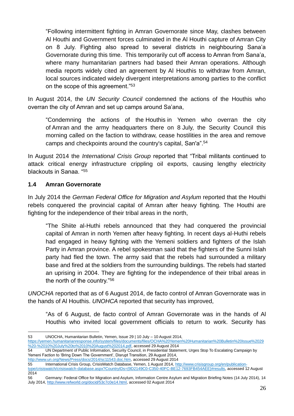"Following intermittent fighting in Amran Governorate since May, clashes between Al Houthi and Government forces culminated in the Al Houthi capture of Amran City on 8 July. Fighting also spread to several districts in neighbouring Sana'a Governorate during this time. This temporarily cut off access to Amran from Sana'a, where many humanitarian partners had based their Amran operations. Although media reports widely cited an agreement by Al Houthis to withdraw from Amran, local sources indicated widely divergent interpretations among parties to the conflict on the scope of this agreement."<sup>53</sup>

In August 2014, the *UN Security Council* condemned the actions of the Houthis who overran the city of Amran and set up camps around Sa'ana,

"Condemning the actions of the Houthis in Yemen who overran the city of Amran and the army headquarters there on 8 July, the Security Council this morning called on the faction to withdraw, cease hostilities in the area and remove camps and checkpoints around the country's capital, San'a".<sup>54</sup>

In August 2014 the *International Crisis Group* reported that "Tribal militants continued to attack critical energy infrastructure crippling oil exports, causing lengthy electricity blackouts in Sanaa. "<sup>55</sup>

#### **1.4 Amran Governorate**

In July 2014 the *German Federal Office for Migration and Asylum* reported that the Houthi rebels conquered the provincial capital of Amran after heavy fighting. The Houthi are fighting for the independence of their tribal areas in the north,

"The Shiite al-Huthi rebels announced that they had conquered the provincial capital of Amran in north Yemen after heavy fighting. In recent days al-Huthi rebels had engaged in heavy fighting with the Yemeni soldiers and fighters of the Islah Party in Amran province. A rebel spokesman said that the fighters of the Sunni Islah party had fled the town. The army said that the rebels had surrounded a military base and fired at the soldiers from the surrounding buildings. The rebels had started an uprising in 2004. They are fighting for the independence of their tribal areas in the north of the country."<sup>56</sup>

*UNOCHA* reported that as of 6 August 2014, de facto control of Amran Governorate was in the hands of Al Houthis. *UNOHCA* reported that security has improved,

"As of 6 August, de facto control of Amran Governorate was in the hands of Al Houthis who invited local government officials to return to work. Security has

[http://www.un.org/News/Press/docs/2014/sc11543.doc.htm,](http://www.un.org/News/Press/docs/2014/sc11543.doc.htm) accessed 29 August 2014

<sup>&</sup>lt;u>.</u> 53 UNOCHA, Humanitarian Bulletin, Yemen, Issue 29 | 10 July – 10 August 2014,

[https://yemen.humanitarianresponse.info/system/files/documents/files/OCHA%20Yemen%20Humanitarian%20Bulletin%20Issue%2029](https://yemen.humanitarianresponse.info/system/files/documents/files/OCHA%20Yemen%20Humanitarian%20Bulletin%20Issue%2029%20-%2010%20July%20to%2010%20August%202014.pdf) [%20-%2010%20July%20to%2010%20August%202014.pdf,](https://yemen.humanitarianresponse.info/system/files/documents/files/OCHA%20Yemen%20Humanitarian%20Bulletin%20Issue%2029%20-%2010%20July%20to%2010%20August%202014.pdf) accessed 29 August 2014

<sup>54</sup> UN Department of Public Information, Security Council, in Presidential Statement, Urges Stop To Escalating Campaign by Yemeni Faction to 'Bring Down The Government', Disrupt Transition, 29 August 2014,

<sup>55</sup> International Crisis Group, CrisisWatch Database, Yemen, 1 August 2014, [http://www.crisisgroup.org/en/publication](http://www.crisisgroup.org/en/publication-type/crisiswatch/crisiswatch-database.aspx?CountryIDs)[type/crisiswatch/crisiswatch-database.aspx?CountryIDs=](http://www.crisisgroup.org/en/publication-type/crisiswatch/crisiswatch-database.aspx?CountryIDs){9D2149C0-C350-40FC-BE12-7693FB454AEE}#results, accessed 12 August 2014

<sup>56</sup> Germany: Federal Office for Migration and Asylum, Information Centre Asylum and Migration Briefing Notes (14 July 2014), 14 July 2014[, http://www.refworld.org/docid/53c7c0e14.html,](http://www.refworld.org/docid/53c7c0e14.html) accessed 02 August 2014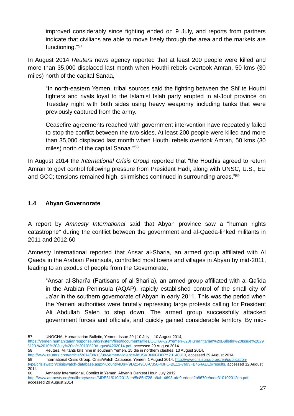improved considerably since fighting ended on 9 July, and reports from partners indicate that civilians are able to move freely through the area and the markets are functioning."<sup>57</sup>

In August 2014 *Reuters* news agency reported that at least 200 people were killed and more than 35,000 displaced last month when Houthi rebels overtook Amran, 50 kms (30 miles) north of the capital Sanaa,

"In north-eastern Yemen, tribal sources said the fighting between the Shi'ite Houthi fighters and rivals loyal to the Islamist Islah party erupted in al-Jouf province on Tuesday night with both sides using heavy weaponry including tanks that were previously captured from the army.

Ceasefire agreements reached with government intervention have repeatedly failed to stop the conflict between the two sides. At least 200 people were killed and more than 35,000 displaced last month when Houthi rebels overtook Amran, 50 kms (30 miles) north of the capital Sanaa."<sup>58</sup>

In August 2014 the *International Crisis Group* reported that "the Houthis agreed to return Amran to govt control following pressure from President Hadi, along with UNSC, U.S., EU and GCC; tensions remained high, skirmishes continued in surrounding areas."<sup>59</sup>

#### <span id="page-26-0"></span>**1.4 Abyan Governorate**

A report by *Amnesty International* said that Abyan province saw a "human rights catastrophe" during the conflict between the government and al-Qaeda-linked militants in 2011 and 2012.60

Amnesty International reported that Ansar al-Sharia, an armed group affiliated with Al Qaeda in the Arabian Peninsula, controlled most towns and villages in Abyan by mid-2011, leading to an exodus of people from the Governorate,

"Ansar al-Shari'a (Partisans of al-Shari'a), an armed group affiliated with al-Qa'ida in the Arabian Peninsula (AQAP), rapidly established control of the small city of Ja'ar in the southern governorate of Abyan in early 2011. This was the period when the Yemeni authorities were brutally repressing large protests calling for President Ali Abdullah Saleh to step down. The armed group successfully attacked government forces and officials, and quickly gained considerable territory. By mid-

58 Reuters, Militants kills nine in southern Yemen, 15 die in northern clashes, 13 August 2014,

[http://www.reuters.com/article/2014/08/13/us-yemen-violence-idUSKBN0GD0PY20140813,](http://www.reuters.com/article/2014/08/13/us-yemen-violence-idUSKBN0GD0PY20140813) accessed 29 August 2014

60 Amnesty International, Conflict in Yemen: Abyan's Darkest Hour, July 2012,

<sup>&</sup>lt;u>.</u> 57 UNOCHA, Humanitarian Bulletin, Yemen, Issue 29 | 10 July – 10 August 2014,

[https://yemen.humanitarianresponse.info/system/files/documents/files/OCHA%20Yemen%20Humanitarian%20Bulletin%20Issue%2029](https://yemen.humanitarianresponse.info/system/files/documents/files/OCHA%20Yemen%20Humanitarian%20Bulletin%20Issue%2029%20-%2010%20July%20to%2010%20August%202014.pdf) [%20-%2010%20July%20to%2010%20August%202014.pdf,](https://yemen.humanitarianresponse.info/system/files/documents/files/OCHA%20Yemen%20Humanitarian%20Bulletin%20Issue%2029%20-%2010%20July%20to%2010%20August%202014.pdf) accessed 29 August 2014

International Crisis Group, CrisisWatch Database, Yemen, 1 August 2014, [http://www.crisisgroup.org/en/publication-](http://www.crisisgroup.org/en/publication-type/crisiswatch/crisiswatch-database.aspx?CountryIDs)

[type/crisiswatch/crisiswatch-database.aspx?CountryIDs=](http://www.crisisgroup.org/en/publication-type/crisiswatch/crisiswatch-database.aspx?CountryIDs){9D2149C0-C350-40FC-BE12-7693FB454AEE}#results, accessed 12 August 2014

[http://www.amnesty.org/en/library/asset/MDE31/010/2012/en/5c85d728-a9ab-4693-afe9-edecc2b8670e/mde310102012en.pdf,](http://www.amnesty.org/en/library/asset/MDE31/010/2012/en/5c85d728-a9ab-4693-afe9-edecc2b8670e/mde310102012en.pdf) accessed 29 August 2014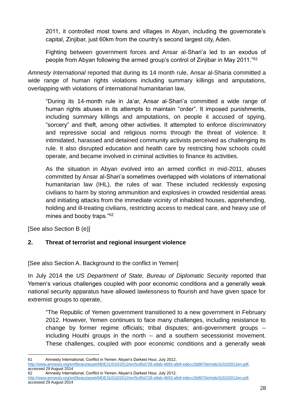2011, it controlled most towns and villages in Abyan, including the governorate's capital, Zinjibar, just 60km from the country's second largest city, Aden.

Fighting between government forces and Ansar al-Shari'a led to an exodus of people from Abyan following the armed group's control of Zinjibar in May 2011."<sup>61</sup>

*Amnesty International* reported that during its 14 month rule, Ansar al-Sharia committed a wide range of human rights violations including summary killings and amputations, overlapping with violations of international humanitarian law,

"During its 14-month rule in Ja'ar, Ansar al-Shari'a committed a wide range of human rights abuses in its attempts to maintain "order". It imposed punishments, including summary killings and amputations, on people it accused of spying, "sorcery" and theft, among other activities. It attempted to enforce discriminatory and repressive social and religious norms through the threat of violence. It intimidated, harassed and detained community activists perceived as challenging its rule. It also disrupted education and health care by restricting how schools could operate, and became involved in criminal activities to finance its activities.

As the situation in Abyan evolved into an armed conflict in mid-2011, abuses committed by Ansar al-Shari'a sometimes overlapped with violations of international humanitarian law (IHL), the rules of war. These included recklessly exposing civilians to harm by storing ammunition and explosives in crowded residential areas and initiating attacks from the immediate vicinity of inhabited houses, apprehending, holding and ill-treating civilians, restricting access to medical care, and heavy use of mines and booby traps."<sup>62</sup>

[See also Section B (e)]

#### <span id="page-27-0"></span>**2. Threat of terrorist and regional insurgent violence**

[See also Section A. Background to the conflict in Yemen]

In July 2014 the *US Department of State, Bureau of Diplomatic Security* reported that Yemen's various challenges coupled with poor economic conditions and a generally weak national security apparatus have allowed lawlessness to flourish and have given space for extremist groups to operate,

"The Republic of Yemen government transitioned to a new government in February 2012. However, Yemen continues to face many challenges, including resistance to change by former regime officials; tribal disputes; anti-government groups - including Houthi groups in the north -- and a southern secessionist movement. These challenges, coupled with poor economic conditions and a generally weak

<sup>1</sup> 61 Amnesty International, Conflict in Yemen: Abyan's Darkest Hour, July 2012,

[http://www.amnesty.org/en/library/asset/MDE31/010/2012/en/5c85d728-a9ab-4693-afe9-edecc2b8670e/mde310102012en.pdf,](http://www.amnesty.org/en/library/asset/MDE31/010/2012/en/5c85d728-a9ab-4693-afe9-edecc2b8670e/mde310102012en.pdf) accessed 29 August 2014 62 Amnesty International, Conflict in Yemen: Abyan's Darkest Hour, July 2012,

[http://www.amnesty.org/en/library/asset/MDE31/010/2012/en/5c85d728-a9ab-4693-afe9-edecc2b8670e/mde310102012en.pdf,](http://www.amnesty.org/en/library/asset/MDE31/010/2012/en/5c85d728-a9ab-4693-afe9-edecc2b8670e/mde310102012en.pdf) accessed 29 August 2014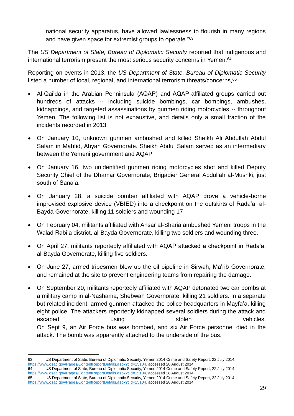national security apparatus, have allowed lawlessness to flourish in many regions and have given space for extremist groups to operate."<sup>63</sup>

The *US Department of State, Bureau of Diplomatic Security* reported that indigenous and international terrorism present the most serious security concerns in Yemen.<sup>64</sup>

Reporting on events in 2013, the *US Department of State, Bureau of Diplomatic Security* listed a number of local, regional, and international terrorism threats/concerns,<sup>65</sup>

- Al-Qai'da in the Arabian Penninsula (AQAP) and AQAP-affiliated groups carried out hundreds of attacks -- including suicide bombings, car bombings, ambushes, kidnappings, and targeted assassinations by gunmen riding motorcycles -- throughout Yemen. The following list is not exhaustive, and details only a small fraction of the incidents recorded in 2013
- On January 10, unknown gunmen ambushed and killed Sheikh Ali Abdullah Abdul Salam in Mahfid, Abyan Governorate. Sheikh Abdul Salam served as an intermediary between the Yemeni government and AQAP
- On January 16, two unidentified gunmen riding motorcycles shot and killed Deputy Security Chief of the Dhamar Governorate, Brigadier General Abdullah al-Mushki, just south of Sana'a.
- On January 28, a suicide bomber affiliated with AQAP drove a vehicle-borne improvised explosive device (VBIED) into a checkpoint on the outskirts of Rada'a, al-Bayda Governorate, killing 11 soldiers and wounding 17
- On February 04, militants affiliated with Ansar al-Sharia ambushed Yemeni troops in the Walad Rabi'a district, al-Bayda Governorate, killing two soldiers and wounding three.
- On April 27, militants reportedly affiliated with AQAP attacked a checkpoint in Rada'a, al-Bayda Governorate, killing five soldiers.
- On June 27, armed tribesmen blew up the oil pipeline in Sirwah, Ma'rib Governorate, and remained at the site to prevent engineering teams from repairing the damage.
- On September 20, militants reportedly affiliated with AQAP detonated two car bombs at a military camp in al-Nashama, Shebwah Governorate, killing 21 soldiers. In a separate but related incident, armed gunmen attacked the police headquarters in Mayfa'a, killing eight police. The attackers reportedly kidnapped several soldiers during the attack and escaped vehicles. Using using stolen stolen vehicles. On Sept 9, an Air Force bus was bombed, and six Air Force personnel died in the attack. The bomb was apparently attached to the underside of the bus.

1 63 US Department of State, Bureau of Diplomatic Security, Yemen 2014 Crime and Safety Report, 22 July 2014, [https://www.osac.gov/Pages/ContentReportDetails.aspx?cid=15104,](https://www.osac.gov/Pages/ContentReportDetails.aspx?cid=15104) accessed 28 August 2014 64 US Department of State, Bureau of Diplomatic Security, Yemen 2014 Crime and Safety Report, 22 July 2014, [https://www.osac.gov/Pages/ContentReportDetails.aspx?cid=15104,](https://www.osac.gov/Pages/ContentReportDetails.aspx?cid=15104) accessed 28 August 2014 65 US Department of State, Bureau of Diplomatic Security, Yemen 2014 Crime and Safety Report, 22 July 2014, [https://www.osac.gov/Pages/ContentReportDetails.aspx?cid=15104,](https://www.osac.gov/Pages/ContentReportDetails.aspx?cid=15104) accessed 28 August 2014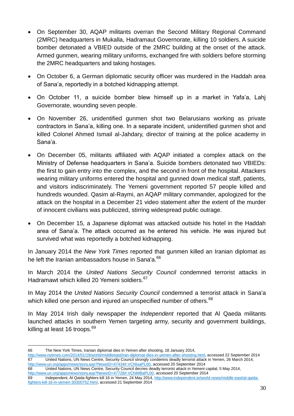- On September 30, AQAP militants overran the Second Military Regional Command (2MRC) headquarters in Mukalla, Hadramaut Governorate, killing 10 soldiers. A suicide bomber detonated a VBIED outside of the 2MRC building at the onset of the attack. Armed gunmen, wearing military uniforms, exchanged fire with soldiers before storming the 2MRC headquarters and taking hostages.
- On October 6, a German diplomatic security officer was murdered in the Haddah area of Sana'a, reportedly in a botched kidnapping attempt.
- On October 11, a suicide bomber blew himself up in a market in Yafa'a, Lahi Governorate, wounding seven people.
- On November 26, unidentified gunmen shot two Belarusians working as private contractors in Sana'a, killing one. In a separate incident, unidentified gunmen shot and killed Colonel Ahmed Ismail al-Jahdary, director of training at the police academy in Sana'a.
- On December 05, militants affiliated with AQAP initiated a complex attack on the Ministry of Defense headquarters in Sana'a. Suicide bombers detonated two VBIEDs: the first to gain entry into the complex, and the second in front of the hospital. Attackers wearing military uniforms entered the hospital and gunned down medical staff, patients, and visitors indiscriminately. The Yemeni government reported 57 people killed and hundreds wounded. Qasim al-Raymi, an AQAP military commander, apologized for the attack on the hospital in a December 21 video statement after the extent of the murder of innocent civilians was publicized, stirring widespread public outrage.
- On December 15, a Japanese diplomat was attacked outside his hotel in the Haddah area of Sana'a. The attack occurred as he entered his vehicle. He was injured but survived what was reportedly a botched kidnapping.

In January 2014 the *New York Times* reported that gunmen killed an Iranian diplomat as he left the Iranian ambassadors house in Sana'a.<sup>66</sup>

In March 2014 the *United Nations Security Council* condemned terrorist attacks in Hadramawt which killed 20 Yemeni soldiers.<sup>67</sup>

In May 2014 the *United Nations Security Council* condemned a terrorist attack in Sana'a which killed one person and injured an unspecified number of others.<sup>68</sup>

In May 2014 Irish daily newspaper the *Independent* reported that Al Qaeda militants launched attacks in southern Yemen targeting army, security and government buildings, killing at least 16 troops.<sup>69</sup>

68 United Nations, UN News Centre, Security Council decries deadly terrorist attack in Yemeni capital, 5 May 2014, [http://www.un.org/apps/news/story.asp?NewsID=47728#.VChiMBaPL00,](http://www.un.org/apps/news/story.asp?NewsID=47728#.VChiMBaPL00) accessed 20 September 2014

<sup>1</sup> 66 The New York Times, Iranian diplomat dies in Yemen after shooting, 18 January 2014,

[http://www.nytimes.com/2014/01/19/world/middleeast/iran-diplomat-dies-in-yemen-after-shooting.html,](http://www.nytimes.com/2014/01/19/world/middleeast/iran-diplomat-dies-in-yemen-after-shooting.html) accessed 22 September 2014<br>67 **United Nations UN News Centre, Security Council strongly condemns deadly terrorist attack i** United Nations, UN News Centre, Security Council strongly condemns deadly terrorist attack in Yemen, 26 March 2014, [http://www.un.org/apps/news/story.asp?NewsID=47434#.VChlixaPL00,](http://www.un.org/apps/news/story.asp?NewsID=47434#.VChlixaPL00) accessed 20 September 2014

<sup>69</sup> Independent, Al Qaida fighters kill 16 in Yemen, 24 May 2014[, http://www.independent.ie/world-news/middle-east/al-qaida](http://www.independent.ie/world-news/middle-east/al-qaida-fighters-kill-16-in-yemen-30300752.html)[fighters-kill-16-in-yemen-30300752.html,](http://www.independent.ie/world-news/middle-east/al-qaida-fighters-kill-16-in-yemen-30300752.html) accessed 21 September 2014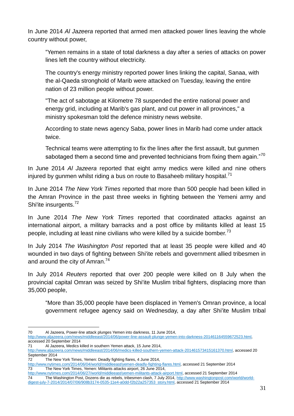In June 2014 *Al Jazeera* reported that armed men attacked power lines leaving the whole country without power,

"Yemen remains in a state of total darkness a day after a series of attacks on power lines left the country without electricity.

The country's energy ministry reported power lines linking the capital, Sanaa, with the al-Qaeda stronghold of Marib were attacked on Tuesday, leaving the entire nation of 23 million people without power.

"The act of sabotage at Kilometre 78 suspended the entire national power and energy grid, including at Marib's gas plant, and cut power in all provinces," a ministry spokesman told the defence ministry news website.

According to state news agency Saba, power lines in Marib had come under attack twice.

Technical teams were attempting to fix the lines after the first assault, but gunmen sabotaged them a second time and prevented technicians from fixing them again."<sup>70</sup>

In June 2014 *Al Jazeera* reported that eight army medics were killed and nine others injured by gunmen whilst riding a bus on route to Basaheeb military hospital.<sup>71</sup>

In June 2014 *The New York Times* reported that more than 500 people had been killed in the Amran Province in the past three weeks in fighting between the Yemeni army and Shi'ite insurgents.<sup>72</sup>

In June 2014 *The New York Times* reported that coordinated attacks against an international airport, a military barracks and a post office by militants killed at least 15 people, including at least nine civilians who were killed by a suicide bomber.<sup>73</sup>

In July 2014 *The Washington Post* reported that at least 35 people were killed and 40 wounded in two days of fighting between Shi'ite rebels and government allied tribesmen in and around the city of Amran.<sup>74</sup>

In July 2014 *Reuters* reported that over 200 people were killed on 8 July when the provincial capital Omran was seized by Shi'ite Muslim tribal fighters, displacing more than 35,000 people,

"More than 35,000 people have been displaced in Yemen's Omran province, a local government refugee agency said on Wednesday, a day after Shi'ite Muslim tribal

[http://www.aljazeera.com/news/middleeast/2014/06/power-line-assault-plunge-yemen-into-darkness-201461164559672523.html,](http://www.aljazeera.com/news/middleeast/2014/06/power-line-assault-plunge-yemen-into-darkness-201461164559672523.html)  accessed 20 September 2014

- 71 Al Jazeera, Medics killed in southern Yemen attack, 15 June 2014, [http://www.aljazeera.com/news/middleeast/2014/06/medics-killed-southern-yemen-attack-201461573415161370.html,](http://www.aljazeera.com/news/middleeast/2014/06/medics-killed-southern-yemen-attack-201461573415161370.html) accessed 20
- 
- September 2014<br>72 The Ne The New York Times, Yemen: Deadly fighting flares, 4 June 2014,

[http://www.nytimes.com/2014/06/04/world/middleeast/yemen-deadly-fighting-flares.html,](http://www.nytimes.com/2014/06/04/world/middleeast/yemen-deadly-fighting-flares.html) accessed 21 September 2014 73 The New York Times, Yemen: Militants attacks airport, 26 June 2014,

[http://www.nytimes.com/2014/06/27/world/middleeast/yemen-militants-attack-airport.html,](http://www.nytimes.com/2014/06/27/world/middleeast/yemen-militants-attack-airport.html) accessed 21 September 2014 74 The Washington Post, Dozens die as rebels, tribesmen clash, 7 July 2014, [http://www.washingtonpost.com/world/world](http://www.washingtonpost.com/world/world-digest-july-7-2014/2014/07/06/908b3174-0535-11e4-a0dd-f2b22a257353_story.html)[digest-july-7-2014/2014/07/06/908b3174-0535-11e4-a0dd-f2b22a257353\\_story.html,](http://www.washingtonpost.com/world/world-digest-july-7-2014/2014/07/06/908b3174-0535-11e4-a0dd-f2b22a257353_story.html) accessed 21 September 2014

<sup>1</sup> 70 Al Jazeera, Power-line attack plunges Yemen into darkness, 11 June 2014,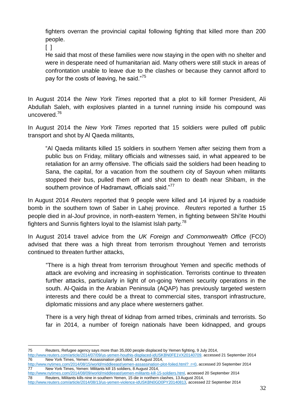fighters overran the provincial capital following fighting that killed more than 200 people.

 $\Box$ 

He said that most of these families were now staying in the open with no shelter and were in desperate need of humanitarian aid. Many others were still stuck in areas of confrontation unable to leave due to the clashes or because they cannot afford to pay for the costs of leaving, he said."<sup>75</sup>

In August 2014 the *New York Times* reported that a plot to kill former President, Ali Abdullah Saleh, with explosives planted in a tunnel running inside his compound was uncovered.<sup>76</sup>

In August 2014 the *New York Times* reported that 15 soldiers were pulled off public transport and shot by Al Qaeda militants,

"Al Qaeda militants killed 15 soldiers in southern Yemen after seizing them from a public bus on Friday, military officials and witnesses said, in what appeared to be retaliation for an army offensive. The officials said the soldiers had been heading to Sana, the capital, for a vacation from the southern city of Sayoun when militants stopped their bus, pulled them off and shot them to death near Shibam, in the southern province of Hadramawt, officials said."<sup>77</sup>

In August 2014 *Reuters* reported that 9 people were killed and 14 injured by a roadside bomb in the southern town of Saber in Lahej province. *Reuters* reported a further 15 people died in al-Jouf province, in north-eastern Yemen, in fighting between Shi'ite Houthi fighters and Sunnis fighters loyal to the Islamist Islah party.<sup>78</sup>

In August 2014 travel advice from the *UK Foreign and Commonwealth Office* (FCO) advised that there was a high threat from terrorism throughout Yemen and terrorists continued to threaten further attacks,

"There is a high threat from terrorism throughout Yemen and specific methods of attack are evolving and increasing in sophistication. Terrorists continue to threaten further attacks, particularly in light of on-going Yemeni security operations in the south. Al-Qaida in the Arabian Peninsula (AQAP) has previously targeted western interests and there could be a threat to commercial sites, transport infrastructure, diplomatic missions and any place where westerners gather.

There is a very high threat of kidnap from armed tribes, criminals and terrorists. So far in 2014, a number of foreign nationals have been kidnapped, and groups

1 75 Reuters, Refugee agency says more than 35,000 people displaced by Yemen fighting, 9 July 2014,

[http://www.reuters.com/article/2014/07/09/us-yemen-houthis-displaced-idUSKBN0FE1VX20140709,](http://www.reuters.com/article/2014/07/09/us-yemen-houthis-displaced-idUSKBN0FE1VX20140709) accessed 21 September 2014<br>76 New York Times. Yemen: Assassination plot foiled. 14 August 2014, New York Times, Yemen: Assassination plot foiled, 14 August 2014,

[http://www.nytimes.com/2014/08/09/world/middleeast/yemen-militants-kill-15-soldiers.html,](http://www.nytimes.com/2014/08/09/world/middleeast/yemen-militants-kill-15-soldiers.html) accessed 20 September 2014 78 Reuters, Militants kills nine in southern Yemen, 15 die in northern clashes, 13 August 2014, [http://www.reuters.com/article/2014/08/13/us-yemen-violence-idUSKBN0GD0PY20140813,](http://www.reuters.com/article/2014/08/13/us-yemen-violence-idUSKBN0GD0PY20140813) accessed 22 September 2014

[http://www.nytimes.com/2014/08/15/world/middleeast/yemen-assassination-plot-foiled.html?\\_r=0,](http://www.nytimes.com/2014/08/15/world/middleeast/yemen-assassination-plot-foiled.html?_r=0) accessed 20 September 2014 77 New York Times, Yemen: Militants kill 15 soldiers, 8 August 2014,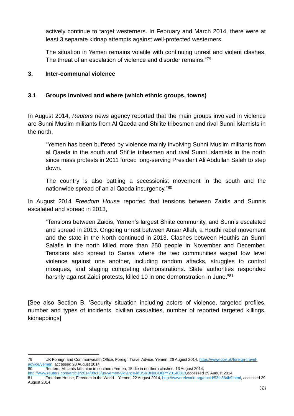actively continue to target westerners. In February and March 2014, there were at least 3 separate kidnap attempts against well-protected westerners.

The situation in Yemen remains volatile with continuing unrest and violent clashes. The threat of an escalation of violence and disorder remains."<sup>79</sup>

#### <span id="page-32-0"></span>**3. Inter-communal violence**

#### <span id="page-32-1"></span>**3.1 Groups involved and where (which ethnic groups, towns)**

In August 2014, *Reuters* news agency reported that the main groups involved in violence are Sunni Muslim militants from Al Qaeda and Shi'ite tribesmen and rival Sunni Islamists in the north,

"Yemen has been buffeted by violence mainly involving Sunni Muslim militants from al Qaeda in the south and Shi'ite tribesmen and rival Sunni Islamists in the north since mass protests in 2011 forced long-serving President Ali Abdullah Saleh to step down.

The country is also battling a secessionist movement in the south and the nationwide spread of an al Qaeda insurgency."<sup>80</sup>

In August 2014 *Freedom House* reported that tensions between Zaidis and Sunnis escalated and spread in 2013,

"Tensions between Zaidis, Yemen's largest Shiite community, and Sunnis escalated and spread in 2013. Ongoing unrest between Ansar Allah, a Houthi rebel movement and the state in the North continued in 2013. Clashes between Houthis an Sunni Salafis in the north killed more than 250 people in November and December. Tensions also spread to Sanaa where the two communities waged low level violence against one another, including random attacks, struggles to control mosques, and staging competing demonstrations. State authorities responded harshly against Zaidi protests, killed 10 in one demonstration in June."<sup>81</sup>

[See also Section B. 'Security situation including actors of violence, targeted profiles, number and types of incidents, civilian casualties, number of reported targeted killings, kidnappings]

<sup>1</sup> 79 UK Foreign and Commonwealth Office, Foreign Travel Advice, Yemen, 26 August 2014, [https://www.gov.uk/foreign-travel](https://www.gov.uk/foreign-travel-advice/yemen)[advice/yemen,](https://www.gov.uk/foreign-travel-advice/yemen) accessed 28 August 2014

<sup>80</sup> Reuters, Militants kills nine in southern Yemen, 15 die in northern clashes, 13 August 2014,

<http://www.reuters.com/article/2014/08/13/us-yemen-violence-idUSKBN0GD0PY20140813,accessed> 29 August 2014 81 Freedom House, Freedom in the World – Yemen, 22 August 2014[, http://www.refworld.org/docid/53fc364b9.html,](http://www.refworld.org/docid/53fc364b9.html) accessed 29 August 2014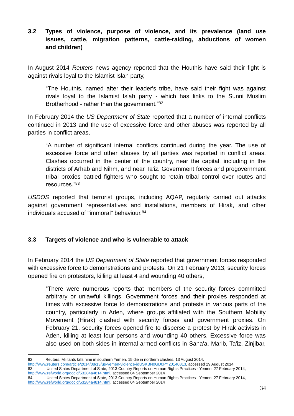#### <span id="page-33-0"></span>**3.2 Types of violence, purpose of violence, and its prevalence (land use issues, cattle, migration patterns, cattle-raiding, abductions of women and children)**

In August 2014 *Reuters* news agency reported that the Houthis have said their fight is against rivals loyal to the Islamist Islah party,

"The Houthis, named after their leader's tribe, have said their fight was against rivals loyal to the Islamist Islah party - which has links to the Sunni Muslim Brotherhood - rather than the government."<sup>82</sup>

In February 2014 the *US Department of State* reported that a number of internal conflicts continued in 2013 and the use of excessive force and other abuses was reported by all parties in conflict areas,

"A number of significant internal conflicts continued during the year. The use of excessive force and other abuses by all parties was reported in conflict areas. Clashes occurred in the center of the country, near the capital, including in the districts of Arhab and Nihm, and near Ta'iz. Government forces and progovernment tribal proxies battled fighters who sought to retain tribal control over routes and resources."<sup>83</sup>

*USDOS* reported that terrorist groups, including AQAP, regularly carried out attacks against government representatives and installations, members of Hirak, and other individuals accused of "immoral" behaviour.<sup>84</sup>

#### <span id="page-33-1"></span>**3.3 Targets of violence and who is vulnerable to attack**

In February 2014 the *US Department of State* reported that government forces responded with excessive force to demonstrations and protests. On 21 February 2013, security forces opened fire on protestors, killing at least 4 and wounding 40 others,

"There were numerous reports that members of the security forces committed arbitrary or unlawful killings. Government forces and their proxies responded at times with excessive force to demonstrations and protests in various parts of the country, particularly in Aden, where groups affiliated with the Southern Mobility Movement (Hirak) clashed with security forces and government proxies. On February 21, security forces opened fire to disperse a protest by Hirak activists in Aden, killing at least four persons and wounding 40 others. Excessive force was also used on both sides in internal armed conflicts in Sana'a, Marib, Ta'iz, Zinjibar,

1 82 Reuters, Militants kills nine in southern Yemen, 15 die in northern clashes, 13 August 2014, [http://www.reuters.com/article/2014/08/13/us-yemen-violence-idUSKBN0GD0PY20140813,](http://www.reuters.com/article/2014/08/13/us-yemen-violence-idUSKBN0GD0PY20140813) accessed 29 August 2014 83 United States Department of State, 2013 Country Reports on Human Rights Practices - Yemen, 27 February 2014, [http://www.refworld.org/docid/53284a4814.html,](http://www.refworld.org/docid/53284a4814.html) accessed 04 September 2014 84 United States Department of State, 2013 Country Reports on Human Rights Practices - Yemen, 27 February 2014, [http://www.refworld.org/docid/53284a4814.html,](http://www.refworld.org/docid/53284a4814.html) accessed 04 September 2014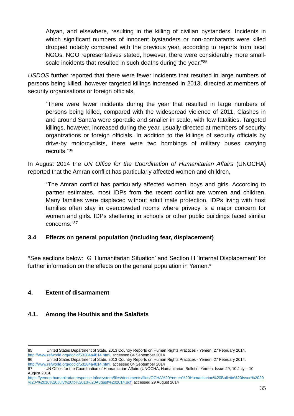Abyan, and elsewhere, resulting in the killing of civilian bystanders. Incidents in which significant numbers of innocent bystanders or non-combatants were killed dropped notably compared with the previous year, according to reports from local NGOs. NGO representatives stated, however, there were considerably more smallscale incidents that resulted in such deaths during the year."85

*USDOS* further reported that there were fewer incidents that resulted in large numbers of persons being killed, however targeted killings increased in 2013, directed at members of security organisations or foreign officials,

"There were fewer incidents during the year that resulted in large numbers of persons being killed, compared with the widespread violence of 2011. Clashes in and around Sana'a were sporadic and smaller in scale, with few fatalities. Targeted killings, however, increased during the year, usually directed at members of security organizations or foreign officials. In addition to the killings of security officials by drive-by motorcyclists, there were two bombings of military buses carrying recruits."<sup>86</sup>

In August 2014 the *UN Office for the Coordination of Humanitarian Affairs* (UNOCHA) reported that the Amran conflict has particularly affected women and children,

"The Amran conflict has particularly affected women, boys and girls. According to partner estimates, most IDPs from the recent conflict are women and children. Many families were displaced without adult male protection. IDPs living with host families often stay in overcrowded rooms where privacy is a major concern for women and girls. IDPs sheltering in schools or other public buildings faced similar concerns."<sup>87</sup>

#### <span id="page-34-0"></span>**3.4 Effects on general population (including fear, displacement)**

\*See sections below: G 'Humanitarian Situation' and Section H 'Internal Displacement' for further information on the effects on the general population in Yemen.\*

#### <span id="page-34-1"></span>**4. Extent of disarmament**

1

#### <span id="page-34-2"></span>**4.1. Among the Houthis and the Salafists**

<sup>85</sup> United States Department of State, 2013 Country Reports on Human Rights Practices - Yemen, 27 February 2014, [http://www.refworld.org/docid/53284a4814.html,](http://www.refworld.org/docid/53284a4814.html) accessed 04 September 2014

<sup>86</sup> United States Department of State, 2013 Country Reports on Human Rights Practices - Yemen, 27 February 2014, [http://www.refworld.org/docid/53284a4814.html,](http://www.refworld.org/docid/53284a4814.html) accessed 04 September 2014

<sup>87</sup> UN Office for the Coordination of Humanitarian Affairs (UNOCHA, Humanitarian Bulletin, Yemen, Issue 29, 10 July – 10 August 2014,

[https://yemen.humanitarianresponse.info/system/files/documents/files/OCHA%20Yemen%20Humanitarian%20Bulletin%20Issue%2029](https://yemen.humanitarianresponse.info/system/files/documents/files/OCHA%20Yemen%20Humanitarian%20Bulletin%20Issue%2029%20-%2010%20July%20to%2010%20August%202014.pdf) [%20-%2010%20July%20to%2010%20August%202014.pdf,](https://yemen.humanitarianresponse.info/system/files/documents/files/OCHA%20Yemen%20Humanitarian%20Bulletin%20Issue%2029%20-%2010%20July%20to%2010%20August%202014.pdf) accessed 29 August 2014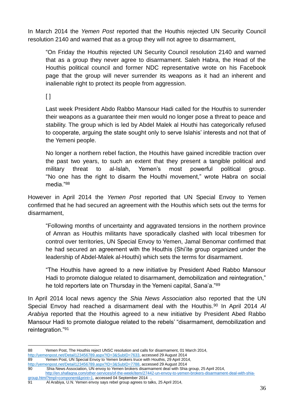In March 2014 the *Yemen Post* reported that the Houthis rejected UN Security Council resolution 2140 and warned that as a group they will not agree to disarmament,

"On Friday the Houthis rejected UN Security Council resolution 2140 and warned that as a group they never agree to disarmament. Saleh Habra, the Head of the Houthis political council and former NDC representative wrote on his Facebook page that the group will never surrender its weapons as it had an inherent and inalienable right to protect its people from aggression.

 $\lceil$   $\rceil$ 

Last week President Abdo Rabbo Mansour Hadi called for the Houthis to surrender their weapons as a guarantee their men would no longer pose a threat to peace and stability. The group which is led by Abdel Malek al Houthi has categorically refused to cooperate, arguing the state sought only to serve Islahis' interests and not that of the Yemeni people.

No longer a northern rebel faction, the Houthis have gained incredible traction over the past two years, to such an extent that they present a tangible political and military threat to al-Islah, Yemen's most powerful political group. "No one has the right to disarm the Houthi movement," wrote Habra on social media."<sup>88</sup>

However in April 2014 the *Yemen Post* reported that UN Special Envoy to Yemen confirmed that he had secured an agreement with the Houthis which sets out the terms for disarmament,

"Following months of uncertainty and aggravated tensions in the northern province of Amran as Houthis militants have sporadically clashed with local tribesmen for control over territories, UN Special Envoy to Yemen, Jamal Benomar confirmed that he had secured an agreement with the Houthis (Shi'ite group organized under the leadership of Abdel-Malek al-Houthi) which sets the terms for disarmament.

"The Houthis have agreed to a new initiative by President Abed Rabbo Mansour Hadi to promote dialogue related to disarmament, demobilization and reintegration," he told reporters late on Thursday in the Yemeni capital, Sana'a."<sup>89</sup>

In April 2014 local news agency the *Shia News Association* also reported that the UN Special Envoy had reached a disarmament deal with the Houthis. <sup>90</sup> In April 2014 *Al Arabiya* reported that the Houthis agreed to a new initiative by President Abed Rabbo Mansour Hadi to promote dialogue related to the rebels' "disarmament, demobilization and reintegration."<sup>91</sup>

<sup>1</sup> 88 Yemen Post, The Houthis reject UNSC resolution and calls for disarmament, 01 March 2014,

[http://yemenpost.net/Detail123456789.aspx?ID=3&SubID=7633,](http://yemenpost.net/Detail123456789.aspx?ID=3&SubID=7633) accessed 29 August 2014<br>89 Yemen Post. UN Special Envoy to Yemen brokers truce with Houthis. 29 April 201 Yemen Post, UN Special Envoy to Yemen brokers truce with Houthis, 29 April 2014, [http://yemenpost.net/Detail123456789.aspx?ID=3&SubID=7788,](http://yemenpost.net/Detail123456789.aspx?ID=3&SubID=7788) accessed 29 August 2014

<sup>90</sup> Shia News Association, UN envoy to Yemen brokers disarmament deal with Shia group, 25 April 2014, [http://en.shafaqna.com/other-services/of-the-week/item/27442-un-envoy-to-yemen-brokers-disarmament-deal-with-shia-](http://en.shafaqna.com/other-services/of-the-week/item/27442-un-envoy-to-yemen-brokers-disarmament-deal-with-shia-group.html?tmpl=component&print=1)

[group.html?tmpl=component&print=1,](http://en.shafaqna.com/other-services/of-the-week/item/27442-un-envoy-to-yemen-brokers-disarmament-deal-with-shia-group.html?tmpl=component&print=1) accessed 04 September 2014 ,

<sup>91</sup> Al Arabiya, U.N. Yemen envoy says rebel group agrees to talks, 25 April 2014,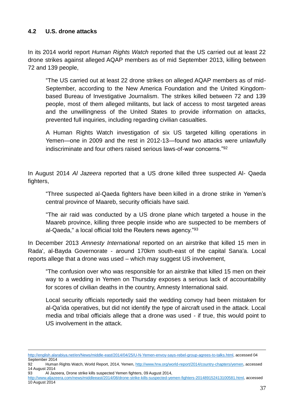#### **4.2 U.S. drone attacks**

In its 2014 world report *Human Rights Watch* reported that the US carried out at least 22 drone strikes against alleged AQAP members as of mid September 2013, killing between 72 and 139 people,

"The US carried out at least 22 drone strikes on alleged AQAP members as of mid-September, according to the New America Foundation and the United Kingdombased Bureau of Investigative Journalism. The strikes killed between 72 and 139 people, most of them alleged militants, but lack of access to most targeted areas and the unwillingness of the United States to provide information on attacks, prevented full inquiries, including regarding civilian casualties.

A Human Rights Watch investigation of six US targeted killing operations in Yemen—one in 2009 and the rest in 2012-13—found two attacks were unlawfully indiscriminate and four others raised serious laws-of-war concerns."<sup>92</sup>

In August 2014 *Al Jazeera* reported that a US drone killed three suspected Al- Qaeda fighters,

"Three suspected al-Qaeda fighters have been killed in a drone strike in Yemen's central province of Maareb, security officials have said.

"The air raid was conducted by a US drone plane which targeted a house in the Maareb province, killing three people inside who are suspected to be members of al-Qaeda," a local official told the Reuters news agency."<sup>93</sup>

In December 2013 *Amnesty International* reported on an airstrike that killed 15 men in Rada', al-Bayda Governorate - around 170km south-east of the capital Sana'a. Local reports allege that a drone was used – which may suggest US involvement,

"The confusion over who was responsible for an airstrike that killed 15 men on their way to a wedding in Yemen on Thursday exposes a serious lack of accountability for scores of civilian deaths in the country, Amnesty International said.

Local security officials reportedly said the wedding convoy had been mistaken for al-Qa'ida operatives, but did not identify the type of aircraft used in the attack. Local media and tribal officials allege that a drone was used - if true, this would point to US involvement in the attack.

<sup>1</sup> [http://english.alarabiya.net/en/News/middle-east/2014/04/25/U-N-Yemen-envoy-says-rebel-group-agrees-to-talks.html,](http://english.alarabiya.net/en/News/middle-east/2014/04/25/U-N-Yemen-envoy-says-rebel-group-agrees-to-talks.html) accessed 04 September 2014

<sup>92</sup> Human Rights Watch, World Report, 2014, Yemen[, http://www.hrw.org/world-report/2014/country-chapters/yemen,](http://www.hrw.org/world-report/2014/country-chapters/yemen) accessed 14 August 2014

<sup>93</sup> Al Jazeera, Drone strike kills suspected Yemen fighters, 09 August 2014, [http://www.aljazeera.com/news/middleeast/2014/08/drone-strike-kills-suspected-yemen-fighters-201489152413100581.html,](http://www.aljazeera.com/news/middleeast/2014/08/drone-strike-kills-suspected-yemen-fighters-201489152413100581.html) accessed

<sup>10</sup> August 2014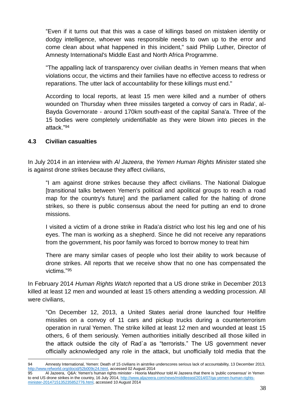"Even if it turns out that this was a case of killings based on mistaken identity or dodgy intelligence, whoever was responsible needs to own up to the error and come clean about what happened in this incident," said Philip Luther, Director of Amnesty International's Middle East and North Africa Programme.

"The appalling lack of transparency over civilian deaths in Yemen means that when violations occur, the victims and their families have no effective access to redress or reparations. The utter lack of accountability for these killings must end."

According to local reports, at least 15 men were killed and a number of others wounded on Thursday when three missiles targeted a convoy of cars in Rada', al-Bayda Governorate - around 170km south-east of the capital Sana'a. Three of the 15 bodies were completely unidentifiable as they were blown into pieces in the attack."<sup>94</sup>

#### **4.3 Civilian casualties**

In July 2014 in an interview with *Al Jazeera*, the *Yemen Human Rights Minister* stated she is against drone strikes because they affect civilians,

"I am against drone strikes because they affect civilians. The National Dialogue [transitional talks between Yemen's political and apolitical groups to reach a road map for the country's future] and the parliament called for the halting of drone strikes, so there is public consensus about the need for putting an end to drone missions.

I visited a victim of a drone strike in Rada'a district who lost his leg and one of his eyes. The man is working as a shepherd. Since he did not receive any reparations from the government, his poor family was forced to borrow money to treat him

There are many similar cases of people who lost their ability to work because of drone strikes. All reports that we receive show that no one has compensated the victims."<sup>95</sup>

In February 2014 *Human Rights Watch* reported that a US drone strike in December 2013 killed at least 12 men and wounded at least 15 others attending a wedding procession. All were civilians,

"On December 12, 2013, a United States aerial drone launched four Hellfire missiles on a convoy of 11 cars and pickup trucks during a counterterrorism operation in rural Yemen. The strike killed at least 12 men and wounded at least 15 others, 6 of them seriously. Yemen authorities initially described all those killed in the attack outside the city of Rad`a as "terrorists." The US government never officially acknowledged any role in the attack, but unofficially told media that the

<sup>&</sup>lt;u>.</u> 94 Amnesty International, Yemen: Death of 15 civilians in airstrike underscores serious lack of accountability, 13 December 2013, [http://www.refworld.org/docid/52b009c24.html,](http://www.refworld.org/docid/52b009c24.html) accessed 02 August 2014

<sup>95</sup> Al Jazeera, Q&A: Yemen's human rights minister - Hooria Mashhour told Al Jazeera that there is 'public consensus' in Yemen to end US drone strikes in the country, 16 July 2014, [http://www.aljazeera.com/news/middleeast/2014/07/qa-yemen-human-rights](http://www.aljazeera.com/news/middleeast/2014/07/qa-yemen-human-rights-minister-2014715135235852776.html)[minister-2014715135235852776.html,](http://www.aljazeera.com/news/middleeast/2014/07/qa-yemen-human-rights-minister-2014715135235852776.html) accessed 10 August 2014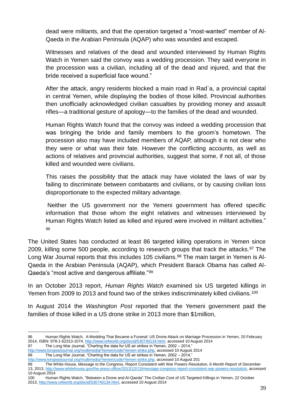dead were militants, and that the operation targeted a "most-wanted" member of Al-Qaeda in the Arabian Peninsula (AQAP) who was wounded and escaped.

Witnesses and relatives of the dead and wounded interviewed by Human Rights Watch in Yemen said the convoy was a wedding procession. They said everyone in the procession was a civilian, including all of the dead and injured, and that the bride received a superficial face wound."

After the attack, angry residents blocked a main road in Rad`a, a provincial capital in central Yemen, while displaying the bodies of those killed. Provincial authorities then unofficially acknowledged civilian casualties by providing money and assault rifles—a traditional gesture of apology—to the families of the dead and wounded.

Human Rights Watch found that the convoy was indeed a wedding procession that was bringing the bride and family members to the groom's hometown. The procession also may have included members of AQAP, although it is not clear who they were or what was their fate. However the conflicting accounts, as well as actions of relatives and provincial authorities, suggest that some, if not all, of those killed and wounded were civilians.

This raises the possibility that the attack may have violated the laws of war by failing to discriminate between combatants and civilians, or by causing civilian loss disproportionate to the expected military advantage.

Neither the US government nor the Yemeni government has offered specific information that those whom the eight relatives and witnesses interviewed by Human Rights Watch listed as killed and injured were involved in militant activities." 96

The United States has conducted at least 86 targeted killing operations in Yemen since 2009, killing some 500 people, according to research groups that track the attacks.<sup>97</sup> The Long War Journal reports that this includes 105 civilians.<sup>98</sup> The main target in Yemen is Al-Qaeda in the Arabian Peninsula (AQAP), which President Barack Obama has called Al-Qaeda's "most active and dangerous affiliate."<sup>99</sup>

In an October 2013 report, *Human Rights Watch* examined six US targeted killings in Yemen from 2009 to 2013 and found two of the strikes indiscriminately killed civilians.<sup>100</sup>

In August 2014 the *Washington Post* reported that the Yemeni government paid the families of those killed in a US drone strike in 2013 more than \$1million,

<sup>&</sup>lt;u>.</u> 96 Human Rights Watch, A Wedding That Became a Funeral: US Drone Attack on Marriage Procession in Yemen, 20 February 2014, ISBN: 978-1-62313-1074[, http://www.refworld.org/docid/530740134.html,](http://www.refworld.org/docid/530740134.html) accessed 10 August 2014

<sup>97</sup> The Long War Journal, "Charting the data for US air strikes in Yemen, 2002 – 2014,"

[http://www.longwarjournal.org/multimedia/Yemen/code/Yemen-strike.php,](http://www.longwarjournal.org/multimedia/Yemen/code/Yemen-strike.php) accessed 10 August 2014 98 The Long War Journal, "Charting the data for US air strikes in Yemen, 2002 – 2014,"

[http://www.longwarjournal.org/multimedia/Yemen/code/Yemen-strike.php,](http://www.longwarjournal.org/multimedia/Yemen/code/Yemen-strike.php) accessed 10 August 201

<sup>99</sup> The White House, Message to the Congress, Report Consistent with War Powers Resolution, 6-Month Report of December 13, 2013[, http://www.whitehouse.gov/the-press-office/2013/12/13/message-congress-report-consistent-war-powers-resolution,](http://www.whitehouse.gov/the-press-office/2013/12/13/message-congress-report-consistent-war-powers-resolution) accessed

<sup>10</sup> August 2014<br>100 Huma Human Rights Watch, "Between a Drone and Al-Qaeda" The Civilian Cost of US Targeted Killings in Yemen, 22 October

<sup>2013,</sup> [http://www.refworld.org/docid/530740134.html,](http://www.refworld.org/docid/530740134.html) accessed 10 August 2014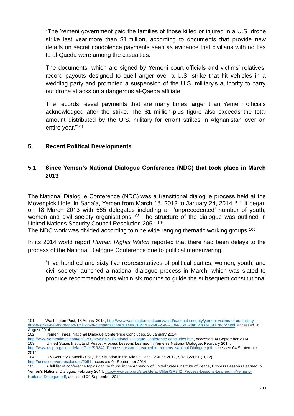"The Yemeni government paid the families of those killed or injured in [a U.S. drone](http://www.washingtonpost.com/world/officials-us-drone-strike-kills-13-in-yemen/2013/12/12/3b070f0a-6375-11e3-91b3-f2bb96304e34_story.html)  [strike last year](http://www.washingtonpost.com/world/officials-us-drone-strike-kills-13-in-yemen/2013/12/12/3b070f0a-6375-11e3-91b3-f2bb96304e34_story.html) more than \$1 million, according to documents that provide new details on secret condolence payments seen as evidence that civilians with no ties to al-Qaeda were among the casualties.

The documents, which are signed by Yemeni court officials and victims' relatives, record payouts designed to quell anger over a U.S. strike that hit vehicles in a wedding party and prompted a suspension of the U.S. military's authority to carry out drone attacks on a dangerous al-Qaeda affiliate.

The records reveal payments that are many times larger than Yemeni officials acknowledged after the strike. The \$1 million-plus figure also exceeds the total amount distributed by the U.S. military for errant strikes in Afghanistan over an entire year."<sup>101</sup>

#### **5. Recent Political Developments**

### **5.1 Since Yemen's National Dialogue Conference (NDC) that took place in March 2013**

The National Dialogue Conference (NDC) was a transitional dialogue process held at the Movenpick Hotel in Sana'a, Yemen from March 18, 2013 to January 24, 2014.<sup>102</sup> It began on 18 March 2013 with 565 delegates including an 'unprecedented' number of youth, women and civil society organisations.<sup>103</sup> The structure of the dialogue was outlined in United Nations Security Council Resolution 2051.<sup>104</sup>

The NDC work was divided according to nine wide ranging thematic working groups.<sup>105</sup>

In its 2014 world report *Human Rights Watch* reported that there had been delays to the process of the National Dialogue Conference due to political maneuvering,

"Five hundred and sixty five representatives of political parties, women, youth, and civil society launched a national dialogue process in March, which was slated to produce recommendations within six months to guide the subsequent constitutional

1 101 Washington Post, 18 August 2014, [http://www.washingtonpost.com/world/national-security/yemeni-victims-of-us-military](http://www.washingtonpost.com/world/national-security/yemeni-victims-of-us-military-drone-strike-get-more-than-1million-in-compensation/2014/08/18/670926f0-26e4-11e4-8593-da634b334390_story.html)[drone-strike-get-more-than-1million-in-compensation/2014/08/18/670926f0-26e4-11e4-8593-da634b334390\\_story.html,](http://www.washingtonpost.com/world/national-security/yemeni-victims-of-us-military-drone-strike-get-more-than-1million-in-compensation/2014/08/18/670926f0-26e4-11e4-8593-da634b334390_story.html) accessed 26 August 2014<br>102 Ye

- 102 Yemen Times, National Dialogue Conference Concludes, 28 January 2014,
- [http://www.yementimes.com/en/1750/news/3398/National-Dialogue-Conference-concludes.htm,](http://www.yementimes.com/en/1750/news/3398/National-Dialogue-Conference-concludes.htm) accessed 04 September 2014 103 United States Institute of Peace, Process Lessons Learned in Yemen's National Dialogue, February 2014, [http://www.usip.org/sites/default/files/SR342\\_Process-Lessons-Learned-in-Yemens-National-Dialogue.pdf,](http://www.usip.org/sites/default/files/SR342_Process-Lessons-Learned-in-Yemens-National-Dialogue.pdf) accessed 04 September

<sup>2014</sup>

<sup>104</sup> UN Security Council 2051, The Situation in the Middle East, 12 June 2012, S/RES/2051 (2012), [http://unscr.com/en/resolutions/2051,](http://unscr.com/en/resolutions/2051) accessed 04 September 2014

<sup>105</sup> A full list of conference topics can be found in the Appendix of United States Institute of Peace, Process Lessons Learned in Yemen's National Dialogue, February 2014, [http://www.usip.org/sites/default/files/SR342\\_Process-Lessons-Learned-in-Yemens-](http://www.usip.org/sites/default/files/SR342_Process-Lessons-Learned-in-Yemens-National-Dialogue.pdf)[National-Dialogue.pdf,](http://www.usip.org/sites/default/files/SR342_Process-Lessons-Learned-in-Yemens-National-Dialogue.pdf) accessed 04 September 2014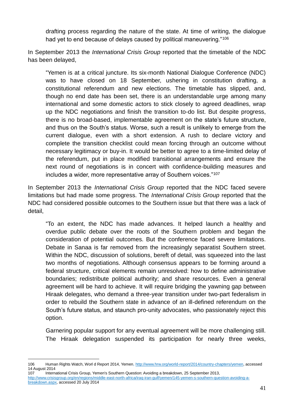drafting process regarding the nature of the state. At time of writing, the dialogue had yet to end because of delays caused by political maneuvering."<sup>106</sup>

In September 2013 the *International Crisis Group* reported that the timetable of the NDC has been delayed,

"Yemen is at a critical juncture. Its six-month National Dialogue Conference (NDC) was to have closed on 18 September, ushering in constitution drafting, a constitutional referendum and new elections. The timetable has slipped, and, though no end date has been set, there is an understandable urge among many international and some domestic actors to stick closely to agreed deadlines, wrap up the NDC negotiations and finish the transition to-do list. But despite progress, there is no broad-based, implementable agreement on the state's future structure, and thus on the South's status. Worse, such a result is unlikely to emerge from the current dialogue, even with a short extension. A rush to declare victory and complete the transition checklist could mean forcing through an outcome without necessary legitimacy or buy-in. It would be better to agree to a time-limited delay of the referendum, put in place modified transitional arrangements and ensure the next round of negotiations is in concert with confidence-building measures and includes a wider, more representative array of Southern voices."<sup>107</sup>

In September 2013 the *International Crisis Group* reported that the NDC faced severe limitations but had made some progress. The *International Crisis Group* reported that the NDC had considered possible outcomes to the Southern issue but that there was a lack of detail,

"To an extent, the NDC has made advances. It helped launch a healthy and overdue public debate over the roots of the Southern problem and began the consideration of potential outcomes. But the conference faced severe limitations. Debate in Sanaa is far removed from the increasingly separatist Southern street. Within the NDC, discussion of solutions, bereft of detail, was squeezed into the last two months of negotiations. Although consensus appears to be forming around a federal structure, critical elements remain unresolved: how to define administrative boundaries; redistribute political authority; and share resources. Even a general agreement will be hard to achieve. It will require bridging the yawning gap between Hiraak delegates, who demand a three-year transition under two-part federalism in order to rebuild the Southern state in advance of an ill-defined referendum on the South's future status, and staunch pro-unity advocates, who passionately reject this option.

Garnering popular support for any eventual agreement will be more challenging still. The Hiraak delegation suspended its participation for nearly three weeks,

<sup>&</sup>lt;u>.</u> 106 Human Rights Watch, Worl d Report 2014, Yemen[, http://www.hrw.org/world-report/2014/country-chapters/yemen,](http://www.hrw.org/world-report/2014/country-chapters/yemen) accessed 14 August 2014

<sup>107</sup> International Crisis Group, Yemen's Southern Question: Avoiding a breakdown, 25 September 2013, [http://www.crisisgroup.org/en/regions/middle-east-north-africa/iraq-iran-gulf/yemen/145-yemen-s-southern-question-avoiding-a](http://www.crisisgroup.org/en/regions/middle-east-north-africa/iraq-iran-gulf/yemen/145-yemen-s-southern-question-avoiding-a-breakdown.aspx)[breakdown.aspx,](http://www.crisisgroup.org/en/regions/middle-east-north-africa/iraq-iran-gulf/yemen/145-yemen-s-southern-question-avoiding-a-breakdown.aspx) accessed 20 July 2014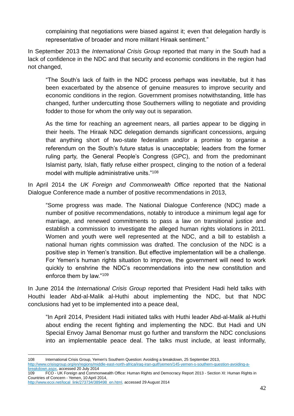complaining that negotiations were biased against it; even that delegation hardly is representative of broader and more militant Hiraak sentiment."

In September 2013 the *International Crisis Group* reported that many in the South had a lack of confidence in the NDC and that security and economic conditions in the region had not changed,

"The South's lack of faith in the NDC process perhaps was inevitable, but it has been exacerbated by the absence of genuine measures to improve security and economic conditions in the region. Government promises notwithstanding, little has changed, further undercutting those Southerners willing to negotiate and providing fodder to those for whom the only way out is separation.

As the time for reaching an agreement nears, all parties appear to be digging in their heels. The Hiraak NDC delegation demands significant concessions, arguing that anything short of two-state federalism and/or a promise to organise a referendum on the South's future status is unacceptable; leaders from the former ruling party, the General People's Congress (GPC), and from the predominant Islamist party, Islah, flatly refuse either prospect, clinging to the notion of a federal model with multiple administrative units."<sup>108</sup>

In April 2014 the *UK Foreign and Commonwealth Office* reported that the National Dialogue Conference made a number of positive recommendations in 2013,

"Some progress was made. The National Dialogue Conference (NDC) made a number of positive recommendations, notably to introduce a minimum legal age for marriage, and renewed commitments to pass a law on transitional justice and establish a commission to investigate the alleged human rights violations in 2011. Women and youth were well represented at the NDC, and a bill to establish a national human rights commission was drafted. The conclusion of the NDC is a positive step in Yemen's transition. But effective implementation will be a challenge. For Yemen's human rights situation to improve, the government will need to work quickly to enshrine the NDC's recommendations into the new constitution and enforce them by law."<sup>109</sup>

In June 2014 the *International Crisis Group* reported that President Hadi held talks with Houthi leader Abd-al-Malik al-Huthi about implementing the NDC, but that NDC conclusions had yet to be implemented into a peace deal,

"In April 2014, President Hadi initiated talks with Huthi leader Abd-al-Malik al-Huthi about ending the recent fighting and implementing the NDC. But Hadi and UN Special Envoy Jamal Benomar must go further and transform the NDC conclusions into an implementable peace deal. The talks must include, at least informally,

<sup>1</sup> 108 International Crisis Group, Yemen's Southern Question: Avoiding a breakdown, 25 September 2013, [http://www.crisisgroup.org/en/regions/middle-east-north-africa/iraq-iran-gulf/yemen/145-yemen-s-southern-question-avoiding-a-](http://www.crisisgroup.org/en/regions/middle-east-north-africa/iraq-iran-gulf/yemen/145-yemen-s-southern-question-avoiding-a-breakdown.aspx)

[breakdown.aspx,](http://www.crisisgroup.org/en/regions/middle-east-north-africa/iraq-iran-gulf/yemen/145-yemen-s-southern-question-avoiding-a-breakdown.aspx) accessed 20 July 2014 109 FCO - UK Foreign and Commonwealth Office: Human Rights and Democracy Report 2013 - Section XI: Human Rights in

Countries of Concern - Yemen, 10 April 2014, [http://www.ecoi.net/local\\_link/273734/389498\\_en.html,](http://www.ecoi.net/local_link/273734/389498_en.html) accessed 29 August 2014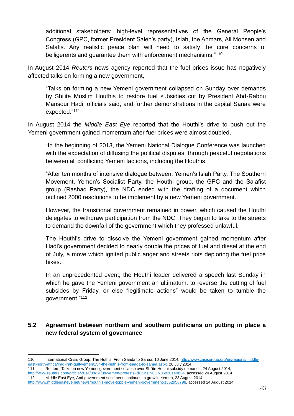additional stakeholders: high-level representatives of the General People's Congress (GPC, former President Saleh's party), Islah, the Ahmars, Ali Mohsen and Salafis. Any realistic peace plan will need to satisfy the core concerns of belligerents and guarantee them with enforcement mechanisms."<sup>110</sup>

In August 2014 *Reuters* news agency reported that the fuel prices issue has negatively affected talks on forming a new government,

"Talks on forming a new Yemeni government collapsed on Sunday over demands by Shi'ite Muslim Houthis to restore fuel subsidies cut by President Abd-Rabbu Mansour Hadi, officials said, and further demonstrations in the capital Sanaa were expected."<sup>111</sup>

In August 2014 the *Middle East Eye* reported that the Houthi's drive to push out the Yemeni government gained momentum after fuel prices were almost doubled,

"In the beginning of 2013, the Yemeni National Dialogue Conference was launched with the expectation of diffusing the political disputes, through peaceful negotiations between all conflicting Yemeni factions, including the Houthis.

"After ten months of intensive dialogue between: Yemen's Islah Party, The Southern Movement, Yemen's Socialist Party, the Houthi group, the GPC and the Salafist group (Rashad Party), the NDC ended with the drafting of a document which outlined 2000 resolutions to be implement by a new Yemeni government.

However, the transitional government remained in power, which caused the Houthi delegates to withdraw participation from the NDC. They began to take to the streets to demand the downfall of the government which they professed unlawful.

The Houthi's drive to dissolve the Yemeni government gained momentum after Hadi's government decided to nearly double the prices of fuel and diesel at the end of July, a move which ignited public anger and streets riots deploring the fuel price hikes.

In an unprecedented event, the Houthi leader delivered a speech last Sunday in which he gave the Yemeni government an ultimatum: to reverse the cutting of fuel subsides by Friday, or else "legitimate actions" would be taken to tumble the government."<sup>112</sup>

# **5.2 Agreement between northern and southern politicians on putting in place a new federal system of governance**

<sup>1</sup> 110 International Crisis Group, The Huthis: From Saada to Sanaa, 10 June 2014, [http://www.crisisgroup.org/en/regions/middle](http://www.crisisgroup.org/en/regions/middle-east-north-africa/iraq-iran-gulf/yemen/154-the-huthis-from-saada-to-sanaa.aspx)[east-north-africa/iraq-iran-gulf/yemen/154-the-huthis-from-saada-to-sanaa.aspx,](http://www.crisisgroup.org/en/regions/middle-east-north-africa/iraq-iran-gulf/yemen/154-the-huthis-from-saada-to-sanaa.aspx) 20 July 2014 111 Reuters, Talks on new Yemeni government collapse over Shi'ite Houthi subsidy demands, 24 August 2014,

[http://www.reuters.com/article/2014/08/24/us-yemen-protests-idUSKBN0GN06820140824,](http://www.reuters.com/article/2014/08/24/us-yemen-protests-idUSKBN0GN06820140824) accessed 24 August 2014

<sup>112</sup> Middle East Eye, Anti-government sentiment continues to grow in Yemen, 23 August 2014, [http://www.middleeasteye.net/news/houthis-move-topple-yemeni-government-1562958798,](http://www.middleeasteye.net/news/houthis-move-topple-yemeni-government-1562958798) accessed 24 August 2014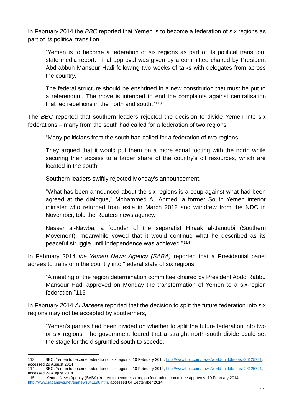In February 2014 the *BBC* reported that Yemen is to become a federation of six regions as part of its political transition,

"Yemen is to become a federation of six regions as part of its political transition, state media report. Final approval was given by a committee chaired by President Abdrabbuh Mansour Hadi following two weeks of talks with delegates from across the country.

The federal structure should be enshrined in a new constitution that must be put to a referendum. The move is intended to end the complaints against centralisation that fed rebellions in the north and south."<sup>113</sup>

The *BBC* reported that southern leaders rejected the decision to divide Yemen into six federations – many from the south had called for a federation of two regions,

"Many politicians from the south had called for a federation of two regions.

They argued that it would put them on a more equal footing with the north while securing their access to a larger share of the country's oil resources, which are located in the south.

Southern leaders swiftly rejected Monday's announcement.

"What has been announced about the six regions is a coup against what had been agreed at the dialogue," Mohammed Ali Ahmed, a former South Yemen interior minister who returned from exile in March 2012 and withdrew from the NDC in November, told the Reuters news agency.

Nasser al-Nawba, a founder of the separatist Hiraak al-Janoubi (Southern Movement), meanwhile vowed that it would continue what he described as its peaceful struggle until independence was achieved."<sup>114</sup>

In February 2014 *the Yemen News Agency (SABA)* reported that a Presidential panel agrees to transform the country into "federal state of six regions,

"A meeting of the region determination committee chaired by President Abdo Rabbu Mansour Hadi approved on Monday the transformation of Yemen to a six-region federation."115

In February 2014 *Al Jazeera* reported that the decision to split the future federation into six regions may not be accepted by southerners,

"Yemen's parties had been divided on whether to split the future federation into two or six regions. The government feared that a straight north-south divide could set the stage for the disgruntled south to secede.

<sup>1</sup> 113 BBC, Yemen to become federation of six regions, 10 February 2014[, http://www.bbc.com/news/world-middle-east-26125721,](http://www.bbc.com/news/world-middle-east-26125721)  accessed 29 August 2014

<sup>114</sup> BBC, Yemen to become federation of six regions, 10 February 2014[, http://www.bbc.com/news/world-middle-east-26125721,](http://www.bbc.com/news/world-middle-east-26125721)  accessed 29 August 2014

<sup>115</sup> Yemen News Agency (SABA) Yemen to become six-region federation, committee approves, 10 February 2014, [http://www.sabanews.net/en/news341196.htm,](http://www.sabanews.net/en/news341196.htm) accessed 04 September 2014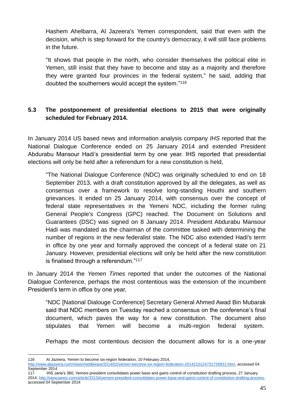Hashem Ahelbarra, Al Jazeera's Yemen correspondent, said that even with the decision, which is step forward for the country's democracy, it will still face problems in the future.

"It shows that people in the north, who consider themselves the political elite in Yemen, still insist that they have to become and stay as a majority and therefore they were granted four provinces in the federal system," he said, adding that doubted the southerners would accept the system."<sup>116</sup>

# **5.3 The postponement of presidential elections to 2015 that were originally scheduled for February 2014.**

In January 2014 US based news and information analysis company *IHS* reported that the National Dialogue Conference ended on 25 January 2014 and extended President Abdurabu Mansour Hadi's presidential term by one year. IHS reported that presidential elections will only be held after a referendum for a new constitution is held,

"The National Dialogue Conference (NDC) was originally scheduled to end on 18 September 2013, with a draft constitution approved by all the delegates, as well as consensus over a framework to resolve long-standing Houthi and southern grievances. It ended on 25 January 2014, with consensus over the concept of federal state representatives in the Yemeni NDC, including the former ruling General People's Congress (GPC) reached. The Document on Solutions and Guarantees (DSC) was signed on 8 January 2014. President Abdurabu Mansour Hadi was mandated as the chairman of the committee tasked with determining the number of regions in the new federalist state. The NDC also extended Hadi's term in office by one year and formally approved the concept of a federal state on 21 January. However, presidential elections will only be held after the new constitution is finalised through a referendum."<sup>117</sup>

In January 2014 the *Yemen Times* reported that under the outcomes of the National Dialogue Conference, perhaps the most contentious was the extension of the incumbent President's term in office by one year,

"NDC [National Dialouge Conference] Secretary General Ahmed Awad Bin Mubarak said that NDC members on Tuesday reached a consensus on the conference's final document, which paves the way for a new constitution. The document also stipulates that Yemen will become a multi-region federal system.

Perhaps the most contentious decision the document allows for is a one-year

117 IHS Jane's 360, Yemeni president consolidates power base and gains control of constitution drafting process, 27 January 2014, [http://www.janes.com/article/33134/yemeni-president-consolidates-power-base-and-gains-control-of-constitution-drafting-process,](http://www.janes.com/article/33134/yemeni-president-consolidates-power-base-and-gains-control-of-constitution-drafting-process)  accessed 04 September 2014

<sup>1</sup> 116 Al Jazeera, Yemen to become six-region federation, 10 February 2014,

[http://www.aljazeera.com/news/middleeast/2014/02/yemen-become-six-region-federation-2014210124731726931.html,](http://www.aljazeera.com/news/middleeast/2014/02/yemen-become-six-region-federation-2014210124731726931.html) accessed 04 September 2014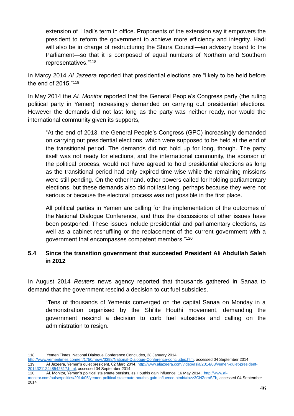extension of Hadi's term in office. Proponents of the extension say it empowers the president to reform the government to achieve more efficiency and integrity. Hadi will also be in charge of restructuring the Shura Council—an advisory board to the Parliament—so that it is composed of equal numbers of Northern and Southern representatives."<sup>118</sup>

In Marcy 2014 *Al Jazeera* reported that presidential elections are "likely to be held before the end of 2015."<sup>119</sup>

In May 2014 the *AL Monitor* reported that the General People's Congress party (the ruling political party in Yemen) increasingly demanded on carrying out presidential elections. However the demands did not last long as the party was neither ready, nor would the international community given its supports,

"At the end of 2013, the General People's Congress (GPC) increasingly demanded on carrying out presidential elections, which were supposed to be held at the end of the transitional period. The demands did not hold up for long, though. The party itself was not ready for elections, and the international community, the sponsor of the political process, would not have agreed to hold presidential elections as long as the transitional period had only expired time-wise while the remaining missions were still pending. On the other hand, other powers called for holding parliamentary elections, but these demands also did not last long, perhaps because they were not serious or because the electoral process was not possible in the first place.

All political parties in Yemen are calling for the implementation of the outcomes of the [National Dialogue Conference,](http://www.al-monitor.com/pulse/politics/2013/12/yemen-national-dialogue-conference-disputes-delays.html) and thus the discussions of other issues have been postponed. These issues include presidential and parliamentary elections, as well as a cabinet reshuffling or the replacement of the current government with a government that encompasses competent members."<sup>120</sup>

# **5.4 Since the transition government that succeeded President Ali Abdullah Saleh in 2012**

In August 2014 *Reuters* news agency reported that thousands gathered in Sanaa to demand that the government rescind a decision to cut fuel subsidies,

"Tens of thousands of Yemenis converged on the capital Sanaa on Monday in a demonstration organised by the Shi'ite Houthi movement, demanding the government rescind a decision to curb fuel subsidies and calling on the administration to resign.

[201432112448542617.html,](http://www.aljazeera.com/video/asia/2014/03/yemen-quiet-president-201432112448542617.html) accessed 04 September 2014

<sup>1</sup> 118 Yemen Times, National Dialogue Conference Concludes, 28 January 2014,

[http://www.yementimes.com/en/1750/news/3398/National-Dialogue-Conference-concludes.htm,](http://www.yementimes.com/en/1750/news/3398/National-Dialogue-Conference-concludes.htm) accessed 04 September 2014 119 Al Jazeera, Yemen's quiet president, 02 Marc 2014, [http://www.aljazeera.com/video/asia/2014/03/yemen-quiet-president-](http://www.aljazeera.com/video/asia/2014/03/yemen-quiet-president-201432112448542617.html)

<sup>120</sup> AL Monitor, Yemen's political stalemate persists, as Houthis gain influence, 16 May 2014, [http://www.al](http://www.al-monitor.com/pulse/politics/2014/05/yemen-political-stalemate-houthis-gain-influence.html#ixzz3CNZomSFb)[monitor.com/pulse/politics/2014/05/yemen-political-stalemate-houthis-gain-influence.html##ixzz3CNZomSFb,](http://www.al-monitor.com/pulse/politics/2014/05/yemen-political-stalemate-houthis-gain-influence.html#ixzz3CNZomSFb) accessed 04 September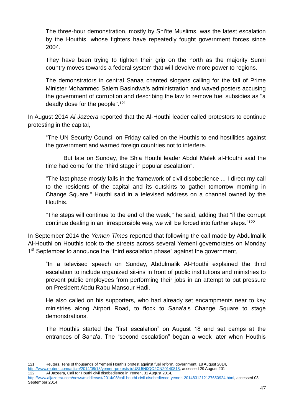The three-hour demonstration, mostly by Shi'ite Muslims, was the latest escalation by the Houthis, whose fighters have repeatedly fought government forces since 2004.

They have been trying to tighten their grip on the north as the majority Sunni country moves towards a federal system that will devolve more power to regions.

The demonstrators in central Sanaa chanted slogans calling for the fall of Prime Minister Mohammed Salem Basindwa's administration and waved posters accusing the government of corruption and describing the law to remove fuel subsidies as "a deadly dose for the people".<sup>121</sup>

In August 2014 *Al Jazeera* reported that the Al-Houthi leader called protestors to continue protesting in the capital,

"The UN Security Council on Friday called on the Houthis to end hostilities against the government and warned foreign countries not to interfere.

But late on Sunday, the Shia Houthi leader Abdul Malek al-Houthi said the time had come for the "third stage in popular escalation".

"The last phase mostly falls in the framework of civil disobedience ... I direct my call to the residents of the capital and its outskirts to gather tomorrow morning in Change Square," Houthi said in a televised address on a channel owned by the Houthis.

"The steps will continue to the end of the week," he said, adding that "if the corrupt continue dealing in an irresponsible way, we will be forced into further steps."<sup>122</sup>

In September 2014 the *Yemen Times* reported that following the call made by Abdulmalik Al-Houthi on Houthis took to the streets across several Yemeni governorates on Monday 1<sup>st</sup> September to announce the "third escalation phase" against the government,

"In a televised speech on Sunday, Abdulmalik Al-Houthi explained the third escalation to include organized sit-ins in front of public institutions and ministries to prevent public employees from performing their jobs in an attempt to put pressure on President Abdu Rabu Mansour Hadi.

He also called on his supporters, who had already set encampments near to key ministries along Airport Road, to flock to Sana'a's Change Square to stage demonstrations.

The Houthis started the "first escalation" on August 18 and set camps at the entrances of Sana'a. The "second escalation" began a week later when Houthis

<sup>&</sup>lt;u>.</u> 121 Reuters, Tens of thousands of Yemeni Houthis protest against fuel reform, government, 18 August 2014, [http://www.reuters.com/article/2014/08/18/yemen-protests-idUSL5N0QO2CN20140818,](http://www.reuters.com/article/2014/08/18/yemen-protests-idUSL5N0QO2CN20140818) accessed 29 August 201

<sup>122</sup> Al Jazeera, Call for Houthi civil disobedience in Yemen, 31 August 2014,

[http://www.aljazeera.com/news/middleeast/2014/08/call-houthi-civil-disobedience-yemen-2014831212127650924.html,](http://www.aljazeera.com/news/middleeast/2014/08/call-houthi-civil-disobedience-yemen-2014831212127650924.html) accessed 03 September 2014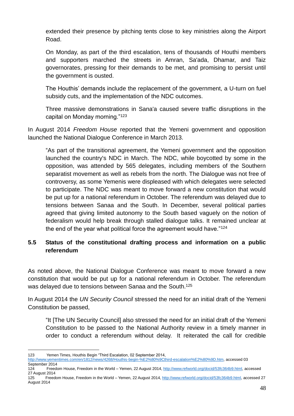extended their presence by pitching tents close to key ministries along the Airport Road.

On Monday, as part of the third escalation, tens of thousands of Houthi members and supporters marched the streets in Amran, Sa'ada, Dhamar, and Taiz governorates, pressing for their demands to be met, and promising to persist until the government is ousted.

The Houthis' demands include the replacement of the government, a U-turn on fuel subsidy cuts, and the implementation of the NDC outcomes.

Three massive demonstrations in Sana'a caused severe traffic disruptions in the capital on Monday morning."<sup>123</sup>

In August 2014 *Freedom House* reported that the Yemeni government and opposition launched the National Dialogue Conference in March 2013.

"As part of the transitional agreement, the Yemeni government and the opposition launched the country's NDC in March. The NDC, while boycotted by some in the opposition, was attended by 565 delegates, including members of the Southern separatist movement as well as rebels from the north. The Dialogue was not free of controversy, as some Yemenis were displeased with which delegates were selected to participate. The NDC was meant to move forward a new constitution that would be put up for a national referendum in October. The referendum was delayed due to tensions between Sanaa and the South. In December, several political parties agreed that giving limited autonomy to the South based vaguely on the notion of federalism would help break through stalled dialogue talks. It remained unclear at the end of the year what political force the agreement would have."<sup>124</sup>

# **5.5 Status of the constitutional drafting process and information on a public referendum**

As noted above, the National Dialogue Conference was meant to move forward a new constitution that would be put up for a national referendum in October. The referendum was delayed due to tensions between Sanaa and the South.<sup>125</sup>

In August 2014 the *UN Security Council* stressed the need for an initial draft of the Yemeni Constitution be passed,

"It [The UN Security Council] also stressed the need for an initial draft of the Yemeni Constitution to be passed to the National Authority review in a timely manner in order to conduct a referendum without delay. It reiterated the call for credible

<sup>1</sup> 123 Yemen Times, Houthis Begin "Third Escalation, 02 September 2014,

[http://www.yementimes.com/en/1812/news/4268/Houthis-begin-%E2%80%9Cthird-escalation%E2%80%9D.htm,](http://www.yementimes.com/en/1812/news/4268/Houthis-begin-) accessed 03 September 2014

<sup>124</sup> Freedom House, Freedom in the World – Yemen, 22 August 2014, [http://www.refworld.org/docid/53fc364b9.html,](http://www.refworld.org/docid/53fc364b9.html) accessed 27 August 2014

<sup>125</sup> Freedom House, Freedom in the World – Yemen, 22 August 2014[, http://www.refworld.org/docid/53fc364b9.html,](http://www.refworld.org/docid/53fc364b9.html) accessed 27 August 2014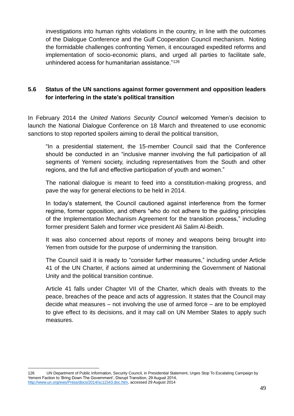investigations into human rights violations in the country, in line with the outcomes of the Dialogue Conference and the Gulf Cooperation Council mechanism. Noting the formidable challenges confronting Yemen, it encouraged expedited reforms and implementation of socio-economic plans, and urged all parties to facilitate safe, unhindered access for humanitarian assistance."<sup>126</sup>

# **5.6 Status of the UN sanctions against former government and opposition leaders for interfering in the state's political transition**

In February 2014 the *United Nations Security Council* welcomed Yemen's decision to launch the National Dialogue Conference on 18 March and threatened to use economic sanctions to stop reported spoilers aiming to derail the political transition,

"In a presidential statement, the 15-member Council said that the Conference should be conducted in an "inclusive manner involving the full participation of all segments of Yemeni society, including representatives from the South and other regions, and the full and effective participation of youth and women."

The national dialogue is meant to feed into a constitution-making progress, and pave the way for general elections to be held in 2014.

In today's statement, the Council cautioned against interference from the former regime, former opposition, and others "who do not adhere to the guiding principles of the Implementation Mechanism Agreement for the transition process," including former president Saleh and former vice president Ali Salim Al-Beidh.

It was also concerned about reports of money and weapons being brought into Yemen from outside for the purpose of undermining the transition.

The Council said it is ready to "consider further measures," including under Article 41 of the UN Charter, if actions aimed at undermining the Government of National Unity and the political transition continue.

Article 41 falls under Chapter VII of the Charter, which deals with threats to the peace, breaches of the peace and acts of aggression. It states that the Council may decide what measures – not involving the use of armed force – are to be employed to give effect to its decisions, and it may call on UN Member States to apply such measures.

<sup>&</sup>lt;u>.</u> 126 UN Department of Public Information, Security Council, in Presidential Statement, Urges Stop To Escalating Campaign by Yemeni Faction to 'Bring Down The Government', Disrupt Transition, 29 August 2014, [http://www.un.org/ews/Press/docs/2014/sc11543.doc.htm,](http://www.un.org/ews/Press/docs/2014/sc11543.doc.htm) accessed 29 August 2014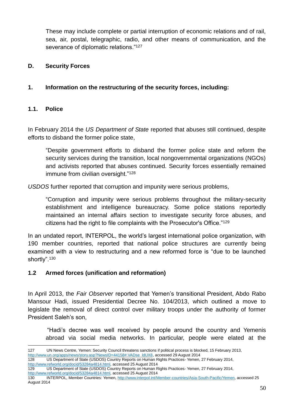These may include complete or partial interruption of economic relations and of rail, sea, air, postal, telegraphic, radio, and other means of communication, and the severance of diplomatic relations."<sup>127</sup>

#### **D. Security Forces**

# **1. Information on the restructuring of the security forces, including:**

### **1.1. Police**

In February 2014 the *US Department of State* reported that abuses still continued, despite efforts to disband the former police state,

"Despite government efforts to disband the former police state and reform the security services during the transition, local nongovernmental organizations (NGOs) and activists reported that abuses continued. Security forces essentially remained immune from civilian oversight."<sup>128</sup>

*USDOS* further reported that corruption and impunity were serious problems,

"Corruption and impunity were serious problems throughout the military-security establishment and intelligence bureaucracy. Some police stations reportedly maintained an internal affairs section to investigate security force abuses, and citizens had the right to file complaints with the Prosecutor's Office."<sup>129</sup>

In an undated report, INTERPOL, the world's largest international police organization, with 190 member countries, reported that national police structures are currently being examined with a view to restructuring and a new reformed force is "due to be launched shortly".<sup>130</sup>

#### **1.2 Armed forces (unification and reformation)**

In April 2013, the *Fair Observer* reported that Yemen's transitional President, Abdo Rabo Mansour Hadi, issued Presidential Decree No. 104/2013, which outlined a move to legislate the removal of direct control over military troops under the authority of former President Saleh's son,

"Hadi's decree was well received by people around the country and Yemenis abroad via social media networks. In particular, people were elated at the

http://www.un.org/apps/news/story.asp?NewsID=44158#.VADse\_IdUX8, accessed 29 August 2014<br>128 US Department of State (USDOS) Country Reports on Human Rights Practices-Yemen.

[http://www.refworld.org/docid/53284a4814.html,](http://www.refworld.org/docid/53284a4814.html) accessed 25 August 2014

<sup>1</sup> 127 UN News Centre, Yemen: Security Council threatens sanctions if political process is blocked, 15 February 2013,

<sup>128</sup> US Department of State (USDOS) Country Reports on Human Rights Practices- Yemen, 27 February 2014, [http://www.refworld.org/docid/53284a4814.html,](http://www.refworld.org/docid/53284a4814.html) accessed 25 August 2014

<sup>129</sup> US Department of State (USDOS) Country Reports on Human Rights Practices- Yemen, 27 February 2014,

<sup>130</sup> INTERPOL, Member Countries: Yemen, [http://www.interpol.int/Member-countries/Asia-South-Pacific/Yemen,](http://www.interpol.int/Member-countries/Asia-South-Pacific/Yemen) accessed 25 August 2014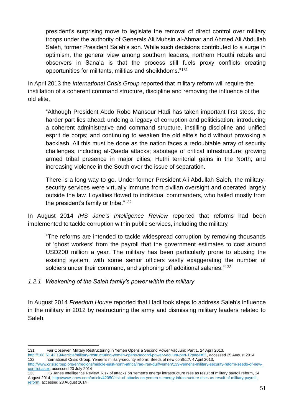president's surprising move to legislate the removal of direct control over military troops under the authority of Generals Ali Muhsin al-Ahmar and Ahmed Ali Abdullah Saleh, former President Saleh's son. While such decisions contributed to a surge in optimism, the general view among southern leaders, northern Houthi rebels and observers in Sana'a is that the process still fuels proxy conflicts creating opportunities for militants, militias and sheikhdoms."<sup>131</sup>

In April 2013 the *International Crisis Group* reported that military reform will require the instillation of a coherent command structure, discipline and removing the influence of the old elite,

"Although President Abdo Robo Mansour Hadi has taken important first steps, the harder part lies ahead: undoing a legacy of corruption and politicisation; introducing a coherent administrative and command structure, instilling discipline and unified esprit de corps; and continuing to weaken the old elite's hold without provoking a backlash. All this must be done as the nation faces a redoubtable array of security challenges, including al-Qaeda attacks; sabotage of critical infrastructure; growing armed tribal presence in major cities; Huthi territorial gains in the North; and increasing violence in the South over the issue of separation.

There is a long way to go. Under former President Ali Abdullah Saleh, the militarysecurity services were virtually immune from civilian oversight and operated largely outside the law. Loyalties flowed to individual commanders, who hailed mostly from the president's family or tribe."<sup>132</sup>

In August 2014 *IHS Jane's Intelligence Review* reported that reforms had been implemented to tackle corruption within public services, including the military,

"The reforms are intended to tackle widespread corruption by removing thousands of 'ghost workers' from the payroll that the government estimates to cost around USD200 million a year. The military has been particularly prone to abusing the existing system, with some senior officers vastly exaggerating the number of soldiers under their command, and siphoning off additional salaries."<sup>133</sup>

#### *1.2.1 Weakening of the Saleh family's power within the military*

In August 2014 *Freedom House* reported that Hadi took steps to address Saleh's influence in the military in 2012 by restructuring the army and dismissing military leaders related to Saleh,

133 IHS Janes Intelligence Review, Risk of attacks on Yemen's energy infrastructure rses as result of military payroll reform, 14 August 2014, [http://www.janes.com/article/42050/risk-of-attacks-on-yemen-s-energy-infrastructure-rises-as-result-of-military-payroll](http://www.janes.com/article/42050/risk-of-attacks-on-yemen-s-energy-infrastructure-rises-as-result-of-military-payroll-reform)[reform,](http://www.janes.com/article/42050/risk-of-attacks-on-yemen-s-energy-infrastructure-rises-as-result-of-military-payroll-reform) accessed 28 August 2014

<sup>1</sup> 131 Fair Observer, Military Restructuring in Yemen Opens a Second Power Vacuum: Part 1, 24 April 2013,

[http://168.61.42.194/article/military-restructuring-yemen-opens-second-power-vacuum-part-1?page=11,](http://168.61.42.194/article/military-restructuring-yemen-opens-second-power-vacuum-part-1?page=11) accessed 25 August 2014<br>132 International Crisis Group, Yemen's military-security reform: Seeds of new conflict?, 4 April International Crisis Group, Yemen's military-security reform: Seeds of new conflict?, 4 April 2013,

[http://www.crisisgroup.org/en/regions/middle-east-north-africa/iraq-iran-gulf/yemen/139-yemens-military-security-reform-seeds-of-new](http://www.crisisgroup.org/en/regions/middle-east-north-africa/iraq-iran-gulf/yemen/139-yemens-military-security-reform-seeds-of-new-conflict.aspx)[conflict.aspx,](http://www.crisisgroup.org/en/regions/middle-east-north-africa/iraq-iran-gulf/yemen/139-yemens-military-security-reform-seeds-of-new-conflict.aspx) accessed 20 July 2014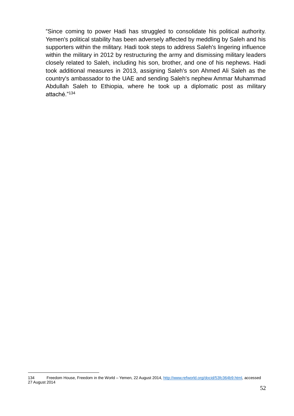"Since coming to power Hadi has struggled to consolidate his political authority. Yemen's political stability has been adversely affected by meddling by Saleh and his supporters within the military. Hadi took steps to address Saleh's lingering influence within the military in 2012 by restructuring the army and dismissing military leaders closely related to Saleh, including his son, brother, and one of his nephews. Hadi took additional measures in 2013, assigning Saleh's son Ahmed Ali Saleh as the country's ambassador to the UAE and sending Saleh's nephew Ammar Muhammad Abdullah Saleh to Ethiopia, where he took up a diplomatic post as military attaché."<sup>134</sup>

<sup>1</sup> 134 Freedom House, Freedom in the World – Yemen, 22 August 2014, [http://www.refworld.org/docid/53fc364b9.html,](http://www.refworld.org/docid/53fc364b9.html) accessed 27 August 2014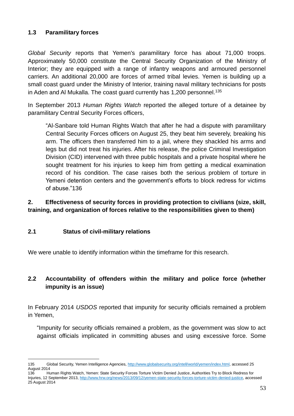### **1.3 Paramilitary forces**

*Global Security* reports that Yemen's paramilitary force has about 71,000 troops. Approximately 50,000 constitute the Central Security Organization of the Ministry of Interior; they are equipped with a range of infantry weapons and armoured personnel carriers. An additional 20,000 are forces of armed tribal levies. Yemen is building up a small coast guard under the Ministry of Interior, training naval military technicians for posts in Aden and Al Mukalla. The coast guard currently has 1,200 personnel.<sup>135</sup>

In September 2013 *Human Rights Watch* reported the alleged torture of a detainee by paramilitary Central Security Forces officers,

"Al-Sanbare told Human Rights Watch that after he had a dispute with paramilitary Central Security Forces officers on August 25, they beat him severely, breaking his arm. The officers then transferred him to a jail, where they shackled his arms and legs but did not treat his injuries. After his release, the police Criminal Investigation Division (CID) intervened with three public hospitals and a private hospital where he sought treatment for his injuries to keep him from getting a medical examination record of his condition. The case raises both the serious problem of torture in Yemeni detention centers and the government's efforts to block redress for victims of abuse."136

# **2. Effectiveness of security forces in providing protection to civilians (size, skill, training, and organization of forces relative to the responsibilities given to them)**

# **2.1 Status of civil-military relations**

<u>.</u>

We were unable to identify information within the timeframe for this research.

# **2.2 Accountability of offenders within the military and police force (whether impunity is an issue)**

In February 2014 *USDOS* reported that impunity for security officials remained a problem in Yemen,

"Impunity for security officials remained a problem, as the government was slow to act against officials implicated in committing abuses and using excessive force. Some

<sup>135</sup> Global Security, Yemen Intelligence Agencies, [http://www.globalsecurity.org/intell/world/yemen/index.html,](http://www.globalsecurity.org/intell/world/yemen/index.html) accessed 25 August 2014

<sup>136</sup> Human Rights Watch, [Yemen: State Security Forces Torture Victim Denied Justice,](http://www.hrw.org/news/2013/09/12/yemen-state-security-forces-torture-victim-denied-justice) Authorities Try to Block Redress for Injuries, 12 September 2013[, http://www.hrw.org/news/2013/09/12/yemen-state-security-forces-torture-victim-denied-justice,](http://www.hrw.org/news/2013/09/12/yemen-state-security-forces-torture-victim-denied-justice) accessed 25 August 2014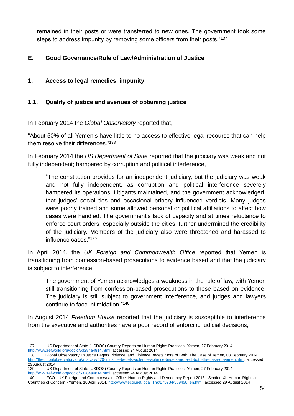remained in their posts or were transferred to new ones. The government took some steps to address impunity by removing some officers from their posts."<sup>137</sup>

# **E. Good Governance/Rule of Law/Administration of Justice**

### **1. Access to legal remedies, impunity**

### **1.1. Quality of justice and avenues of obtaining justice**

In February 2014 the *Global Observatory* reported that,

"About 50% of all Yemenis have little to no access to effective legal recourse that can help them resolve their differences."<sup>138</sup>

In February 2014 the *US Department of State* reported that the judiciary was weak and not fully independent; hampered by corruption and political interference,

"The constitution provides for an independent judiciary, but the judiciary was weak and not fully independent, as corruption and political interference severely hampered its operations. Litigants maintained, and the government acknowledged, that judges' social ties and occasional bribery influenced verdicts. Many judges were poorly trained and some allowed personal or political affiliations to affect how cases were handled. The government's lack of capacity and at times reluctance to enforce court orders, especially outside the cities, further undermined the credibility of the judiciary. Members of the judiciary also were threatened and harassed to influence cases."<sup>139</sup>

In April 2014, the *UK Foreign and Commonwealth Office* reported that Yemen is transitioning from confession-based prosecutions to evidence based and that the judiciary is subject to interference,

The government of Yemen acknowledges a weakness in the rule of law, with Yemen still transitioning from confession-based prosecutions to those based on evidence. The judiciary is still subject to government interference, and judges and lawyers continue to face intimidation."<sup>140</sup>

In August 2014 *Freedom House* reported that the judiciary is susceptible to interference from the executive and authorities have a poor record of enforcing judicial decisions,

<sup>1</sup> 137 US Department of State (USDOS) Country Reports on Human Rights Practices- Yemen, 27 February 2014, [http://www.refworld.org/docid/53284a4814.html,](http://www.refworld.org/docid/53284a4814.html) accessed 24 August 2014

<sup>138</sup> Global Observatory, Injustice Begets Violence, and Violence Begets More of Both: The Case of Yemen, 03 February 2014, [http://theglobalobservatory.org/analysis/670-injustice-begets-violence-violence-begets-more-of-both-the-case-of-yemen.html,](http://theglobalobservatory.org/analysis/670-injustice-begets-violence-violence-begets-more-of-both-the-case-of-yemen.html) accessed 29 August 2014

<sup>139</sup> US Department of State (USDOS) Country Reports on Human Rights Practices- Yemen, 27 February 2014, [http://www.refworld.org/docid/53284a4814.html,](http://www.refworld.org/docid/53284a4814.html) accessed 24 August 2014

<sup>140</sup> FCO - UK Foreign and Commonwealth Office: Human Rights and Democracy Report 2013 - Section XI: Human Rights in Countries of Concern - Yemen, 10 April 2014, [http://www.ecoi.net/local\\_link/273734/389498\\_en.html,](http://www.ecoi.net/local_link/273734/389498_en.html) accessed 29 August 2014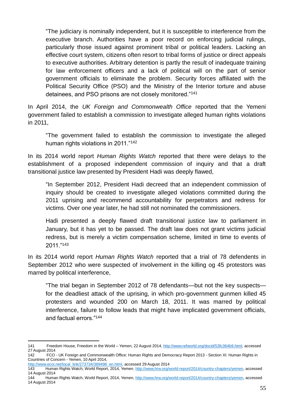"The judiciary is nominally independent, but it is susceptible to interference from the executive branch. Authorities have a poor record on enforcing judicial rulings, particularly those issued against prominent tribal or political leaders. Lacking an effective court system, citizens often resort to tribal forms of justice or direct appeals to executive authorities. Arbitrary detention is partly the result of inadequate training for law enforcement officers and a lack of political will on the part of senior government officials to eliminate the problem. Security forces affiliated with the Political Security Office (PSO) and the Ministry of the Interior torture and abuse detainees, and PSO prisons are not closely monitored."<sup>141</sup>

In April 2014, the *UK Foreign and Commonwealth Office* reported that the Yemeni government failed to establish a commission to investigate alleged human rights violations in 2011,

"The government failed to establish the commission to investigate the alleged human rights violations in 2011."<sup>142</sup>

In its 2014 world report *Human Rights Watch* reported that there were delays to the establishment of a proposed independent commission of inquiry and that a draft transitional justice law presented by President Hadi was deeply flawed,

"In September 2012, President Hadi decreed that an independent commission of inquiry should be created to investigate alleged violations committed during the 2011 uprising and recommend accountability for perpetrators and redress for victims. Over one year later, he had still not nominated the commissioners.

Hadi presented a deeply flawed draft transitional justice law to parliament in January, but it has yet to be passed. The draft law does not grant victims judicial redress, but is merely a victim compensation scheme, limited in time to events of 2011."<sup>143</sup>

In its 2014 world report *Human Rights Watch* reported that a trial of 78 defendents in September 2012 who were suspected of involvement in the killing og 45 protestors was marred by political interference,

"The trial began in September 2012 of 78 defendants—but not the key suspects for the deadliest attack of the uprising, in which pro-government gunmen killed 45 protesters and wounded 200 on March 18, 2011. It was marred by political interference, failure to follow leads that might have implicated government officials, and factual errors."<sup>144</sup>

1

<sup>141</sup> Freedom House, Freedom in the World – Yemen, 22 August 2014, [http://www.refworld.org/docid/53fc364b9.html,](http://www.refworld.org/docid/53fc364b9.html) accessed 27 August 2014

<sup>142</sup> FCO - UK Foreign and Commonwealth Office: Human Rights and Democracy Report 2013 - Section XI: Human Rights in Countries of Concern - Yemen, 10 April 2014,

[http://www.ecoi.net/local\\_link/273734/389498\\_en.html,](http://www.ecoi.net/local_link/273734/389498_en.html) accessed 29 August 2014

<sup>143</sup> Human Rights Watch, World Report, 2014, Yemen[, http://www.hrw.org/world-report/2014/country-chapters/yemen,](http://www.hrw.org/world-report/2014/country-chapters/yemen) accessed 14 August 2014

<sup>144</sup> Human Rights Watch, World Report, 2014, Yemen, [http://www.hrw.org/world-report/2014/country-chapters/yemen,](http://www.hrw.org/world-report/2014/country-chapters/yemen) accessed 14 August 2014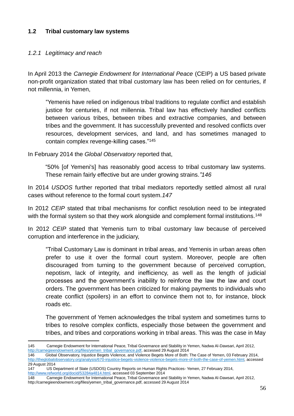#### **1.2 Tribal customary law systems**

#### *1.2.1 Legitimacy and reach*

In April 2013 the *Carnegie Endowment for International Peace* (CEIP) a US based private non-profit organization stated that tribal customary law has been relied on for centuries, if not millennia, in Yemen,

"Yemenis have relied on indigenous tribal traditions to regulate conflict and establish justice for centuries, if not millennia. Tribal law has effectively handled conflicts between various tribes, between tribes and extractive companies, and between tribes and the government. It has successfully prevented and resolved conflicts over resources, development services, and land, and has sometimes managed to contain complex revenge-killing cases."<sup>145</sup>

In February 2014 the *Global Observatory* reported that,

"50% [of Yemeni's] has reasonably good access to tribal customary law systems. These remain fairly effective but are under growing strains.*"146*

In 2014 *USDOS* further reported that tribal mediators reportedly settled almost all rural cases without reference to the formal court system*.147*

In 2012 *CEIP* stated that tribal mechanisms for conflict resolution need to be integrated with the formal system so that they work alongside and complement formal institutions.<sup>148</sup>

In 2012 *CEIP* stated that Yemenis turn to tribal customary law because of perceived corruption and interference in the judiciary,

"Tribal Customary Law is dominant in tribal areas, and Yemenis in urban areas often prefer to use it over the formal court system. Moreover, people are often discouraged from turning to the government because of perceived corruption, nepotism, lack of integrity, and inefficiency, as well as the length of judicial processes and the government's inability to reinforce the law the law and court orders. The government has been criticized for making payments to individuals who create conflict (spoilers) in an effort to convince them not to, for instance, block roads etc.

The government of Yemen acknowledges the tribal system and sometimes turns to tribes to resolve complex conflicts, especially those between the government and tribes, and tribes and corporations working in tribal areas. This was the case in May

147 US Department of State (USDOS) Country Reports on Human Rights Practices- Yemen, 27 February 2014, [http://www.refworld.org/docid/53284a4814.html,](http://www.refworld.org/docid/53284a4814.html) accessed 03 September 2014

<sup>1</sup> 145 Carnegie Endowment for International Peace, Tribal Governance and Stability in Yemen, Nadwa Al-Dawsari, April 2012, [http://carnegieendowment.org/files/yemen\\_tribal\\_governance.pdf,](http://carnegieendowment.org/files/yemen_tribal_governance.pdf) accessed 29 August 2014

<sup>146</sup> Global Observatory, Injustice Begets Violence, and Violence Begets More of Both: The Case of Yemen, 03 February 2014, [http://theglobalobservatory.org/analysis/670-injustice-begets-violence-violence-begets-more-of-both-the-case-of-yemen.html,](http://theglobalobservatory.org/analysis/670-injustice-begets-violence-violence-begets-more-of-both-the-case-of-yemen.html) accessed 29 August 2014

<sup>148</sup> Carnegie Endowment for International Peace, Tribal Governance and Stability in Yemen, Nadwa Al-Dawsari, April 2012, [http://carnegieendowment.org/files/yemen\\_tribal\\_governance.pdf,](http://carnegieendowment.org/files/yemen_tribal_governance.pdf) accessed 29 August 2014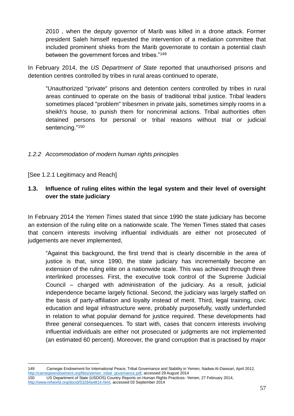2010 , when the deputy governor of Marib was killed in a drone attack. Former president Saleh himself requested the intervention of a mediation committee that included prominent shieks from the Marib governorate to contain a potential clash between the government forces and tribes."<sup>149</sup>

In February 2014, the *US Department of State* reported that unauthorised prisons and detention centres controlled by tribes in rural areas continued to operate,

"Unauthorized "private" prisons and detention centers controlled by tribes in rural areas continued to operate on the basis of traditional tribal justice. Tribal leaders sometimes placed "problem" tribesmen in private jails, sometimes simply rooms in a sheikh's house, to punish them for noncriminal actions. Tribal authorities often detained persons for personal or tribal reasons without trial or judicial sentencing."<sup>150</sup>

### *1.2.2 Accommodation of modern human rights principles*

[See 1.2.1 Legitimacy and Reach]

# **1.3. Influence of ruling elites within the legal system and their level of oversight over the state judiciary**

In February 2014 the *Yemen Times* stated that since 1990 the state judiciary has become an extension of the ruling elite on a nationwide scale. The Yemen Times stated that cases that concern interests involving influential individuals are either not prosecuted of judgements are never implemented,

"Against this background, the first trend that is clearly discernible in the area of justice is that, since 1990, the state judiciary has incrementally become an extension of the ruling elite on a nationwide scale. This was achieved through three interlinked processes. First, the executive took control of the Supreme Judicial Council – charged with administration of the judiciary. As a result, judicial independence became largely fictional. Second, the judiciary was largely staffed on the basis of party-affiliation and loyalty instead of merit. Third, legal training, civic education and legal infrastructure were, probably purposefully, vastly underfunded in relation to what popular demand for justice required. These developments had three general consequences. To start with, cases that concern interests involving influential individuals are either not prosecuted or judgments are not implemented (an estimated 60 percent). Moreover, the grand corruption that is practised by major

<sup>1</sup> 149 Carnegie Endowment for International Peace, Tribal Governance and Stability in Yemen, Nadwa Al-Dawsari, April 2012, [http://carnegieendowment.org/files/yemen\\_tribal\\_governance.pdf,](http://carnegieendowment.org/files/yemen_tribal_governance.pdf) accessed 29 August 2014 150 US Department of State (USDOS) Country Reports on Human Rights Practices- Yemen, 27 February 2014,

[http://www.refworld.org/docid/53284a4814.html,](http://www.refworld.org/docid/53284a4814.html) accessed 03 September 2014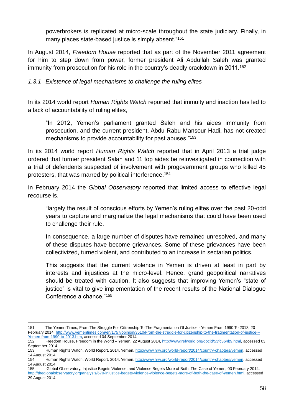powerbrokers is replicated at micro-scale throughout the state judiciary. Finally, in many places state-based justice is simply absent."<sup>151</sup>

In August 2014, *Freedom House* reported that as part of the November 2011 agreement for him to step down from power, former president Ali Abdullah Saleh was granted immunity from prosecution for his role in the country's deadly crackdown in 2011.<sup>152</sup>

*1.3.1 Existence of legal mechanisms to challenge the ruling elites*

In its 2014 world report *Human Rights Watch* reported that immuity and inaction has led to a lack of accountability of ruling elites,

"In 2012, Yemen's parliament granted Saleh and his aides immunity from prosecution, and the current president, Abdu Rabu Mansour Hadi, has not created mechanisms to provide accountability for past abuses."<sup>153</sup>

In its 2014 world report *Human Rights Watch* reported that in April 2013 a trial judge ordered that former president Salah and 11 top aides be reinvestigated in connection with a trial of defendents suspected of involvement with progovernment groups who killed 45 protesters, that was marred by political interference.<sup>154</sup>

In February 2014 the *Global Observatory* reported that limited access to effective legal recourse is,

"largely the result of conscious efforts by Yemen's ruling elites over the past 20-odd years to capture and marginalize the legal mechanisms that could have been used to challenge their rule.

In consequence, a large number of disputes have remained unresolved, and many of these disputes have become grievances. Some of these grievances have been collectivized, turned violent, and contributed to an increase in sectarian politics.

This suggests that the current violence in Yemen is driven at least in part by interests and injustices at the micro-level. Hence, grand geopolitical narratives should be treated with caution. It also suggests that improving Yemen's "state of justice" is vital to give implementation of the recent results of the National Dialogue Conference a chance."<sup>155</sup>

<sup>1</sup> 151 The Yemen Times, From The Struggle For Citizenship To The Fragmentation Of Justice - Yemen From 1990 To 2013, 20 February 2014, [http://www.yementimes.com/en/1757/opinion/3510/From-the-struggle-for-citizenship-to-the-fragmentation-of-justice---](http://www.yementimes.com/en/1757/opinion/3510/From-the-struggle-for-citizenship-to-the-fragmentation-of-justice---Yemen-from-1990-to-2013.htm)

[Yemen-from-1990-to-2013.htm,](http://www.yementimes.com/en/1757/opinion/3510/From-the-struggle-for-citizenship-to-the-fragmentation-of-justice---Yemen-from-1990-to-2013.htm) accessed 04 September 2014<br>152 Freedom House, Freedom in the World - Yemen, 22 152 Freedom House, Freedom in the World – Yemen, 22 August 2014[, http://www.refworld.org/docid/53fc364b9.html,](http://www.refworld.org/docid/53fc364b9.html) accessed 03 September 2014

<sup>153</sup> Human Rights Watch, World Report, 2014, Yemen[, http://www.hrw.org/world-report/2014/country-chapters/yemen,](http://www.hrw.org/world-report/2014/country-chapters/yemen) accessed 14 August 2014

Human Rights Watch, World Report, 2014, Yemen[, http://www.hrw.org/world-report/2014/country-chapters/yemen,](http://www.hrw.org/world-report/2014/country-chapters/yemen) accessed 14 August 2014

<sup>155</sup> Global Observatory, Injustice Begets Violence, and Violence Begets More of Both: The Case of Yemen, 03 February 2014, [http://theglobalobservatory.org/analysis/670-injustice-begets-violence-violence-begets-more-of-both-the-case-of-yemen.html,](http://theglobalobservatory.org/analysis/670-injustice-begets-violence-violence-begets-more-of-both-the-case-of-yemen.html) accessed 29 August 2014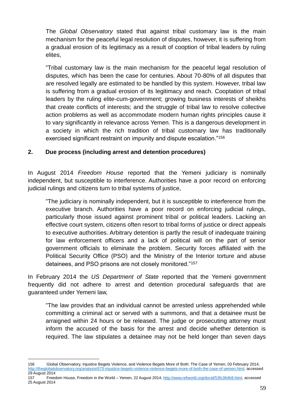The *Global Observatory* stated that against tribal customary law is the main mechanism for the peaceful legal resolution of disputes, however, it is suffering from a gradual erosion of its legitimacy as a result of cooption of tribal leaders by ruling elites,

"Tribal customary law is the main mechanism for the peaceful legal resolution of disputes, which has been the case for centuries. About 70-80% of all disputes that are resolved legally are estimated to be handled by this system. However, tribal law is suffering from a gradual erosion of its legitimacy and reach. Cooptation of tribal leaders by the ruling elite-cum-government; growing business interests of sheikhs that create conflicts of interests; and the struggle of tribal law to resolve collective action problems as well as accommodate modern human rights principles cause it to vary significantly in relevance across Yemen. This is a dangerous development in a society in which the rich tradition of tribal customary law has traditionally exercised significant restraint on impunity and dispute escalation."<sup>156</sup>

### **2. Due process (including arrest and detention procedures)**

In August 2014 *Freedom House* reported that the Yemeni judiciary is nominally independent, but susceptible to interference. Authorities have a poor record on enforcing judicial rulings and citizens turn to tribal systems of justice,

"The judiciary is nominally independent, but it is susceptible to interference from the executive branch. Authorities have a poor record on enforcing judicial rulings, particularly those issued against prominent tribal or political leaders. Lacking an effective court system, citizens often resort to tribal forms of justice or direct appeals to executive authorities. Arbitrary detention is partly the result of inadequate training for law enforcement officers and a lack of political will on the part of senior government officials to eliminate the problem. Security forces affiliated with the Political Security Office (PSO) and the Ministry of the Interior torture and abuse detainees, and PSO prisons are not closely monitored."<sup>157</sup>

In February 2014 the *US Department of State* reported that the Yemeni government frequently did not adhere to arrest and detention procedural safeguards that are guaranteed under Yemeni law,

"The law provides that an individual cannot be arrested unless apprehended while committing a criminal act or served with a summons, and that a detainee must be arraigned within 24 hours or be released. The judge or prosecuting attorney must inform the accused of the basis for the arrest and decide whether detention is required. The law stipulates a detainee may not be held longer than seven days

<u>.</u>

<sup>156</sup> Global Observatory, Injustice Begets Violence, and Violence Begets More of Both: The Case of Yemen, 03 February 2014, [http://theglobalobservatory.org/analysis/670-injustice-begets-violence-violence-begets-more-of-both-the-case-of-yemen.html,](http://theglobalobservatory.org/analysis/670-injustice-begets-violence-violence-begets-more-of-both-the-case-of-yemen.html) accessed 29 August 2014

<sup>157</sup> Freedom House, Freedom in the World – Yemen, 22 August 2014, [http://www.refworld.org/docid/53fc364b9.html,](http://www.refworld.org/docid/53fc364b9.html) accessed 25 August 2014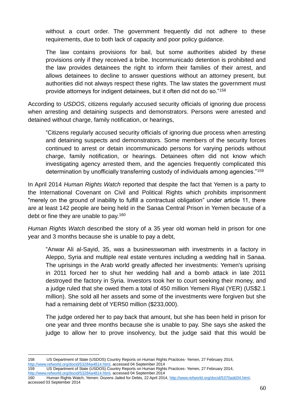without a court order. The government frequently did not adhere to these requirements, due to both lack of capacity and poor policy guidance.

The law contains provisions for bail, but some authorities abided by these provisions only if they received a bribe. Incommunicado detention is prohibited and the law provides detainees the right to inform their families of their arrest, and allows detainees to decline to answer questions without an attorney present, but authorities did not always respect these rights. The law states the government must provide attorneys for indigent detainees, but it often did not do so."<sup>158</sup>

According to *USDOS*, citizens regularly accused security officials of ignoring due process when arresting and detaining suspects and demonstrators. Persons were arrested and detained without charge, family notification, or hearings,

"Citizens regularly accused security officials of ignoring due process when arresting and detaining suspects and demonstrators. Some members of the security forces continued to arrest or detain incommunicado persons for varying periods without charge, family notification, or hearings. Detainees often did not know which investigating agency arrested them, and the agencies frequently complicated this determination by unofficially transferring custody of individuals among agencies."<sup>159</sup>

In April 2014 *Human Rights Watch* reported that despite the fact that Yemen is a party to the International Covenant on Civil and Political Rights which prohibits imprisonment "merely on the ground of inability to fulfill a contractual obligation" under article 11, there are at least 142 people are being held in the Sanaa Central Prison in Yemen because of a debt or fine they are unable to pay.<sup>160</sup>

*Human Rights Watch* described the story of a 35 year old woman held in prison for one year and 3 months because she is unable to pay a debt,

"Anwar Ali al-Sayid, 35, was a businesswoman with investments in a factory in Aleppo, Syria and multiple real estate ventures including a wedding hall in Sanaa. The uprisings in the Arab world greatly affected her investments: Yemen's uprising in 2011 forced her to shut her wedding hall and a bomb attack in late 2011 destroyed the factory in Syria. Investors took her to court seeking their money, and a judge ruled that she owed them a total of 450 million Yemeni Riyal (YER) (US\$2.1 million). She sold all her assets and some of the investments were forgiven but she had a remaining debt of YER50 million (\$233,000).

The judge ordered her to pay back that amount, but she has been held in prison for one year and three months because she is unable to pay. She says she asked the judge to allow her to prove insolvency, but the judge said that this would be

<sup>1</sup> 158 US Department of State (USDOS) Country Reports on Human Rights Practices- Yemen, 27 February 2014, [http://www.refworld.org/docid/53284a4814.html,](http://www.refworld.org/docid/53284a4814.html) accessed 04 September 2014

<sup>159</sup> US Department of State (USDOS) Country Reports on Human Rights Practices- Yemen, 27 February 2014, [http://www.refworld.org/docid/53284a4814.html,](http://www.refworld.org/docid/53284a4814.html) accessed 04 September 2014

<sup>160</sup> Human Rights Watch, Yemen: Dozens Jailed for Debts, 22 April 2014[, http://www.refworld.org/docid/5370add34.html,](http://www.refworld.org/docid/5370add34.html) accessed 03 September 2014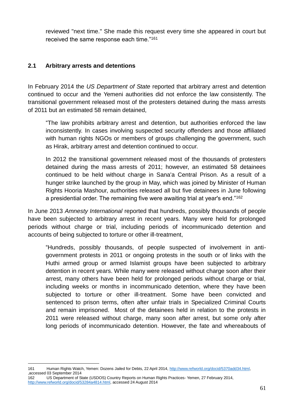reviewed "next time." She made this request every time she appeared in court but received the same response each time."<sup>161</sup>

#### **2.1 Arbitrary arrests and detentions**

In February 2014 the *US Department of State* reported that arbitrary arrest and detention continued to occur and the Yemeni authorities did not enforce the law consistently. The transitional government released most of the protesters detained during the mass arrests of 2011 but an estimated 58 remain detained,

"The law prohibits arbitrary arrest and detention, but authorities enforced the law inconsistently. In cases involving suspected security offenders and those affiliated with human rights NGOs or members of groups challenging the government, such as Hirak, arbitrary arrest and detention continued to occur.

In 2012 the transitional government released most of the thousands of protesters detained during the mass arrests of 2011; however, an estimated 58 detainees continued to be held without charge in Sana'a Central Prison. As a result of a hunger strike launched by the group in May, which was joined by Minister of Human Rights Hooria Mashour, authorities released all but five detainees in June following a presidential order. The remaining five were awaiting trial at year's end."<sup>162</sup>

In June 2013 *Amnesty International* reported that hundreds, possibly thousands of people have been subjected to arbitrary arrest in recent years. Many were held for prolonged periods without charge or trial, including periods of incommunicado detention and accounts of being subjected to torture or other ill-treatment,

"Hundreds, possibly thousands, of people suspected of involvement in antigovernment protests in 2011 or ongoing protests in the south or of links with the Huthi armed group or armed Islamist groups have been subjected to arbitrary detention in recent years. While many were released without charge soon after their arrest, many others have been held for prolonged periods without charge or trial, including weeks or months in incommunicado detention, where they have been subjected to torture or other ill-treatment. Some have been convicted and sentenced to prison terms, often after unfair trials in Specialized Criminal Courts and remain imprisoned. Most of the detainees held in relation to the protests in 2011 were released without charge, many soon after arrest, but some only after long periods of incommunicado detention. However, the fate and whereabouts of

1

<sup>161</sup> Human Rights Watch, Yemen: Dozens Jailed for Debts, 22 April 2014[, http://www.refworld.org/docid/5370add34.html,](http://www.refworld.org/docid/5370add34.html) ,accessed 03 September 2014

<sup>162</sup> US Department of State (USDOS) Country Reports on Human Rights Practices- Yemen, 27 February 2014, [http://www.refworld.org/docid/53284a4814.html,](http://www.refworld.org/docid/53284a4814.html) accessed 24 August 2014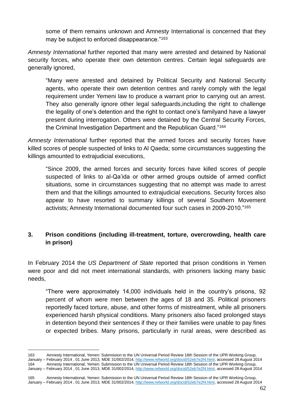some of them remains unknown and Amnesty International is concerned that they may be subject to enforced disappearance."<sup>163</sup>

*Amnesty International* further reported that many were arrested and detained by National security forces, who operate their own detention centres. Certain legal safeguards are generally ignored,

"Many were arrested and detained by Political Security and National Security agents, who operate their own detention centres and rarely comply with the legal requirement under Yemeni law to produce a warrant prior to carrying out an arrest. They also generally ignore other legal safeguards,including the right to challenge the legality of one's detention and the right to contact one's familyand have a lawyer present during interrogation. Others were detained by the Central Security Forces, the Criminal Investigation Department and the Republican Guard."<sup>164</sup>

*Amnesty International* further reported that the armed forces and security forces have killed scores of people suspected of links to Al Qaeda; some circumstances suggesting the killings amounted to extrajudicial executions,

"Since 2009, the armed forces and security forces have killed scores of people suspected of links to al-Qa'ida or other armed groups outside of armed conflict situations, some in circumstances suggesting that no attempt was made to arrest them and that the killings amounted to extrajudicial executions. Security forces also appear to have resorted to summary killings of several Southern Movement activists; Amnesty International documented four such cases in 2009-2010."<sup>165</sup>

### **3. Prison conditions (including ill-treatment, torture, overcrowding, health care in prison)**

In February 2014 the *US Department of State* reported that prison conditions in Yemen were poor and did not meet international standards, with prisoners lacking many basic needs,

"There were approximately 14,000 individuals held in the country's prisons, 92 percent of whom were men between the ages of 18 and 35. Political prisoners reportedly faced torture, abuse, and other forms of mistreatment, while all prisoners experienced harsh physical conditions. Many prisoners also faced prolonged stays in detention beyond their sentences if they or their families were unable to pay fines or expected bribes. Many prisons, particularly in rural areas, were described as

<sup>1</sup> 163 Amnesty International, Yemen: Submission to the UN Universal Period Review 18th Session of the UPR Working Group,<br>January – February 2014 , 01 June 2013, MDE 31/002/2014, http://www.refworld.org/docid/52eb7e2f4.html, a February 2014 , 01 June 2013, MDE 31/002/2014, [http://www.refworld.org/docid/52eb7e2f4.html,](http://www.refworld.org/docid/52eb7e2f4.html) accessed 28 August 2014 164 Amnesty International, Yemen: Submission to the UN Universal Period Review 18th Session of the UPR Working Group, January – February 2014 , 01 June 2013, MDE 31/002/2014, [http://www.refworld.org/docid/52eb7e2f4.html,](http://www.refworld.org/docid/52eb7e2f4.html) accessed 28 August 2014

<sup>165</sup> Amnesty International, Yemen: Submission to the UN Universal Period Review 18th Session of the UPR Working Group, January - February 2014, 01 June 2013, MDE 31/002/2014, [http://www.refworld.org/docid/52eb7e2f4.html,](http://www.refworld.org/docid/52eb7e2f4.html) accessed 28 August 2014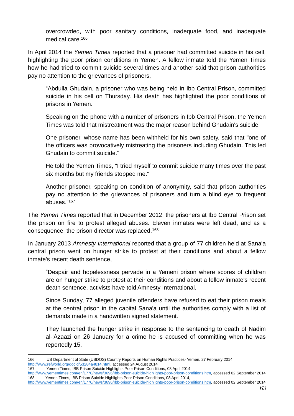overcrowded, with poor sanitary conditions, inadequate food, and inadequate medical care.<sup>166</sup>

In April 2014 the *Yemen Times* reported that a prisoner had committed suicide in his cell, highlighting the poor prison conditions in Yemen. A fellow inmate told the Yemen Times how he had tried to commit suicide several times and another said that prison authorities pay no attention to the grievances of prisoners,

"Abdulla Ghudain, a prisoner who was being held in Ibb Central Prison, committed suicide in his cell on Thursday. His death has highlighted the poor conditions of prisons in Yemen.

Speaking on the phone with a number of prisoners in Ibb Central Prison, the Yemen Times was told that mistreatment was the major reason behind Ghudain's suicide.

One prisoner, whose name has been withheld for his own safety, said that "one of the officers was provocatively mistreating the prisoners including Ghudain. This led Ghudain to commit suicide."

He told the Yemen Times, "I tried myself to commit suicide many times over the past six months but my friends stopped me."

Another prisoner, speaking on condition of anonymity, said that prison authorities pay no attention to the grievances of prisoners and turn a blind eye to frequent abuses."<sup>167</sup>

The *Yemen Times* reported that in December 2012, the prisoners at Ibb Central Prison set the prison on fire to protest alleged abuses. Eleven inmates were left dead, and as a consequence, the prison director was replaced.<sup>168</sup>

In January 2013 *Amnesty International* reported that a group of 77 children held at Sana'a central prison went on hunger strike to protest at their conditions and about a fellow inmate's recent death sentence,

"Despair and hopelessness pervade in a Yemeni prison where scores of children are on hunger strike to protest at their conditions and about a fellow inmate's recent death sentence, activists have told Amnesty International.

Since Sunday, 77 alleged juvenile offenders have refused to eat their prison meals at the central prison in the capital Sana'a until the authorities comply with a list of demands made in a handwritten signed statement.

They launched the hunger strike in response to the sentencing to death of Nadim al-'Azaazi on 26 January for a crime he is accused of committing when he was reportedly 15.

<sup>1</sup> 166 US Department of State (USDOS) Country Reports on Human Rights Practices- Yemen, 27 February 2014, [http://www.refworld.org/docid/53284a4814.html,](http://www.refworld.org/docid/53284a4814.html) accessed 24 August 2014

<sup>167</sup> Yemen Times, IBB Prison Suicide Highlights Poor Prison Conditions, 08 April 2014,

[http://www.yementimes.com/en/1770/news/3696/Ibb-prison-suicide-highlights-poor-prison-conditions.htm,](http://www.yementimes.com/en/1770/news/3696/Ibb-prison-suicide-highlights-poor-prison-conditions.htm) accessed 02 September 2014 168 Yemen Times, IBB Prison Suicide Highlights Poor Prison Conditions, 08 April 2014,

[http://www.yementimes.com/en/1770/news/3696/Ibb-prison-suicide-highlights-poor-prison-conditions.htm,](http://www.yementimes.com/en/1770/news/3696/Ibb-prison-suicide-highlights-poor-prison-conditions.htm) accessed 02 September 2014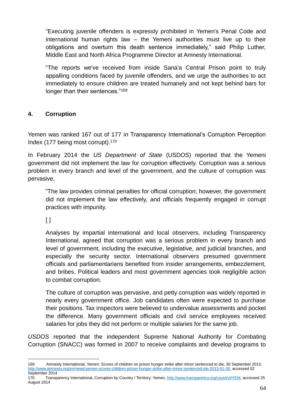"Executing juvenile offenders is expressly prohibited in Yemen's Penal Code and international human rights law – the Yemeni authorities must live up to their obligations and overturn this death sentence immediately," said Philip Luther, Middle East and North Africa Programme Director at Amnesty International.

"The reports we've received from inside Sana'a Central Prison point to truly appalling conditions faced by juvenile offenders, and we urge the authorities to act immediately to ensure children are treated humanely and not kept behind bars for longer than their sentences."<sup>169</sup>

### **4. Corruption**

Yemen was ranked 167 out of 177 in Transparency International's Corruption Perception Index (177 being most corrupt).<sup>170</sup>

In February 2014 the *US Department of State* (USDOS) reported that the Yemeni government did not implement the law for corruption effectively. Corruption was a serious problem in every branch and level of the government, and the culture of corruption was pervasive,

"The law provides criminal penalties for official corruption; however, the government did not implement the law effectively, and officials frequently engaged in corrupt practices with impunity.

 $\lceil$   $\rceil$ 

Analyses by impartial international and local observers, including Transparency International, agreed that corruption was a serious problem in every branch and level of government, including the executive, legislative, and judicial branches, and especially the security sector. International observers presumed government officials and parliamentarians benefited from insider arrangements, embezzlement, and bribes. Political leaders and most government agencies took negligible action to combat corruption.

The culture of corruption was pervasive, and petty corruption was widely reported in nearly every government office. Job candidates often were expected to purchase their positions. Tax inspectors were believed to undervalue assessments and pocket the difference. Many government officials and civil service employees received salaries for jobs they did not perform or multiple salaries for the same job.

*USDOS* reported that the independent Supreme National Authority for Combating Corruption (SNACC) was formed in 2007 to receive complaints and develop programs to

<sup>&</sup>lt;u>.</u> 169 Amnesty International, Yemen: Scores of children on prison hunger strike after minor sentenced to die, 30 September 2013, [http://www.amnesty.org/en/news/yemen-scores-children-prison-hunger-strike-after-minor-sentenced-die-2013-01-30,](http://www.amnesty.org/en/news/yemen-scores-children-prison-hunger-strike-after-minor-sentenced-die-2013-01-30) accessed 02 September 2014

<sup>170</sup> Transparency International, Corruption by Country / Territory: Yemen[, http://www.transparency.org/country#YEM,](http://www.transparency.org/country#YEM) accessed 25 August 2014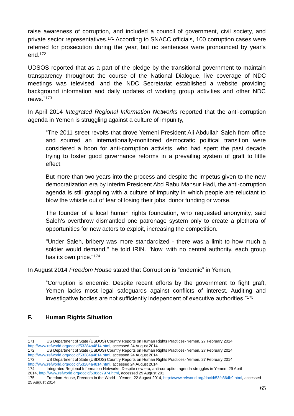raise awareness of corruption, and included a council of government, civil society, and private sector representatives.<sup>171</sup> According to SNACC officials, 100 corruption cases were referred for prosecution during the year, but no sentences were pronounced by year's end.<sup>172</sup>

UDSOS reported that as a part of the pledge by the transitional government to maintain transparency throughout the course of the National Dialogue, live coverage of NDC meetings was televised, and the NDC Secretariat established a website providing background information and daily updates of working group activities and other NDC news."<sup>173</sup>

In April 2014 *Integrated Regional Information Networks* reported that the anti-corruption agenda in Yemen is struggling against a culture of impunity,

"The 2011 street revolts that drove Yemeni President Ali Abdullah Saleh from office and spurred an internationally-monitored democratic political transition were considered a boon for anti-corruption activists, who had spent the past decade trying to foster good governance reforms in a prevailing system of graft to little effect.

But more than two years into the process and despite the impetus given to the new democratization era by interim President Abd Rabu Mansur Hadi, the anti-corruption agenda is still grappling with a culture of impunity in which people are reluctant to blow the whistle out of fear of losing their jobs, donor funding or worse.

The founder of a local human rights foundation, who requested anonymity, said Saleh's overthrow dismantled one patronage system only to create a plethora of opportunities for new actors to exploit, increasing the competition.

"Under Saleh, bribery was more standardized - there was a limit to how much a soldier would demand," he told IRIN. "Now, with no central authority, each group has its own price."<sup>174</sup>

In August 2014 *Freedom House* stated that Corruption is "endemic" in Yemen,

"Corruption is endemic. Despite recent efforts by the government to fight graft, Yemen lacks most legal safeguards against conflicts of interest. Auditing and investigative bodies are not sufficiently independent of executive authorities."<sup>175</sup>

# **F. Human Rights Situation**

<sup>1</sup> 171 US Department of State (USDOS) Country Reports on Human Rights Practices- Yemen, 27 February 2014,

[http://www.refworld.org/docid/53284a4814.html,](http://www.refworld.org/docid/53284a4814.html) accessed 24 August 2014 172 US Department of State (USDOS) Country Reports on Human Rights Practices- Yemen, 27 February 2014,

[http://www.refworld.org/docid/53284a4814.html,](http://www.refworld.org/docid/53284a4814.html) accessed 24 August 2014<br>173 US Department of State (USDOS) Country Reports on Human R

<sup>173</sup> US Department of State (USDOS) Country Reports on Human Rights Practices- Yemen, 27 February 2014, [http://www.refworld.org/docid/53284a4814.html,](http://www.refworld.org/docid/53284a4814.html) accessed 24 August 2014

<sup>174</sup> Integrated Regional Information Networks, Despite new era, anti-corruption agenda struggles in Yemen, 29 April 2014, [http://www.refworld.org/docid/538dc7974.html,](http://www.refworld.org/docid/538dc7974.html) accessed 29 August 201

<sup>175</sup> Freedom House, Freedom in the World – Yemen, 22 August 2014, [http://www.refworld.org/docid/53fc364b9.html,](http://www.refworld.org/docid/53fc364b9.html) accessed 25 August 2014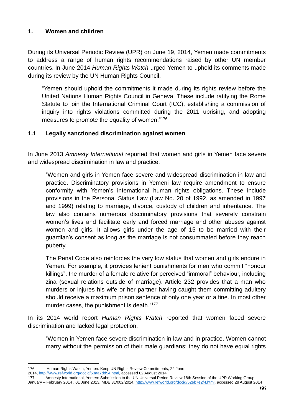### **1. Women and children**

During its Universal Periodic Review (UPR) on June 19, 2014, Yemen made commitments to address a range of human rights recommendations raised by other UN member countries. In June 2014 *Human Rights Watch* urged Yemen to uphold its comments made during its review by the UN Human Rights Council,

"Yemen should uphold the commitments it made during its rights review before the United Nations Human Rights Council in Geneva. These include ratifying the Rome Statute to join the International Criminal Court (ICC), establishing a commission of inquiry into rights violations committed during the 2011 uprising, and adopting measures to promote the equality of women."<sup>176</sup>

### **1.1 Legally sanctioned discrimination against women**

In June 2013 *Amnesty International* reported that women and girls in Yemen face severe and widespread discrimination in law and practice,

"Women and girls in Yemen face severe and widespread discrimination in law and practice. Discriminatory provisions in Yemeni law require amendment to ensure conformity with Yemen's international human rights obligations. These include provisions in the Personal Status Law (Law No. 20 of 1992, as amended in 1997 and 1999) relating to marriage, divorce, custody of children and inheritance. The law also contains numerous discriminatory provisions that severely constrain women's lives and facilitate early and forced marriage and other abuses against women and girls. It allows girls under the age of 15 to be married with their guardian's consent as long as the marriage is not consummated before they reach puberty.

The Penal Code also reinforces the very low status that women and girls endure in Yemen. For example, it provides lenient punishments for men who commit "honour killings", the murder of a female relative for perceived "immoral" behaviour, including zina (sexual relations outside of marriage). Article 232 provides that a man who murders or injures his wife or her partner having caught them committing adultery should receive a maximum prison sentence of only one year or a fine. In most other murder cases, the punishment is death."177

In its 2014 world report *Human Rights Watch* reported that women faced severe discrimination and lacked legal protection,

"Women in Yemen face severe discrimination in law and in practice. Women cannot marry without the permission of their male guardians; they do not have equal rights

<sup>1</sup> 176 Human Rights Watch, Yemen: Keep UN Rights Review Commitments, 22 June

<sup>2014,</sup> [http://www.refworld.org/docid/53aa7dd54.html,](http://www.refworld.org/docid/53aa7dd54.html) accessed 02 August 2014<br>177 Amnesty International, Yemen: Submission to the UN Universal Period

Amnesty International, Yemen: Submission to the UN Universal Period Review 18th Session of the UPR Working Group,

January - February 2014, 01 June 2013, MDE 31/002/2014, [http://www.refworld.org/docid/52eb7e2f4.html,](http://www.refworld.org/docid/52eb7e2f4.html) accessed 28 August 2014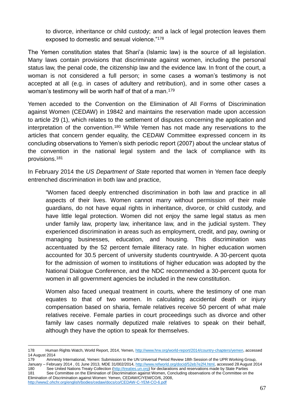to divorce, inheritance or child custody; and a lack of legal protection leaves them exposed to domestic and sexual violence."<sup>178</sup>

The Yemen constitution states that Shari'a (Islamic law) is the source of all legislation. Many laws contain provisions that discriminate against women, including the personal status law, the penal code, the citizenship law and the evidence law. In front of the court, a woman is not considered a full person; in some cases a woman's testimony is not accepted at all (e.g. in cases of adultery and retribution), and in some other cases a woman's testimony will be worth half of that of a man.<sup>179</sup>

Yemen acceded to the Convention on the Elimination of All Forms of Discrimination against Women (CEDAW) in 19842 and maintains the reservation made upon accession to article 29 (1), which relates to the settlement of disputes concerning the application and interpretation of the convention.<sup>180</sup> While Yemen has not made any reservations to the articles that concern gender equality, the CEDAW Committee expressed concern in its concluding observations to Yemen's sixth periodic report (2007) about the unclear status of the convention in the national legal system and the lack of compliance with its provisions.<sup>181</sup>

In February 2014 the *US Department of State* reported that women in Yemen face deeply entrenched discrimination in both law and practice,

"Women faced deeply entrenched discrimination in both law and practice in all aspects of their lives. Women cannot marry without permission of their male guardians, do not have equal rights in inheritance, divorce, or child custody, and have little legal protection. Women did not enjoy the same legal status as men under family law, property law, inheritance law, and in the judicial system. They experienced discrimination in areas such as employment, credit, and pay, owning or managing businesses, education, and housing. This discrimination was accentuated by the 52 percent female illiteracy rate. In higher education women accounted for 30.5 percent of university students countrywide. A 30-percent quota for the admission of women to institutions of higher education was adopted by the National Dialogue Conference, and the NDC recommended a 30-percent quota for women in all government agencies be included in the new constitution.

Women also faced unequal treatment in courts, where the testimony of one man equates to that of two women. In calculating accidental death or injury compensation based on sharia, female relatives receive 50 percent of what male relatives receive. Female parties in court proceedings such as divorce and other family law cases normally deputized male relatives to speak on their behalf, although they have the option to speak for themselves.

<sup>1</sup> 178 Human Rights Watch, World Report, 2014, Yemen[, http://www.hrw.org/world-report/2014/country-chapters/yemen,](http://www.hrw.org/world-report/2014/country-chapters/yemen) accessed 14 August 2014

<sup>179</sup> Amnesty International, Yemen: Submission to the UN Universal Period Review 18th Session of the UPR Working Group, January - February 2014, 01 June 2013, MDE 31/002/2014, [http://www.refworld.org/docid/52eb7e2f4.html,](http://www.refworld.org/docid/52eb7e2f4.html) accessed 28 August 2014 180 See United Nations Treaty Collection (http://treaties.un.org) for declarations and reservations made by State Parties 181 See Committee on the Elimination of Discrimination against Women, Concluding observations of the Committee on the Elimination of Discrimination against Women: Yemen, CEDAW/C/YEM/CO/6, 2008,

<http://www2.ohchr.org/english/bodies/cedaw/docs/co/CEDAW-C-YEM-CO-6.pdf>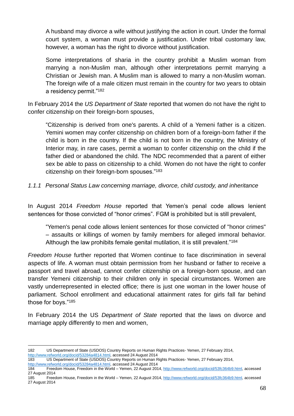A husband may divorce a wife without justifying the action in court. Under the formal court system, a woman must provide a justification. Under tribal customary law, however, a woman has the right to divorce without justification.

Some interpretations of sharia in the country prohibit a Muslim woman from marrying a non-Muslim man, although other interpretations permit marrying a Christian or Jewish man. A Muslim man is allowed to marry a non-Muslim woman. The foreign wife of a male citizen must remain in the country for two years to obtain a residency permit."<sup>182</sup>

In February 2014 the *US Department of State* reported that women do not have the right to confer citizenship on their foreign-born spouses,

"Citizenship is derived from one's parents. A child of a Yemeni father is a citizen. Yemini women may confer citizenship on children born of a foreign-born father if the child is born in the country. If the child is not born in the country, the Ministry of Interior may, in rare cases, permit a woman to confer citizenship on the child if the father died or abandoned the child. The NDC recommended that a parent of either sex be able to pass on citizenship to a child. Women do not have the right to confer citizenship on their foreign-born spouses."<sup>183</sup>

*1.1.1 Personal Status Law concerning marriage, divorce, child custody, and inheritance*

In August 2014 *Freedom House* reported that Yemen's penal code allows lenient sentences for those convicted of "honor crimes". FGM is prohibited but is still prevalent,

"Yemen's penal code allows lenient sentences for those convicted of "honor crimes" – assaults or killings of women by family members for alleged immoral behavior. Although the law prohibits female genital mutilation, it is still prevalent."<sup>184</sup>

*Freedom House* further reported that Women continue to face discrimination in several aspects of life. A woman must obtain permission from her husband or father to receive a passport and travel abroad, cannot confer citizenship on a foreign-born spouse, and can transfer Yemeni citizenship to their children only in special circumstances. Women are vastly underrepresented in elected office; there is just one woman in the lower house of parliament. School enrollment and educational attainment rates for girls fall far behind those for boys."<sup>185</sup>

In February 2014 the US *Department of State* reported that the laws on divorce and marriage apply differently to men and women,

<sup>1</sup> 182 US Department of State (USDOS) Country Reports on Human Rights Practices- Yemen, 27 February 2014, [http://www.refworld.org/docid/53284a4814.html,](http://www.refworld.org/docid/53284a4814.html) accessed 24 August 2014<br>183 US Department of State (USDOS) Country Reports on Human R

<sup>183</sup> US Department of State (USDOS) Country Reports on Human Rights Practices- Yemen, 27 February 2014, [http://www.refworld.org/docid/53284a4814.html,](http://www.refworld.org/docid/53284a4814.html) accessed 24 August 2014

<sup>184</sup> Freedom House, Freedom in the World – Yemen, 22 August 2014, [http://www.refworld.org/docid/53fc364b9.html,](http://www.refworld.org/docid/53fc364b9.html) accessed 27 August 2014

<sup>185</sup> Freedom House, Freedom in the World – Yemen, 22 August 2014, [http://www.refworld.org/docid/53fc364b9.html,](http://www.refworld.org/docid/53fc364b9.html) accessed 27 August 2014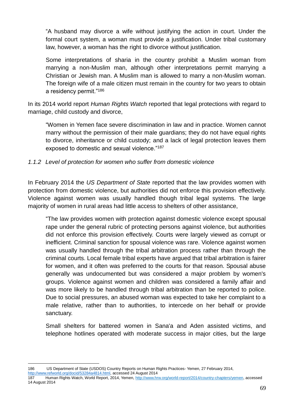"A husband may divorce a wife without justifying the action in court. Under the formal court system, a woman must provide a justification. Under tribal customary law, however, a woman has the right to divorce without justification.

Some interpretations of sharia in the country prohibit a Muslim woman from marrying a non-Muslim man, although other interpretations permit marrying a Christian or Jewish man. A Muslim man is allowed to marry a non-Muslim woman. The foreign wife of a male citizen must remain in the country for two years to obtain a residency permit."<sup>186</sup>

In its 2014 world report *Human Rights Watch* reported that legal protections with regard to marriage, child custody and divorce,

"Women in Yemen face severe discrimination in law and in practice. Women cannot marry without the permission of their male guardians; they do not have equal rights to divorce, inheritance or child custody; and a lack of legal protection leaves them exposed to domestic and sexual violence."<sup>187</sup>

#### *1.1.2 Level of protection for women who suffer from domestic violence*

In February 2014 the *US Department of State* reported that the law provides women with protection from domestic violence, but authorities did not enforce this provision effectively. Violence against women was usually handled though tribal legal systems. The large majority of women in rural areas had little access to shelters of other assistance,

"The law provides women with protection against domestic violence except spousal rape under the general rubric of protecting persons against violence, but authorities did not enforce this provision effectively. Courts were largely viewed as corrupt or inefficient. Criminal sanction for spousal violence was rare. Violence against women was usually handled through the tribal arbitration process rather than through the criminal courts. Local female tribal experts have argued that tribal arbitration is fairer for women, and it often was preferred to the courts for that reason. Spousal abuse generally was undocumented but was considered a major problem by women's groups. Violence against women and children was considered a family affair and was more likely to be handled through tribal arbitration than be reported to police. Due to social pressures, an abused woman was expected to take her complaint to a male relative, rather than to authorities, to intercede on her behalf or provide sanctuary.

Small shelters for battered women in Sana'a and Aden assisted victims, and telephone hotlines operated with moderate success in major cities, but the large

186 US Department of State (USDOS) Country Reports on Human Rights Practices- Yemen, 27 February 2014, [http://www.refworld.org/docid/53284a4814.html,](http://www.refworld.org/docid/53284a4814.html) accessed 24 August 2014

1

<sup>187</sup> Human Rights Watch, World Report, 2014, Yemen[, http://www.hrw.org/world-report/2014/country-chapters/yemen,](http://www.hrw.org/world-report/2014/country-chapters/yemen) accessed 14 August 2014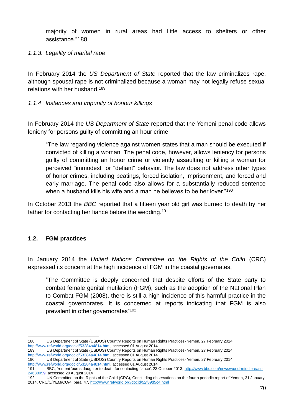majority of women in rural areas had little access to shelters or other assistance."188

#### *1.1.3. Legality of marital rape*

In February 2014 the *US Department of State* reported that the law criminalizes rape, although spousal rape is not criminalized because a woman may not legally refuse sexual relations with her husband.<sup>189</sup>

### *1.1.4 Instances and impunity of honour killings*

In February 2014 the *US Department of State* reported that the Yemeni penal code allows lenieny for persons guilty of committing an hour crime,

"The law regarding violence against women states that a man should be executed if convicted of killing a woman. The penal code, however, allows leniency for persons guilty of committing an honor crime or violently assaulting or killing a woman for perceived "immodest" or "defiant" behavior. The law does not address other types of honor crimes, including beatings, forced isolation, imprisonment, and forced and early marriage. The penal code also allows for a substantially reduced sentence when a husband kills his wife and a man he believes to be her lover."<sup>190</sup>

In October 2013 the *BBC* reported that a fifteen year old girl was burned to death by her father for contacting her fiancé before the wedding.<sup>191</sup>

# **1.2. FGM practices**

In January 2014 the *United Nations Committee on the Rights of the Child* (CRC) expressed its concern at the high incidence of FGM in the coastal governates,

"The Committee is deeply concerned that despite efforts of the State party to combat female genital mutilation (FGM), such as the adoption of the National Plan to Combat FGM (2008), there is still a high incidence of this harmful practice in the coastal governorates. It is concerned at reports indicating that FGM is also prevalent in other governorates"<sup>192</sup>

<sup>1</sup> 188 US Department of State (USDOS) Country Reports on Human Rights Practices- Yemen, 27 February 2014,

[http://www.refworld.org/docid/53284a4814.html,](http://www.refworld.org/docid/53284a4814.html) accessed 01 August 2014 189 US Department of State (USDOS) Country Reports on Human Rights Practices- Yemen, 27 February 2014,

[http://www.refworld.org/docid/53284a4814.html,](http://www.refworld.org/docid/53284a4814.html) accessed 01 August 2014<br>190 US Department of State (USDOS) Country Reports on Human R

US Department of State (USDOS) Country Reports on Human Rights Practices- Yemen, 27 February 2014, [http://www.refworld.org/docid/53284a4814.html,](http://www.refworld.org/docid/53284a4814.html) accessed 01 August 2014

<sup>191</sup> BBC, Yemeni 'burns daughter to death for contacting fiance', 23 October 2013, [http://www.bbc.com/news/world-middle-east-](http://www.bbc.com/news/world-middle-east-24638059)[24638059,](http://www.bbc.com/news/world-middle-east-24638059) accessed 20 August 2014

<sup>192</sup> UN Committee on the Rights of the Child (CRC), Concluding observations on the fourth periodic report of Yemen, 31 January 2014, CRC/C/YEM/CO/4, para. 47,<http://www.refworld.org/docid/52f89d5c4.html>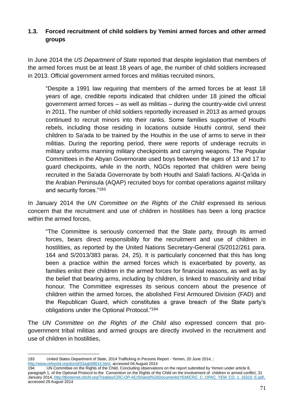# **1.3. Forced recruitment of child soldiers by Yemini armed forces and other armed groups**

In June 2014 the *US Department of State* reported that despite legislation that members of the armed forces must be at least 18 years of age, the number of child soldiers increased in 2013. Official government armed forces and militias recruited minors,

"Despite a 1991 law requiring that members of the armed forces be at least 18 years of age, credible reports indicated that children under 18 joined the official government armed forces – as well as militias – during the country-wide civil unrest in 2011. The number of child soldiers reportedly increased in 2013 as armed groups continued to recruit minors into their ranks. Some families supportive of Houthi rebels, including those residing in locations outside Houthi control, send their children to Sa'ada to be trained by the Houthis in the use of arms to serve in their militias. During the reporting period, there were reports of underage recruits in military uniforms manning military checkpoints and carrying weapons. The Popular Committees in the Abyan Governorate used boys between the ages of 13 and 17 to guard checkpoints, while in the north, NGOs reported that children were being recruited in the Sa'ada Governorate by both Houthi and Salafi factions. Al-Qa'ida in the Arabian Peninsula (AQAP) recruited boys for combat operations against military and security forces."<sup>193</sup>

In January 2014 the *UN Committee on the Rights of the Child* expressed its serious concern that the recruitment and use of children in hostilities has been a long practice within the armed forces,

"The Committee is seriously concerned that the State party, through its armed forces, bears direct responsibility for the recruitment and use of children in hostilities, as reported by the United Nations Secretary-General (S/2012/261 para. 164 and S/2013/383 paras. 24, 25). It is particularly concerned that this has long been a practice within the armed forces which is exacerbated by poverty, as families enlist their children in the armed forces for financial reasons, as well as by the belief that bearing arms, including by children, is linked to masculinity and tribal honour. The Committee expresses its serious concern about the presence of children within the armed forces, the abolished First Armoured Division (FAD) and the Republican Guard, which constitutes a grave breach of the State party's obligations under the Optional Protocol."<sup>194</sup>

The *UN Committee on the Rights of the Child* also expressed concern that progovernment tribal militias and armed groups are directly involved in the recruitment and use of children in hostilities,

[http://www.refworld.org/docid/53aab98014.html,](http://www.refworld.org/docid/53aab98014.html) accessed 04 August 2014

<sup>&</sup>lt;u>.</u> 193 United States Department of State, 2014 Trafficking in Persons Report - Yemen, 20 June 2014, :

<sup>194</sup> UN Committee on the Rights of the Child, Concluding observations on the report submitted by Yemen under article 8, paragraph 1, of the Optional Protocol to the Convention on the Rights of the Child on the involvement of children in armed conflict, 31 January 2014[, http://tbinternet.ohchr.org/Treaties/CRC-OP-AC/Shared%20Documents/YEM/CRC\\_C\\_OPAC\\_YEM\\_CO\\_1\\_16310\\_E.pdf,](http://tbinternet.ohchr.org/Treaties/CRC-OP-AC/Shared%20Documents/YEM/CRC_C_OPAC_YEM_CO_1_16310_E.pdf) accessed 29 August 2014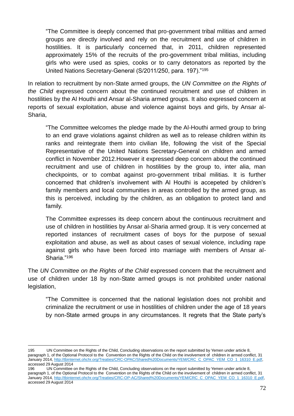"The Committee is deeply concerned that pro-government tribal militias and armed groups are directly involved and rely on the recruitment and use of children in hostilities. It is particularly concerned that, in 2011, children represented approximately 15% of the recruits of the pro-government tribal militias, including girls who were used as spies, cooks or to carry detonators as reported by the United Nations Secretary-General (S/2011/250, para. 197)."<sup>195</sup>

In relation to recruitment by non-State armed groups, the *UN Committee on the Rights of the Child* expressed concern about the continued recruitment and use of children in hostilities by the Al Houthi and Ansar al-Sharia armed groups. It also expressed concern at reports of sexual exploitation, abuse and violence against boys and girls, by Ansar al-Sharia,

"The Committee welcomes the pledge made by the Al-Houthi armed group to bring to an end grave violations against children as well as to release children within its ranks and reintegrate them into civilian life, following the visit of the Special Representative of the United Nations Secretary-General on children and armed conflict in November 2012.However it expressed deep concern about the continued recruitment and use of children in hostilities by the group to, inter alia, man checkpoints, or to combat against pro-government tribal militias. It is further concerned that children's involvement with Al Houthi is accepeted by children's family members and local communities in areas controlled by the armed group, as this is perceived, including by the children, as an obligation to protect land and family.

The Committee expresses its deep concern about the continuous recruitment and use of children in hostilities by Ansar al-Sharia armed group. It is very concerned at reported instances of recruitment cases of boys for the purpose of sexual exploitation and abuse, as well as about cases of sexual violence, including rape against girls who have been forced into marriage with members of Ansar al-Sharia."<sup>196</sup>

The *UN Committee on the Rights of the Child* expressed concern that the recruitment and use of children under 18 by non-State armed groups is not prohibited under national legislation,

"The Committee is concerned that the national legislation does not prohibit and criminalize the recruitment or use in hostilities of children under the age of 18 years by non-State armed groups in any circumstances. It regrets that the State party's

<sup>1</sup> 195 UN Committee on the Rights of the Child, Concluding observations on the report submitted by Yemen under article 8, paragraph 1, of the Optional Protocol to the Convention on the Rights of the Child on the involvement of children in armed conflict, 31 January 2014[, http://tbinternet.ohchr.org/Treaties/CRC-OPAC/Shared%20Documents/YEM/CRC\\_C\\_OPAC\\_YEM\\_CO\\_1\\_16310\\_E.pdf,](http://tbinternet.ohchr.org/Treaties/CRC-OPAC/Shared%20Documents/YEM/CRC_C_OPAC_YEM_CO_1_16310_E.pdf) accessed 29 August 2014

<sup>196</sup> UN Committee on the Rights of the Child, Concluding observations on the report submitted by Yemen under article 8, paragraph 1, of the Optional Protocol to the Convention on the Rights of the Child on the involvement of children in armed conflict, 31 January 2014[, http://tbinternet.ohchr.org/Treaties/CRC-OP-AC/Shared%20Documents/YEM/CRC\\_C\\_OPAC\\_YEM\\_CO\\_1\\_16310\\_E.pdf,](http://tbinternet.ohchr.org/Treaties/CRC-OP-AC/Shared%20Documents/YEM/CRC_C_OPAC_YEM_CO_1_16310_E.pdf) accessed 29 August 2014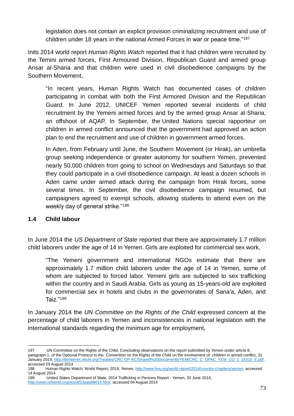legislation does not contain an explicit provision criminalizing recruitment and use of children under 18 years in the national Armed Forces in war or peace time."<sup>197</sup>

Inits 2014 world report *Human Rights Watch* reported that it had children were recruited by the Temini armed forces, First Armoured Division, Republican Guard and armed group Ansar al-Sharia and that children were used in civil disobedience campaigns by the Southern Movement,

"In recent years, Human Rights Watch has documented cases of children participating in combat with both the First Armored Division and the Republican Guard. In June 2012, UNICEF Yemen reported several incidents of child recruitment by the Yemeni armed forces and by the armed group Ansar al-Sharia, an offshoot of AQAP. In September, the United Nations special rapporteur on children in armed conflict announced that the government had approved an action plan to end the recruitment and use of children in government armed forces.

In Aden, from February until June, the Southern Movement (or Hirak), an umbrella group seeking independence or greater autonomy for southern Yemen, prevented nearly 50,000 children from going to school on Wednesdays and Saturdays so that they could participate in a civil disobedience campaign. At least a dozen schools in Aden came under armed attack during the campaign from Hirak forces, some several times. In September, the civil disobedience campaign resumed, but campaigners agreed to exempt schools, allowing students to attend even on the weekly day of general strike."<sup>198</sup>

### **1.4 Child labour**

In June 2014 the *US Department of State* reported that there are approximately 1.7 million child laborers under the age of 14 in Yemen. Girls are exploited for commercial sex work,

"The Yemeni government and international NGOs estimate that there are approximately 1.7 million child laborers under the age of 14 in Yemen, some of whom are subjected to forced labor. Yemeni girls are subjected to sex trafficking within the country and in Saudi Arabia. Girls as young as 15-years-old are exploited for commercial sex in hotels and clubs in the governorates of Sana'a, Aden, and Taiz."<sup>199</sup>

In January 2014 the *UN Committee on the Rights of the Child* expressed concern at the percentage of child laborers in Yemen and inconsistencies in national legislation with the international standards regarding the minimum age for employment,

<sup>1</sup> 197 UN Committee on the Rights of the Child, Concluding observations on the report submitted by Yemen under article 8, paragraph 1, of the Optional Protocol to the Convention on the Rights of the Child on the involvement of children in armed conflict, 31 January 2014[, http://tbinternet.ohchr.org/Treaties/CRC-OP-AC/Shared%20Documents/YEM/CRC\\_C\\_OPAC\\_YEM\\_CO\\_1\\_16310\\_E.pdf,](http://tbinternet.ohchr.org/Treaties/CRC-OP-AC/Shared%20Documents/YEM/CRC_C_OPAC_YEM_CO_1_16310_E.pdf) accessed 29 August 2014

<sup>198</sup> Human Rights Watch, World Report, 2014, Yemen[, http://www.hrw.org/world-report/2014/country-chapters/yemen,](http://www.hrw.org/world-report/2014/country-chapters/yemen) accessed 14 August 2014

<sup>199</sup> United States Department of State, 2014 Trafficking in Persons Report - Yemen, 20 June 2014, [http://www.refworld.org/docid/53aab98014.html,](http://www.refworld.org/docid/53aab98014.html) accessed 04 August 2014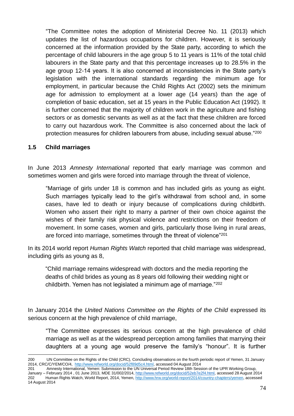"The Committee notes the adoption of Ministerial Decree No. 11 (2013) which updates the list of hazardous occupations for children. However, it is seriously concerned at the information provided by the State party, according to which the percentage of child labourers in the age group 5 to 11 years is 11% of the total child labourers in the State party and that this percentage increases up to 28.5% in the age group 12-14 years. It is also concerned at inconsistencies in the State party's legislation with the international standards regarding the minimum age for employment, in particular because the Child Rights Act (2002) sets the minimum age for admission to employment at a lower age (14 years) than the age of completion of basic education, set at 15 years in the Public Education Act (1992). It is further concerned that the majority of children work in the agriculture and fishing sectors or as domestic servants as well as at the fact that these children are forced to carry out hazardous work. The Committee is also concerned about the lack of protection measures for children labourers from abuse, including sexual abuse."<sup>200</sup>

### **1.5 Child marriages**

In June 2013 *Amnesty International* reported that early marriage was common and sometimes women and girls were forced into marriage through the threat of violence,

"Marriage of girls under 18 is common and has included girls as young as eight. Such marriages typically lead to the girl's withdrawal from school and, in some cases, have led to death or injury because of complications during childbirth. Women who assert their right to marry a partner of their own choice against the wishes of their family risk physical violence and restrictions on their freedom of movement. In some cases, women and girls, particularly those living in rural areas, are forced into marriage, sometimes through the threat of violence"<sup>201</sup>

In its 2014 world report *Human Rights Watch* reported that child marriage was widespread, including girls as young as 8,

"Child marriage remains widespread with doctors and the media reporting the deaths of child brides as young as 8 years old following their wedding night or childbirth. Yemen has not legislated a minimum age of marriage."<sup>202</sup>

In January 2014 the *United Nations Committee on the Rights of the Child* expressed its serious concern at the high prevalence of child marriage,

"The Committee expresses its serious concern at the high prevalence of child marriage as well as at the widespread perception among families that marrying their daughters at a young age would preserve the family's "honour". It is further

<sup>1</sup> 200 UN Committee on the Rights of the Child (CRC), Concluding observations on the fourth periodic report of Yemen, 31 January 2014, CRC/C/YEM/CO/4, [http://www.refworld.org/docid/52f89d5c4.html,](http://www.refworld.org/docid/52f89d5c4.html) accessed 04 August 2014

<sup>201</sup> Amnesty International, Yemen: Submission to the UN Universal Period Review 18th Session of the UPR Working Group, January – February 2014 , 01 June 2013, MDE 31/002/2014, [http://www.refworld.org/docid/52eb7e2f4.html,](http://www.refworld.org/docid/52eb7e2f4.html) accessed 28 August 2014 202 Human Rights Watch, World Report, 2014, Yemen[, http://www.hrw.org/world-report/2014/country-chapters/yemen,](http://www.hrw.org/world-report/2014/country-chapters/yemen) accessed 14 August 2014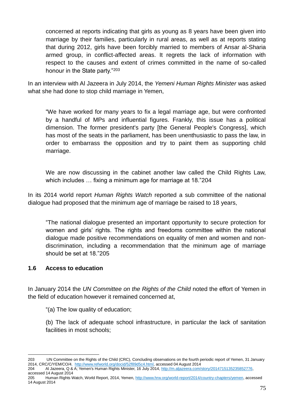concerned at reports indicating that girls as young as 8 years have been given into marriage by their families, particularly in rural areas, as well as at reports stating that during 2012, girls have been forcibly married to members of Ansar al-Sharia armed group, in conflict-affected areas. It regrets the lack of information with respect to the causes and extent of crimes committed in the name of so-called honour in the State party."<sup>203</sup>

In an interview with Al Jazeera in July 2014, the *Yemeni Human Rights Minister* was asked what she had done to stop child marriage in Yemen,

"We have worked for many years to fix a legal marriage age, but were confronted by a handful of MPs and influential figures. Frankly, this issue has a political dimension. The former president's party [the General People's Congress], which has most of the seats in the parliament, has been unenthusiastic to pass the law, in order to embarrass the opposition and try to paint them as supporting child marriage.

We are now discussing in the cabinet another law called the Child Rights Law, which includes … fixing a minimum age for marriage at 18."204

In its 2014 world report *Human Rights Watch* reported a sub committee of the national dialogue had proposed that the minimum age of marriage be raised to 18 years,

"The national dialogue presented an important opportunity to secure protection for women and girls' rights. The rights and freedoms committee within the national dialogue made positive recommendations on equality of men and women and nondiscrimination, including a recommendation that the minimum age of marriage should be set at 18."205

### **1.6 Access to education**

In January 2014 the *UN Committee on the Rights of the Child* noted the effort of Yemen in the field of education however it remained concerned at,

"(a) The low quality of education;

(b) The lack of adequate school infrastructure, in particular the lack of sanitation facilities in most schools;

<sup>1</sup> 203 UN Committee on the Rights of the Child (CRC), Concluding observations on the fourth periodic report of Yemen, 31 January 2014, CRC/C/YEM/CO/4, [http://www.refworld.org/docid/52f89d5c4.html,](http://www.refworld.org/docid/52f89d5c4.html) accessed 04 August 2014

<sup>204</sup> Al Jazeera, Q & A; Yemen's Human Rights Minister, 16 July 2014[, http://m.aljazeera.com/story/2014715135235852776,](http://m.aljazeera.com/story/2014715135235852776)  accessed 14 August 2014

<sup>205</sup> Human Rights Watch, World Report, 2014, Yemen[, http://www.hrw.org/world-report/2014/country-chapters/yemen,](http://www.hrw.org/world-report/2014/country-chapters/yemen) accessed 14 August 2014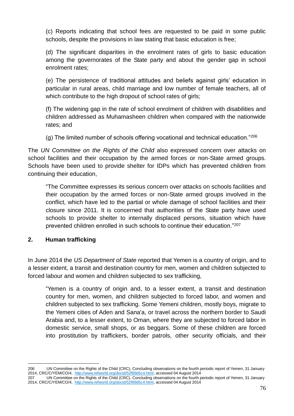(c) Reports indicating that school fees are requested to be paid in some public schools, despite the provisions in law stating that basic education is free;

(d) The significant disparities in the enrolment rates of girls to basic education among the governorates of the State party and about the gender gap in school enrolment rates;

(e) The persistence of traditional attitudes and beliefs against girls' education in particular in rural areas, child marriage and low number of female teachers, all of which contribute to the high dropout of school rates of girls;

(f) The widening gap in the rate of school enrolment of children with disabilities and children addressed as Muhamasheen children when compared with the nationwide rates; and

(g) The limited number of schools offering vocational and technical education."<sup>206</sup>

The *UN Committee on the Rights of the Child* also expressed concern over attacks on school facilities and their occupation by the armed forces or non-State armed groups. Schools have been used to provide shelter for IDPs which has prevented children from continuing their education,

"The Committee expresses its serious concern over attacks on schools facilities and their occupation by the armed forces or non-State armed groups involved in the conflict, which have led to the partial or whole damage of school facilities and their closure since 2011. It is concerned that authorities of the State party have used schools to provide shelter to internally displaced persons, situation which have prevented children enrolled in such schools to continue their education."<sup>207</sup>

# **2. Human trafficking**

In June 2014 the *US Department of State* reported that Yemen is a country of origin, and to a lesser extent, a transit and destination country for men, women and children subjected to forced labour and women and children subjected to sex trafficking,

"Yemen is a country of origin and, to a lesser extent, a transit and destination country for men, women, and children subjected to forced labor, and women and children subjected to sex trafficking. Some Yemeni children, mostly boys, migrate to the Yemeni cities of Aden and Sana'a, or travel across the northern border to Saudi Arabia and, to a lesser extent, to Oman, where they are subjected to forced labor in domestic service, small shops, or as beggars. Some of these children are forced into prostitution by traffickers, border patrols, other security officials, and their

<sup>1</sup> 206 UN Committee on the Rights of the Child (CRC), Concluding observations on the fourth periodic report of Yemen, 31 January 2014, CRC/C/YEM/CO/4, [http://www.refworld.org/docid/52f89d5c4.html,](http://www.refworld.org/docid/52f89d5c4.html) accessed 04 August 2014

<sup>207</sup> UN Committee on the Rights of the Child (CRC), Concluding observations on the fourth periodic report of Yemen, 31 January 2014, CRC/C/YEM/CO/4, [http://www.refworld.org/docid/52f89d5c4.html,](http://www.refworld.org/docid/52f89d5c4.html) accessed 04 August 2014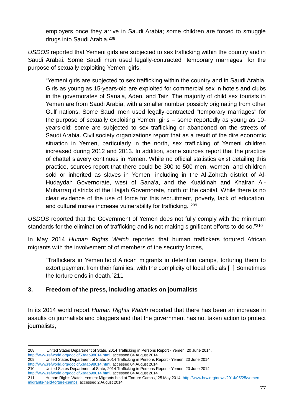employers once they arrive in Saudi Arabia; some children are forced to smuggle drugs into Saudi Arabia.<sup>208</sup>

*USDOS* reported that Yemeni girls are subjected to sex trafficking within the country and in Saudi Arabai. Some Saudi men used legally-contracted "temporary marriages" for the purpose of sexually exploiting Yemeni girls,

"Yemeni girls are subjected to sex trafficking within the country and in Saudi Arabia. Girls as young as 15-years-old are exploited for commercial sex in hotels and clubs in the governorates of Sana'a, Aden, and Taiz. The majority of child sex tourists in Yemen are from Saudi Arabia, with a smaller number possibly originating from other Gulf nations. Some Saudi men used legally-contracted "temporary marriages" for the purpose of sexually exploiting Yemeni girls – some reportedly as young as 10 years-old; some are subjected to sex trafficking or abandoned on the streets of Saudi Arabia. Civil society organizations report that as a result of the dire economic situation in Yemen, particularly in the north, sex trafficking of Yemeni children increased during 2012 and 2013. In addition, some sources report that the practice of chattel slavery continues in Yemen. While no official statistics exist detailing this practice, sources report that there could be 300 to 500 men, women, and children sold or inherited as slaves in Yemen, including in the Al-Zohrah district of Al-Hudaydah Governorate, west of Sana'a, and the Kuaidinah and Khairan Al-Muharraq districts of the Hajjah Governorate, north of the capital. While there is no clear evidence of the use of force for this recruitment, poverty, lack of education, and cultural mores increase vulnerability for trafficking."<sup>209</sup>

*USDOS* reported that the Government of Yemen does not fully comply with the minimum standards for the elimination of trafficking and is not making significant efforts to do so."<sup>210</sup>

In May 2014 *Human Rights Watch* reported that human traffickers tortured African migrants with the involvement of of members of the security forces,

"Traffickers in Yemen hold African migrants in detention camps, torturing them to extort payment from their families, with the complicity of local officials [ ] Sometimes the torture ends in death."211

### **3. Freedom of the press, including attacks on journalists**

In its 2014 world report *Human Rights Watch* reported that there has been an increase in asaults on journalists and bloggers and that the government has not taken action to protect journalists,

<sup>1</sup> 208 United States Department of State, 2014 Trafficking in Persons Report - Yemen, 20 June 2014, [http://www.refworld.org/docid/53aab98014.html,](http://www.refworld.org/docid/53aab98014.html) accessed 04 August 2014<br>209 United States Department of State. 2014 Trafficking in Persons R

<sup>209</sup> United States Department of State, 2014 Trafficking in Persons Report - Yemen, 20 June 2014, [http://www.refworld.org/docid/53aab98014.html,](http://www.refworld.org/docid/53aab98014.html) accessed 04 August 2014

<sup>210</sup> United States Department of State, 2014 Trafficking in Persons Report - Yemen, 20 June 2014,

[http://www.refworld.org/docid/53aab98014.html,](http://www.refworld.org/docid/53aab98014.html) accessed 04 August 2014

<sup>211</sup> Human Rights Watch, Yemen: Migrants held at 'Torture Camps,' 25 May 2014, [http://www.hrw.org/news/2014/05/25/yemen](http://www.hrw.org/news/2014/05/25/yemen-migrants-held-torture-camps)[migrants-held-torture-camps,](http://www.hrw.org/news/2014/05/25/yemen-migrants-held-torture-camps) accessed 2 August 2014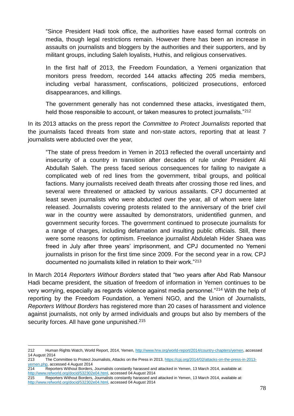"Since President Hadi took office, the authorities have eased formal controls on media, though legal restrictions remain. However there has been an increase in assaults on journalists and bloggers by the authorities and their supporters, and by militant groups, including Saleh loyalists, Huthis, and religious conservatives.

In the first half of 2013, the Freedom Foundation, a Yemeni organization that monitors press freedom, recorded 144 attacks affecting 205 media members, including verbal harassment, confiscations, politicized prosecutions, enforced disappearances, and killings.

The government generally has not condemned these attacks, investigated them, held those responsible to account, or taken measures to protect journalists."<sup>212</sup>

In its 2013 attacks on the press report the *Committee to Protect Journalists* reported that the journalists faced threats from state and non-state actors, reporting that at least 7 journalists were abducted over the year,

"The state of press freedom in Yemen in 2013 reflected the overall uncertainty and insecurity of a country in transition after decades of rule under President Ali Abdullah Saleh. The press faced serious consequences for failing to navigate a complicated web of red lines from the government, tribal groups, and political factions. Many journalists received death threats after crossing those red lines, and several were threatened or attacked by various assailants. CPJ documented at least seven journalists who were abducted over the year, all of whom were later released. Journalists covering protests related to the anniversary of the brief civil war in the country were assaulted by demonstrators, unidentified gunmen, and government security forces. The government continued to prosecute journalists for a range of charges, including defamation and insulting public officials. Still, there were some reasons for optimism. Freelance journalist Abdulelah Hider Shaea was freed in July after three years' imprisonment, and CPJ documented no Yemeni journalists in prison for the first time since 2009. For the second year in a row, CPJ documented no journalists killed in relation to their work."<sup>213</sup>

In March 2014 *Reporters Without Borders* stated that "two years after Abd Rab Mansour Hadi became president, the situation of freedom of information in Yemen continues to be very worrying, especially as regards violence against media personnel."<sup>214</sup> With the help of reporting by the Freedom Foundation, a Yemeni NGO, and the Union of Journalists, *Reporters Without Borders* has registered more than 20 cases of harassment and violence against journalists, not only by armed individuals and groups but also by members of the security forces. All have gone unpunished.<sup>215</sup>

<sup>1</sup> 212 Human Rights Watch, World Report, 2014, Yemen[, http://www.hrw.org/world-report/2014/country-chapters/yemen,](http://www.hrw.org/world-report/2014/country-chapters/yemen) accessed 14 August 2014

<sup>2214.&</sup>lt;br>The Committee to Protect Journalists, Attacks on the Press in 2013, [https://cpj.org/2014/02/attacks-on-the-press-in-2013](https://cpj.org/2014/02/attacks-on-the-press-in-2013-yemen.php) [yemen.php,](https://cpj.org/2014/02/attacks-on-the-press-in-2013-yemen.php) accessed 4 August 2014

<sup>214</sup> Reporters Without Borders, Journalists constantly harassed and attacked in Yemen, 13 March 2014, available at: [http://www.refworld.org/docid/532302e04.html,](http://www.refworld.org/docid/532302e04.html) accessed 04 August 2014

<sup>215</sup> Reporters Without Borders, Journalists constantly harassed and attacked in Yemen, 13 March 2014, available at: [http://www.refworld.org/docid/532302e04.html,](http://www.refworld.org/docid/532302e04.html) accessed 04 August 2014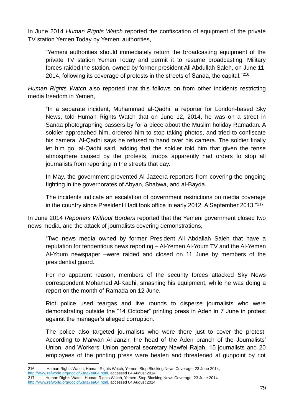In June 2014 *Human Rights Watch* reported the confiscation of equipment of the private TV station Yemen Today by Yemeni authorities,

"Yemeni authorities should immediately return the broadcasting equipment of the private TV station Yemen Today and permit it to resume broadcasting. Military forces raided the station, owned by former president Ali Abdullah Saleh, on June 11, 2014, following its coverage of protests in the streets of Sanaa, the capital."<sup>216</sup>

*Human Rights Watch* also reported that this follows on from other incidents restricting media freedom in Yemen,

"In a separate incident, Muhammad al-Qadhi, a reporter for London-based Sky News, told Human Rights Watch that on June 12, 2014, he was on a street in Sanaa photographing passers-by for a piece about the Muslim holiday Ramadan. A soldier approached him, ordered him to stop taking photos, and tried to confiscate his camera. Al-Qadhi says he refused to hand over his camera. The soldier finally let him go, al-Qadhi said, adding that the soldier told him that given the tense atmosphere caused by the protests, troops apparently had orders to stop all journalists from reporting in the streets that day.

In May, the government prevented Al Jazeera reporters from covering the ongoing fighting in the governorates of Abyan, Shabwa, and al-Bayda.

The incidents indicate an escalation of government restrictions on media coverage in the country since President Hadi took office in early 2012. A September 2013."<sup>217</sup>

In June 2014 *Reporters Without Borders* reported that the Yemeni government closed two news media, and the attack of journalists covering demonstrations,

"Two news media owned by former President Ali Abdallah Saleh that have a reputation for tendentious news reporting – Al-Yemen Al-Youm TV and the Al-Yemen Al-Youm newspaper –were raided and closed on 11 June by members of the presidential guard.

For no apparent reason, members of the security forces attacked Sky News correspondent Mohamed Al-Kadhi, smashing his equipment, while he was doing a report on the month of Ramada on 12 June.

Riot police used teargas and live rounds to disperse journalists who were demonstrating outside the "14 October" printing press in Aden in 7 June in protest against the manager's alleged corruption.

The police also targeted journalists who were there just to cover the protest. According to Marwan Al-Janzir, the head of the Aden branch of the Journalists' Union, and Workers' Union general secretary Nawfel Rajah, 15 journalists and 20 employees of the printing press were beaten and threatened at gunpoint by riot

<sup>1</sup> 216 Human Rights Watch, Human Rights Watch, Yemen: Stop Blocking News Coverage, 23 June 2014,

[http://www.refworld.org/docid/53aa7ea64.html,](http://www.refworld.org/docid/53aa7ea64.html) accessed 04 August 2014

<sup>217</sup> Human Rights Watch, Human Rights Watch, Yemen: Stop Blocking News Coverage, 23 June 2014,

[http://www.refworld.org/docid/53aa7ea64.html,](http://www.refworld.org/docid/53aa7ea64.html) accessed 04 August 2014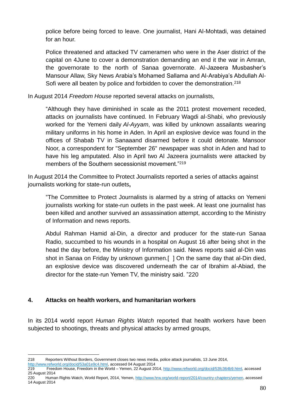police before being forced to leave. One journalist, Hani Al-Mohtadi, was detained for an hour.

Police threatened and attacked TV cameramen who were in the Aser district of the capital on 4June to cover a demonstration demanding an end it the war in Amran, the governorate to the north of Sanaa governorate. Al-Jazeera Musbasher's Mansour Allaw, Sky News Arabia's Mohamed Sallama and Al-Arabiya's Abdullah Al-Sofi were all beaten by police and forbidden to cover the demonstration.<sup>218</sup>

In August 2014 *Freedom House* reported several attacks on journalists,

"Although they have diminished in scale as the 2011 protest movement receded, attacks on journalists have continued. In February Wagdi al-Shabi, who previously worked for the Yemeni daily *Al-Ayyam*, was killed by unknown assailants wearing military uniforms in his home in Aden. In April an explosive device was found in the offices of Shabab TV in Sanaaand disarmed before it could detonate. Mansoor Noor, a correspondent for "September 26" newspaper was shot in Aden and had to have his leg amputated. Also in April two Al Jazeera journalists were attacked by members of the Southern secessionist movement."<sup>219</sup>

In August 2014 the Committee to Protect Journalists reported a series of attacks against journalists working for state-run outlets**,** 

"The Committee to Protect Journalists is alarmed by a string of attacks on Yemeni journalists working for state-run outlets in the past week. At least one journalist has been killed and another survived an assassination attempt, according to the Ministry of Information and news reports.

Abdul Rahman Hamid al-Din, a director and producer for the state-run Sanaa Radio, succumbed to his wounds in a hospital on August 16 after being shot in the head the day before, the Ministry of Information said. News reports said al-Din was shot in Sanaa on Friday by unknown gunmen.[ ] On the same day that al-Din died, an explosive device was discovered underneath the car of Ibrahim al-Abiad, the director for the state-run Yemen TV, the ministry said. "220

### **4. Attacks on health workers, and humanitarian workers**

In its 2014 world report *Human Rights Watch* reported that health workers have been subjected to shootings, threats and physical attacks by armed groups,

<sup>1</sup> 218 Reporters Without Borders, Government closes two news media, police attack journalists, 13 June 2014, [http://www.refworld.org/docid/53a01e9c4.html,](http://www.refworld.org/docid/53a01e9c4.html) accessed 04 August 2014

<sup>219</sup> Freedom House, Freedom in the World – Yemen, 22 August 2014, [http://www.refworld.org/docid/53fc364b9.html,](http://www.refworld.org/docid/53fc364b9.html) accessed 25 August 2014

<sup>220</sup> Human Rights Watch, World Report, 2014, Yemen[, http://www.hrw.org/world-report/2014/country-chapters/yemen,](http://www.hrw.org/world-report/2014/country-chapters/yemen) accessed 14 August 2014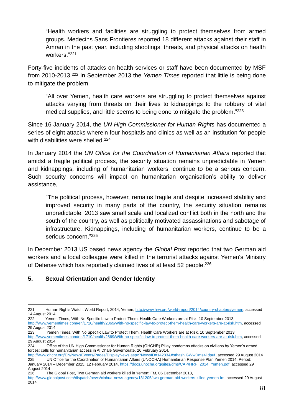"Health workers and facilities are struggling to protect themselves from armed groups. Medecins Sans Frontieres reported 18 different attacks against their staff in Amran in the past year, including shootings, threats, and physical attacks on health workers<sup>"221</sup>

Forty-five incidents of attacks on health services or staff have been documented by MSF from 2010-2013.<sup>222</sup> In September 2013 the *Yemen Times* reported that little is being done to mitigate the problem,

"All over Yemen, health care workers are struggling to protect themselves against attacks varying from threats on their lives to kidnappings to the robbery of vital medical supplies, and little seems to being done to mitigate the problem."<sup>223</sup>

Since 16 January 2014, the *UN High Commissioner for Human Rights* has documented a series of eight attacks wherein four hospitals and clinics as well as an institution for people with disabilities were shelled.<sup>224</sup>

In January 2014 the *UN Office for the Coordination of Humanitarian Affairs* reported that amidst a fragile political process, the security situation remains unpredictable in Yemen and kidnappings, including of humanitarian workers, continue to be a serious concern. Such security concerns will impact on humanitarian organisation's ability to deliver assistance,

"The political process, however, remains fragile and despite increased stability and improved security in many parts of the country, the security situation remains unpredictable. 2013 saw small scale and localized conflict both in the north and the south of the country, as well as politically motivated assassinations and sabotage of infrastructure. Kidnappings, including of humanitarian workers, continue to be a serious concern."<sup>225</sup>

In December 2013 US based news agency the *Global Post* reported that two German aid workers and a local colleague were killed in the terrorist attacks against Yemen's Ministry of Defense which has reportedly claimed lives of at least 52 people.<sup>226</sup>

# **5. Sexual Orientation and Gender Identity**

1

222 Yemen Times, With No Specific Law to Protect Them, Health Care Workers are at Risk, 10 September 2013, [http://www.yementimes.com/en/1710/health/2869/With-no-specific-law-to-protect-them-health-care-workers-are-at-risk.htm,](http://www.yementimes.com/en/1710/health/2869/With-no-specific-law-to-protect-them-health-care-workers-are-at-risk.htm) accessed 29 August 2014

223 Yemen Times, With No Specific Law to Protect Them, Health Care Workers are at Risk, 10 September 2013, [http://www.yementimes.com/en/1710/health/2869/With-no-specific-law-to-protect-them-health-care-workers-are-at-risk.htm,](http://www.yementimes.com/en/1710/health/2869/With-no-specific-law-to-protect-them-health-care-workers-are-at-risk.htm) accessed 29 August 2014

<sup>221</sup> Human Rights Watch, World Report, 2014, Yemen[, http://www.hrw.org/world-report/2014/country-chapters/yemen,](http://www.hrw.org/world-report/2014/country-chapters/yemen) accessed 14 August 2014

<sup>224</sup> Office of the UN High Commissioner for Human Rights (OHCHR) Pillay condemns attacks on civilians by Yemen's armed forces; calls for humanitarian access in Al Dhale Governorate, 26 February 2014,

[http://www.ohchr.org/EN/NewsEvents/Pages/DisplayNews.aspx?NewsID=14283&#sthash.GWwDms4l.dpuf,](http://www.ohchr.org/EN/NewsEvents/Pages/DisplayNews.aspx?NewsID=14283&#sthash.GWwDms4l.dpuf) accessed 29 August 2014<br>225 UN Office for the Coordination of Humanitarian Affairs (UNOCHA) Humanitarian Response Plan Yemen 201 225 UN Office for the Coordination of Humanitarian Affairs (UNOCHA) Humanitarian Response Plan Yemen 2014, Period: January 2014 – December 2015, 12 February 2014, [https://docs.unocha.org/sites/dms/CAP/HRP\\_2014\\_Yemen.pdf,](https://docs.unocha.org/sites/dms/CAP/HRP_2014_Yemen.pdf) accessed 29

August 2014 226 The Global Post, Two German aid workers killed in Yemen: FM, 05 December 2013,

[http://www.globalpost.com/dispatch/news/xinhua-news-agency/131205/two-german-aid-workers-killed-yemen-fm,](http://www.globalpost.com/dispatch/news/xinhua-news-agency/131205/two-german-aid-workers-killed-yemen-fm) accessed 29 August 2014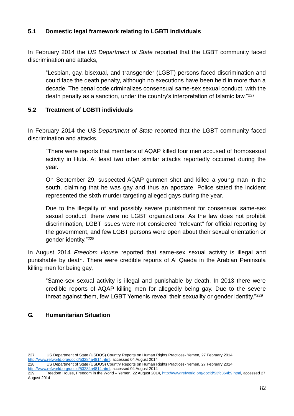# **5.1 Domestic legal framework relating to LGBTI individuals**

In February 2014 the *US Department of State* reported that the LGBT community faced discrimination and attacks,

"Lesbian, gay, bisexual, and transgender (LGBT) persons faced discrimination and could face the death penalty, although no executions have been held in more than a decade. The penal code criminalizes consensual same-sex sexual conduct, with the death penalty as a sanction, under the country's interpretation of Islamic law."<sup>227</sup>

### **5.2 Treatment of LGBTI individuals**

In February 2014 the *US Department of State* reported that the LGBT community faced discrimination and attacks,

"There were reports that members of AQAP killed four men accused of homosexual activity in Huta. At least two other similar attacks reportedly occurred during the year.

On September 29, suspected AQAP gunmen shot and killed a young man in the south, claiming that he was gay and thus an apostate. Police stated the incident represented the sixth murder targeting alleged gays during the year.

Due to the illegality of and possibly severe punishment for consensual same-sex sexual conduct, there were no LGBT organizations. As the law does not prohibit discrimination, LGBT issues were not considered "relevant" for official reporting by the government, and few LGBT persons were open about their sexual orientation or gender identity."<sup>228</sup>

In August 2014 *Freedom House* reported that same-sex sexual activity is illegal and punishable by death. There were credible reports of Al Qaeda in the Arabian Peninsula killing men for being gay,

"Same-sex sexual activity is illegal and punishable by death. In 2013 there were credible reports of AQAP killing men for allegedly being gay. Due to the severe threat against them, few LGBT Yemenis reveal their sexuality or gender identity."<sup>229</sup>

# **G. Humanitarian Situation**

<sup>1</sup> 227 US Department of State (USDOS) Country Reports on Human Rights Practices- Yemen, 27 February 2014, [http://www.refworld.org/docid/53284a4814.html,](http://www.refworld.org/docid/53284a4814.html) accessed 04 August 2014

<sup>228</sup> US Department of State (USDOS) Country Reports on Human Rights Practices- Yemen, 27 February 2014, [http://www.refworld.org/docid/53284a4814.html,](http://www.refworld.org/docid/53284a4814.html) accessed 04 August 2014

<sup>229</sup> Freedom House, Freedom in the World – Yemen, 22 August 2014[, http://www.refworld.org/docid/53fc364b9.html,](http://www.refworld.org/docid/53fc364b9.html) accessed 27 August 2014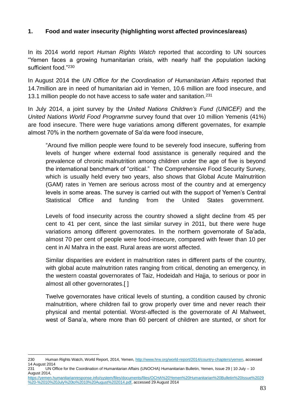### **1. Food and water insecurity (highlighting worst affected provinces/areas)**

In its 2014 world report *Human Rights Watch* reported that according to UN sources "Yemen faces a growing humanitarian crisis, with nearly half the population lacking sufficient food."<sup>230</sup>

In August 2014 the *UN Office for the Coordination of Humanitarian Affairs* reported that 14.7million are in need of humanitarian aid in Yemen, 10.6 million are food insecure, and 13.1 million people do not have access to safe water and sanitation.<sup>231</sup>

In July 2014, a joint survey by the *United Nations Children's Fund (UNICEF)* and the *United Nations World Food Programme* survey found that over 10 million Yemenis (41%) are food insecure. There were huge variations among different governates, for example almost 70% in the northern governate of Sa'da were food insecure,

"Around five million people were found to be severely food insecure, suffering from levels of hunger where external food assistance is generally required and the prevalence of chronic malnutrition among children under the age of five is beyond the international benchmark of "critical." The Comprehensive Food Security Survey, which is usually held every two years, also shows that Global Acute Malnutrition (GAM) rates in Yemen are serious across most of the country and at emergency levels in some areas. The survey is carried out with the support of Yemen's Central Statistical Office and funding from the United States government.

Levels of food insecurity across the country showed a slight decline from 45 per cent to 41 per cent, since the last similar survey in 2011, but there were huge variations among different governorates. In the northern governorate of Sa'ada, almost 70 per cent of people were food-insecure, compared with fewer than 10 per cent in Al Mahra in the east. Rural areas are worst affected.

Similar disparities are evident in malnutrition rates in different parts of the country, with global acute malnutrition rates ranging from critical, denoting an emergency, in the western coastal governorates of Taiz, Hodeidah and Hajja, to serious or poor in almost all other governorates.[ ]

Twelve governorates have critical levels of stunting, a condition caused by chronic malnutrition, where children fail to grow properly over time and never reach their physical and mental potential. Worst-affected is the governorate of Al Mahweet, west of Sana'a, where more than 60 percent of children are stunted, or short for

<sup>1</sup> 230 Human Rights Watch, World Report, 2014, Yemen[, http://www.hrw.org/world-report/2014/country-chapters/yemen,](http://www.hrw.org/world-report/2014/country-chapters/yemen) accessed 14 August 2014

<sup>231</sup> UN Office for the Coordination of Humanitarian Affairs (UNOCHA) Humanitarian Bulletin, Yemen, Issue 29 | 10 July – 10 August 2014,

[https://yemen.humanitarianresponse.info/system/files/documents/files/OCHA%20Yemen%20Humanitarian%20Bulletin%20Issue%2029](https://yemen.humanitarianresponse.info/system/files/documents/files/OCHA%20Yemen%20Humanitarian%20Bulletin%20Issue%2029%20-%2010%20July%20to%2010%20August%202014.pdf) [%20-%2010%20July%20to%2010%20August%202014.pdf,](https://yemen.humanitarianresponse.info/system/files/documents/files/OCHA%20Yemen%20Humanitarian%20Bulletin%20Issue%2029%20-%2010%20July%20to%2010%20August%202014.pdf) accessed 29 August 2014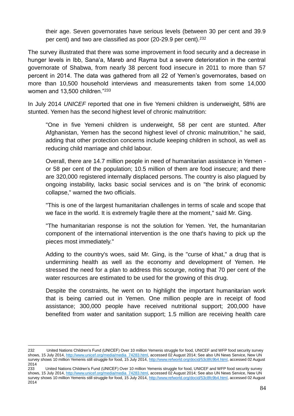their age. Seven governorates have serious levels (between 30 per cent and 39.9 per cent) and two are classified as poor (20-29.9 per cent).<sup>232</sup>

The survey illustrated that there was some improvement in food security and a decrease in hunger levels in Ibb, Sana'a, Mareb and Rayma but a severe deterioration in the central governorate of Shabwa, from nearly 38 percent food insecure in 2011 to more than 57 percent in 2014. The data was gathered from all 22 of Yemen's governorates, based on more than 10,500 household interviews and measurements taken from some 14,000 women and 13,500 children."<sup>233</sup>

In July 2014 *UNICEF* reported that one in five Yemeni children is underweight, 58% are stunted. Yemen has the second highest level of chronic malnutrition:

"One in five Yemeni children is underweight, 58 per cent are stunted. After Afghanistan, Yemen has the second highest level of chronic malnutrition," he said, adding that other protection concerns include keeping children in school, as well as reducing child marriage and child labour.

Overall, there are 14.7 million people in need of humanitarian assistance in Yemen or 58 per cent of the population; 10.5 million of them are food insecure; and there are 320,000 registered internally displaced persons. The country is also plagued by ongoing instability, lacks basic social services and is on "the brink of economic collapse," warned the two officials.

"This is one of the largest humanitarian challenges in terms of scale and scope that we face in the world. It is extremely fragile there at the moment," said Mr. Ging.

"The humanitarian response is not the solution for Yemen. Yet, the humanitarian component of the international intervention is the one that's having to pick up the pieces most immediately."

Adding to the country's woes, said Mr. Ging, is the "curse of khat," a drug that is undermining health as well as the economy and development of Yemen. He stressed the need for a plan to address this scourge, noting that 70 per cent of the water resources are estimated to be used for the growing of this drug.

Despite the constraints, he went on to highlight the important humanitarian work that is being carried out in Yemen. One million people are in receipt of food assistance; 300,000 people have received nutritional support; 200,000 have benefited from water and sanitation support; 1.5 million are receiving health care

1

<sup>232</sup> United Nations Children's Fund (UNICEF) Over 10 million Yemenis struggle for food, UNICEF and WFP food security survey shows, 15 July 2014[, http://www.unicef.org/media/media\\_74283.html,](http://www.unicef.org/media/media_74283.html) accessed 02 August 2014; See also UN News Service, New UN survey shows 10 million Yemenis still struggle for food, 15 July 2014[, http://www.refworld.org/docid/53c8fc9b4.html,](http://www.refworld.org/docid/53c8fc9b4.html) accessed 02 August 2014

<sup>233</sup> United Nations Children's Fund (UNICEF) Over 10 million Yemenis struggle for food, UNICEF and WFP food security survey shows, 15 July 2014[, http://www.unicef.org/media/media\\_74283.html,](http://www.unicef.org/media/media_74283.html) accessed 02 August 2014; See also UN News Service, New UN survey shows 10 million Yemenis still struggle for food, 15 July 2014[, http://www.refworld.org/docid/53c8fc9b4.html,](http://www.refworld.org/docid/53c8fc9b4.html) accessed 02 August 2014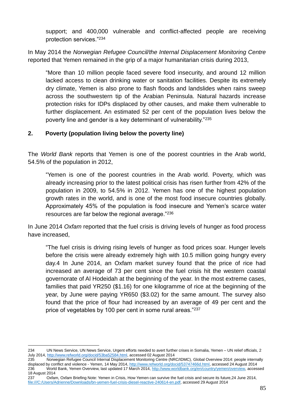support; and 400,000 vulnerable and conflict-affected people are receiving protection services."<sup>234</sup>

In May 2014 the *Norwegian Refugee Council/the Internal Displacement Monitoring Centre* reported that Yemen remained in the grip of a major humanitarian crisis during 2013,

"More than 10 million people faced severe food insecurity, and around 12 million lacked access to clean drinking water or sanitation facilities. Despite its extremely dry climate, Yemen is also prone to flash floods and landslides when rains sweep across the southwestern tip of the Arabian Peninsula. Natural hazards increase protection risks for IDPs displaced by other causes, and make them vulnerable to further displacement. An estimated 52 per cent of the population lives below the poverty line and gender is a key determinant of vulnerability."<sup>235</sup>

# **2. Poverty (population living below the poverty line)**

The *World Bank* reports that Yemen is one of the poorest countries in the Arab world, 54.5% of the population in 2012,

"Yemen is one of the poorest countries in the Arab world. Poverty, which was already increasing prior to the latest political crisis has risen further from 42% of the population in 2009, to 54.5% in 2012. Yemen has one of the highest population growth rates in the world, and is one of the most food insecure countries globally. Approximately 45% of the population is food insecure and Yemen's scarce water resources are far below the regional average."<sup>236</sup>

In June 2014 *Oxfam* reported that the fuel crisis is driving levels of hunger as food process have increased,

"The fuel crisis is driving rising levels of hunger as food prices soar. Hunger levels before the crisis were already extremely high with 10.5 million going hungry every day.4 In June 2014, an Oxfam market survey found that the price of rice had increased an average of 73 per cent since the fuel crisis hit the western coastal governorate of Al Hodeidah at the beginning of the year. In the most extreme cases, families that paid YR250 (\$1.16) for one kilogramme of rice at the beginning of the year, by June were paying YR650 (\$3.02) for the same amount. The survey also found that the price of flour had increased by an average of 49 per cent and the price of vegetables by 100 per cent in some rural areas."237

<sup>1</sup> 234 UN News Service, UN News Service, Urgent efforts needed to avert further crises in Somalia, Yemen – UN relief officials, 2 July 2014[, http://www.refworld.org/docid/53ba52584.html,](http://www.refworld.org/docid/53ba52584.html) accessed 02 August 2014<br>235 **Norwegian Refugee Council Internal Displacement Monitoring Centre (NR** 

<sup>235</sup> Norwegian Refugee Council Internal Displacement Monitoring Centre (NRC/IDMC), Global Overview 2014: people internally displaced by conflict and violence - Yemen, 14 May 2014, [http://www.refworld.org/docid/53747466d.html,](http://www.refworld.org/docid/53747466d.html) accessed 24 August 2014 236 World Bank, Yemen Overview, last updated 17 March 2014[, http://www.worldbank.org/en/country/yemen/overview,](http://www.worldbank.org/en/country/yemen/overview) accessed 18 August 2014

<sup>237</sup> Oxfam, Oxfam Briefing Note: Yemen in Crisis, How Yemen can survive the fuel crisis and secure its future,24 June 2014, [file:///C:/Users/Adrienne/Downloads/bn-yemen-fuel-crisis-diesel-reactive-240614-en.pdf,](../../Adrienne/Downloads/bn-yemen-fuel-crisis-diesel-reactive-240614-en.pdf) accessed 29 August 2014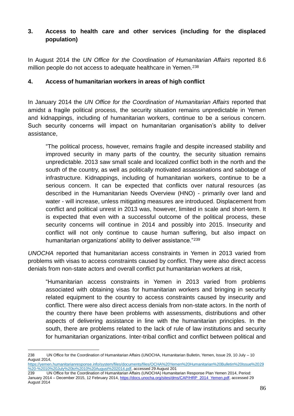# **3. Access to health care and other services (including for the displaced population)**

In August 2014 the *UN Office for the Coordination of Humanitarian Affairs* reported 8.6 million people do not access to adequate healthcare in Yemen.<sup>238</sup>

## **4. Access of humanitarian workers in areas of high conflict**

In January 2014 the *UN Office for the Coordination of Humanitarian Affairs* reported that amidst a fragile political process, the security situation remains unpredictable in Yemen and kidnappings, including of humanitarian workers, continue to be a serious concern. Such security concerns will impact on humanitarian organisation's ability to deliver assistance,

"The political process, however, remains fragile and despite increased stability and improved security in many parts of the country, the security situation remains unpredictable. 2013 saw small scale and localized conflict both in the north and the south of the country, as well as politically motivated assassinations and sabotage of infrastructure. Kidnappings, including of humanitarian workers, continue to be a serious concern. It can be expected that conflicts over natural resources (as described in the Humanitarian Needs Overview (HNO) - primarily over land and water - will increase, unless mitigating measures are introduced. Displacement from conflict and political unrest in 2013 was, however, limited in scale and short-term. It is expected that even with a successful outcome of the political process, these security concerns will continue in 2014 and possibly into 2015. Insecurity and conflict will not only continue to cause human suffering, but also impact on humanitarian organizations' ability to deliver assistance."<sup>239</sup>

*UNOCHA* reported that humanitarian access constraints in Yemen in 2013 varied from problems with visas to access constraints caused by conflict. They were also direct access denials from non-state actors and overall conflict put humanitarian workers at risk,

"Humanitarian access constraints in Yemen in 2013 varied from problems associated with obtaining visas for humanitarian workers and bringing in security related equipment to the country to access constraints caused by insecurity and conflict. There were also direct access denials from non-state actors. In the north of the country there have been problems with assessments, distributions and other aspects of delivering assistance in line with the humanitarian principles. In the south, there are problems related to the lack of rule of law institutions and security for humanitarian organizations. Inter-tribal conflict and conflict between political and

1

<sup>238</sup> UN Office for the Coordination of Humanitarian Affairs (UNOCHA, Humanitarian Bulletin, Yemen, Issue 29, 10 July – 10 August 2014,

[https://yemen.humanitarianresponse.info/system/files/documents/files/OCHA%20Yemen%20Humanitarian%20Bulletin%20Issue%2029](https://yemen.humanitarianresponse.info/system/files/documents/files/OCHA%20Yemen%20Humanitarian%20Bulletin%20Issue%2029%20-%2010%20July%20to%2010%20August%202014.pdf) [%20-%2010%20July%20to%2010%20August%202014.pdf,](https://yemen.humanitarianresponse.info/system/files/documents/files/OCHA%20Yemen%20Humanitarian%20Bulletin%20Issue%2029%20-%2010%20July%20to%2010%20August%202014.pdf) accessed 29 August 201

<sup>239</sup> UN Office for the Coordination of Humanitarian Affairs (UNOCHA) Humanitarian Response Plan Yemen 2014, Period: January 2014 – December 2015, 12 February 2014, [https://docs.unocha.org/sites/dms/CAP/HRP\\_2014\\_Yemen.pdf,](https://docs.unocha.org/sites/dms/CAP/HRP_2014_Yemen.pdf) accessed 29 August 2014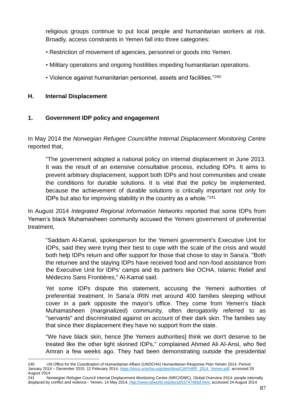religious groups continue to put local people and humanitarian workers at risk. Broadly, access constraints in Yemen fall into three categories:

- Restriction of movement of agencies, personnel or goods into Yemen.
- Military operations and ongoing hostilities impeding humanitarian operations.
- Violence against humanitarian personnel, assets and facilities."<sup>240</sup>

### **H. Internal Displacement**

<u>.</u>

### **1. Government IDP policy and engagement**

In May 2014 the *Norwegian Refugee Council/the Internal Displacement Monitoring Centre* reported that,

"The government adopted a national policy on internal displacement in June 2013. It was the result of an extensive consultative process, including IDPs. It aims to prevent arbitrary displacement, support both IDPs and host communities and create the conditions for durable solutions. It is vital that the policy be implemented, because the achievement of durable solutions is critically important not only for IDPs but also for improving stability in the country as a whole."<sup>241</sup>

In August 2014 *Integrated Regional Information Networks* reported that some IDPs from Yemen's black Muhamasheen community accused the Yemeni government of preferential treatment,

"Saddam Al-Kamal, spokesperson for the Yemeni government's Executive Unit for IDPs, said they were trying their best to cope with the scale of the crisis and would both help IDPs return and offer support for those that chose to stay in Sana'a. "Both the returnee and the staying IDPs have received food and non-food assistance from the Executive Unit for IDPs' camps and its partners like OCHA, Islamic Relief and Médecins Sans Frontières," Al-Kamal said.

Yet some IDPs dispute this statement, accusing the Yemeni authorities of preferential treatment. In Sana'a IRIN met around 400 families sleeping without cover in a park opposite the mayor's office. They come from Yemen's black Muhamasheen (marginalized) community, often derogatorily referred to as "servants" and discriminated against on account of their dark skin. The families say that since their displacement they have no support from the state.

"We have black skin, hence [the Yemeni authorities] think we don't deserve to be treated like the other light skinned IDPs," complained Ahmed Ali Al-Ansi, who fled Amran a few weeks ago. They had been demonstrating outside the presidential

<sup>240</sup> UN Office for the Coordination of Humanitarian Affairs (UNOCHA) Humanitarian Response Plan Yemen 2014, Period: January 2014 – December 2015, 12 February 2014, [https://docs.unocha.org/sites/dms/CAP/HRP\\_2014\\_Yemen.pdf,](https://docs.unocha.org/sites/dms/CAP/HRP_2014_Yemen.pdf) accessed 29 August 2014

<sup>241</sup> Norwegian Refugee Council Internal Displacement Monitoring Centre (NRC/IDMC), Global Overview 2014: people internally displaced by conflict and violence - Yemen, 14 May 2014, [http://www.refworld.org/docid/53747466d.html,](http://www.refworld.org/docid/53747466d.html) accessed 24 August 2014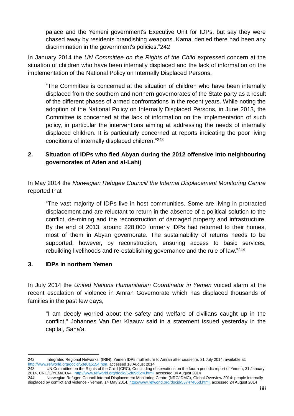palace and the Yemeni government's Executive Unit for IDPs, but say they were chased away by residents brandishing weapons. Kamal denied there had been any discrimination in the government's policies."242

In January 2014 the *UN Committee on the Rights of the Child* expressed concern at the situation of children who have been internally displaced and the lack of information on the implementation of the National Policy on Internally Displaced Persons,

"The Committee is concerned at the situation of children who have been internally displaced from the southern and northern governorates of the State party as a result of the different phases of armed confrontations in the recent years. While noting the adoption of the National Policy on Internally Displaced Persons, in June 2013, the Committee is concerned at the lack of information on the implementation of such policy, in particular the interventions aiming at addressing the needs of internally displaced children. It is particularly concerned at reports indicating the poor living conditions of internally displaced children."<sup>243</sup>

# **2. Situation of IDPs who fled Abyan during the 2012 offensive into neighbouring governorates of Aden and al-Lahij**

In May 2014 the *Norwegian Refugee Council/ the Internal Displacement Monitoring Centre*  reported that

"The vast majority of IDPs live in host communities. Some are living in protracted displacement and are reluctant to return in the absence of a political solution to the conflict, de-mining and the reconstruction of damaged property and infrastructure. By the end of 2013, around 228,000 formerly IDPs had returned to their homes, most of them in Abyan governorate. The sustainability of returns needs to be supported, however, by reconstruction, ensuring access to basic services, rebuilding livelihoods and re-establishing governance and the rule of law."<sup>244</sup>

# **3. IDPs in northern Yemen**

In July 2014 the *United Nations Humanitarian Coordinator in Yemen* voiced alarm at the recent escalation of violence in Amran Governorate which has displaced thousands of families in the past few days,

"I am deeply worried about the safety and welfare of civilians caught up in the conflict," Johannes Van Der Klaauw said in a statement issued yesterday in the capital, Sana'a.

<sup>1</sup> 242 Integrated Regional Networks, (IRIN), Yemen IDPs mull return to Amran after ceasefire, 31 July 2014, available at: [http://www.refworld.org/docid/53e0a5154.htm,](http://www.refworld.org/docid/53e0a5154.htm) accessed 18 August 2014

<sup>243</sup> UN Committee on the Rights of the Child (CRC), Concluding observations on the fourth periodic report of Yemen, 31 January 2014, CRC/C/YEM/CO/4, [http://www.refworld.org/docid/52f89d5c4.html,](http://www.refworld.org/docid/52f89d5c4.html) accessed 04 August 2014

<sup>244</sup> Norwegian Refugee Council Internal Displacement Monitoring Centre (NRC/IDMC), Global Overview 2014: people internally displaced by conflict and violence - Yemen, 14 May 2014, [http://www.refworld.org/docid/53747466d.html,](http://www.refworld.org/docid/53747466d.html) accessed 24 August 2014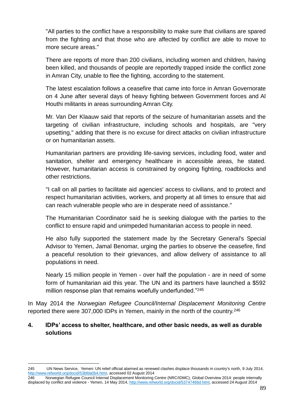"All parties to the conflict have a responsibility to make sure that civilians are spared from the fighting and that those who are affected by conflict are able to move to more secure areas."

There are reports of more than 200 civilians, including women and children, having been killed, and thousands of people are reportedly trapped inside the conflict zone in Amran City, unable to flee the fighting, according to the statement.

The latest escalation follows a ceasefire that came into force in Amran Governorate on 4 June after several days of heavy fighting between Government forces and Al Houthi militants in areas surrounding Amran City.

Mr. Van Der Klaauw said that reports of the seizure of humanitarian assets and the targeting of civilian infrastructure, including schools and hospitals, are "very upsetting," adding that there is no excuse for direct attacks on civilian infrastructure or on humanitarian assets.

Humanitarian partners are providing life-saving services, including food, water and sanitation, shelter and emergency healthcare in accessible areas, he stated. However, humanitarian access is constrained by ongoing fighting, roadblocks and other restrictions.

"I call on all parties to facilitate aid agencies' access to civilians, and to protect and respect humanitarian activities, workers, and property at all times to ensure that aid can reach vulnerable people who are in desperate need of assistance."

The Humanitarian Coordinator said he is seeking dialogue with the parties to the conflict to ensure rapid and unimpeded humanitarian access to people in need.

He also fully supported the statement made by the Secretary General's Special Advisor to Yemen, Jamal Benomar, urging the parties to observe the ceasefire, find a peaceful resolution to their grievances, and allow delivery of assistance to all populations in need.

Nearly 15 million people in Yemen - over half the population - are in need of some form of humanitarian aid this year. The UN and its partners have launched a \$592 million response plan that remains woefully underfunded."<sup>245</sup>

In May 2014 the *Norwegian Refugee Council/Internal Displacement Monitoring Centre* reported there were 307,000 IDPs in Yemen, mainly in the north of the country.<sup>246</sup>

### **4. IDPs' access to shelter, healthcare, and other basic needs, as well as durable solutions**

<sup>1</sup> 245 UN News Service, Yemen: UN relief official alarmed as renewed clashes displace thousands in country's north, 9 July 2014, [http://www.refworld.org/docid/53bfda0b4.html,](http://www.refworld.org/docid/53bfda0b4.html) accessed 02 August 2014

<sup>246</sup> Norwegian Refugee Council Internal Displacement Monitoring Centre (NRC/IDMC), Global Overview 2014: people internally displaced by conflict and violence - Yemen, 14 May 2014, [http://www.refworld.org/docid/53747466d.html,](http://www.refworld.org/docid/53747466d.html) accessed 24 August 2014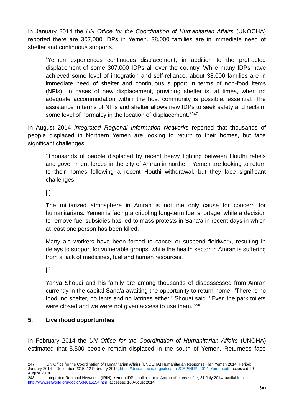In January 2014 the *UN Office for the Coordination of Humanitarian Affairs* (UNOCHA) reported there are 307,000 IDPs in Yemen. 38,000 families are in immediate need of shelter and continuous supports,

"Yemen experiences continuous displacement, in addition to the protracted displacement of some 307,000 IDPs all over the country. While many IDPs have achieved some level of integration and self-reliance, about 38,000 families are in immediate need of shelter and continuous support in terms of non-food items (NFIs). In cases of new displacement, providing shelter is, at times, when no adequate accommodation within the host community is possible, essential. The assistance in terms of NFIs and shelter allows new IDPs to seek safety and reclaim some level of normalcy in the location of displacement."247

In August 2014 *Integrated Regional Information Networks* reported that thousands of people displaced in Northern Yemen are looking to return to their homes, but face significant challenges,

"Thousands of people displaced by recent heavy fighting between Houthi rebels and government forces in the city of Amran in northern Yemen are looking to return to their homes following a recent Houthi withdrawal, but they face significant challenges.

 $\lceil$ 

The militarized atmosphere in Amran is not the only cause for concern for humanitarians. Yemen is facing a crippling long-term fuel shortage, while a decision to remove fuel subsidies has led to mass protests in Sana'a in recent days in which at least one person has been killed.

Many aid workers have been forced to cancel or suspend fieldwork, resulting in delays to support for vulnerable groups, while the health sector in Amran is suffering from a lack of medicines, fuel and human resources.

 $[ ]$ 

Yahya Shouai and his family are among thousands of dispossessed from Amran currently in the capital Sana'a awaiting the opportunity to return home. "There is no food, no shelter, no tents and no latrines either," Shouai said. "Even the park toilets were closed and we were not given access to use them."<sup>248</sup>

# **5. Livelihood opportunities**

In February 2014 the *UN Office for the Coordination of Humanitarian Affairs* (UNOHA) estimated that 5,500 people remain displaced in the south of Yemen. Returnees face

<sup>&</sup>lt;u>.</u> 247 UN Office for the Coordination of Humanitarian Affairs (UNOCHA) Humanitarian Response Plan Yemen 2014, Period: January 2014 – December 2015, 12 February 2014, [https://docs.unocha.org/sites/dms/CAP/HRP\\_2014\\_Yemen.pdf,](https://docs.unocha.org/sites/dms/CAP/HRP_2014_Yemen.pdf) accessed 29 August 2014

<sup>248</sup> Integrated Regional Networks, (IRIN), Yemen IDPs mull return to Amran after ceasefire, 31 July 2014, available at: [http://www.refworld.org/docid/53e0a5154.htm,](http://www.refworld.org/docid/53e0a5154.htm) accessed 18 August 2014